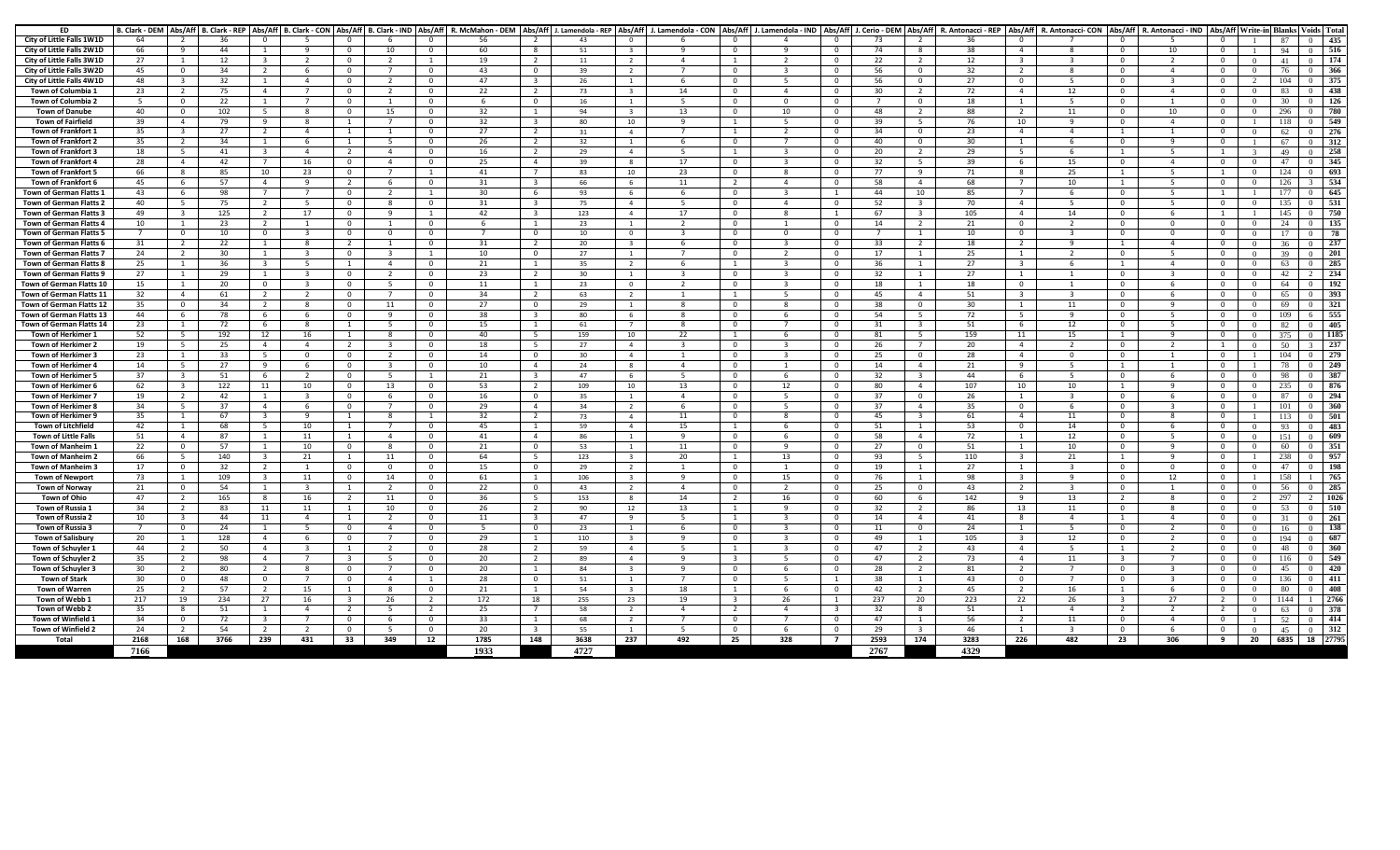| ED                          | B. Clark - DEM   Abs/Aff |                     |      |                                |                         |                         |                     |                        | B. Clark - REP   Abs/Aff   B. Clark - CON   Abs/Aff   B. Clark - IND   Abs/Aff   R. McMahon - DEM   Abs/Aff |                                  |          |                         |                |                             | J. Lamendola - REP   Abs/Aff   J. Lamendola - CON   Abs/Aff   J. Lamendola - IND | Abs/Aff                      |      |                                | J. Cerio - DEM   Abs/Aff   R. Antonacci - REP |                          | Abs/Aff R. Antonacci- CON | Abs/Aff                        | R. Antonacci - IND |                                |                |      | Abs/Aff Write-in Blanks Voids Tota |
|-----------------------------|--------------------------|---------------------|------|--------------------------------|-------------------------|-------------------------|---------------------|------------------------|-------------------------------------------------------------------------------------------------------------|----------------------------------|----------|-------------------------|----------------|-----------------------------|----------------------------------------------------------------------------------|------------------------------|------|--------------------------------|-----------------------------------------------|--------------------------|---------------------------|--------------------------------|--------------------|--------------------------------|----------------|------|------------------------------------|
| City of Little Falls 1W1D   | 64                       | $\overline{2}$      | 36   | റ                              | -5                      | $\Omega$                | -6                  | $\Omega$               | 56                                                                                                          | 2                                | 43       | $\Omega$                |                | <sup>n</sup>                | $\Delta$                                                                         | $\Omega$                     | -73  | $\overline{2}$                 | 36                                            | $\Omega$                 |                           | $\Omega$                       |                    | $\Omega$                       |                | 87   | 435<br>$\Omega$                    |
| City of Little Falls 2W1D   | 66                       | $\alpha$            | 44   | $\overline{1}$                 | $\alpha$                | $\Omega$                | 10                  | $\Omega$               | 60                                                                                                          | $\mathbf{R}$                     | 51       | $\mathbf{R}$            |                | $\Omega$                    | $\mathbf{q}$                                                                     | $\Omega$                     | 74   | 8                              | 38                                            | $\Lambda$                | $\mathbf{R}$              | $\Omega$                       | 10                 | $\Omega$                       |                | 94   | 516<br>$\Omega$                    |
| City of Little Falls 3W1D   | 27                       | 1                   | 12   | $\mathbf{3}$                   | 2                       | $^{\circ}$              | 2                   | $\mathbf{1}$           | 19                                                                                                          | 2                                | 11       | $\overline{2}$          | $\overline{4}$ | 1                           | 2                                                                                | $\mathbf 0$                  | 22   | $\overline{2}$                 | 12                                            | 3                        | 3                         | $\mathbf{0}$                   | $\overline{2}$     | $\mathbf{0}$                   | $\Omega$       | 41   | 174<br>$\overline{0}$              |
| City of Little Falls 3W2D   | 45                       | $\Omega$            | 34   | $\overline{2}$                 | - 6                     | $\Omega$                | $\overline{7}$      | $\mathbf{0}$           | 43                                                                                                          | $\mathbf 0$                      | 39       | 2                       | $\overline{7}$ | $\Omega$                    | $\mathbf{3}$                                                                     | $\Omega$                     | 56   | $\mathbf{0}$                   | 32                                            | $\overline{2}$           | 8                         | $\mathbf{0}$                   | $\overline{4}$     | $\Omega$                       | $\overline{0}$ | 76   | 366<br>$\Omega$                    |
| City of Little Falls 4W1D   | 48                       | ર                   | 32   | -1                             | $\overline{a}$          | $\mathbf 0$             | $\overline{2}$      | $\mathbf 0$            | 47                                                                                                          | $\overline{\mathbf{3}}$          | 26       | <sup>1</sup>            |                | $\mathbf 0$                 | - 5                                                                              | $\Omega$                     | 56   | $\mathbf{0}$                   | 27                                            | $\mathbf{0}$             | -5                        | $\mathbf 0$                    | ર                  | $\mathbf{0}$                   | $\gamma$       | 104  | 375<br>$\Omega$                    |
| Town of Columbia 1          | 23                       | <sup>2</sup>        | 75   | $\overline{4}$                 | $\overline{7}$          | $\Omega$                | -2                  | $^{\circ}$             | 22                                                                                                          | $\overline{2}$                   | 73       | $\overline{\mathbf{3}}$ | 14             | $\Omega$                    | 4                                                                                | $\Omega$                     | 30   | 2                              | 72                                            | $\overline{4}$           | 12                        | $^{\circ}$                     | $\overline{4}$     | $^{\circ}$                     | $\Omega$       | 83   | 438<br>$^{\circ}$                  |
| Town of Columbia 2          | -5                       | $\Omega$            | 22   | $\overline{1}$                 | $\overline{7}$          | $\Omega$                | $\mathbf{1}$        | $\Omega$               |                                                                                                             | $\Omega$                         | 16       | $\overline{1}$          | -5             | $\Omega$                    | $\Omega$                                                                         | $\mathbf{0}$                 |      | $\mathbf{0}$                   | 18                                            | $\overline{1}$           | -5                        | $\Omega$                       |                    | $\mathbf{0}$                   | $\overline{0}$ | 30   | 126<br>$\Omega$                    |
| <b>Town of Danube</b>       | 40                       | $\mathbf{0}$        | 102  | 5                              | -8                      | $\mathbf{0}$            | 15                  | $\mathbf{0}$           | 32                                                                                                          | <sup>1</sup>                     | 94       | $\overline{\mathbf{3}}$ | 13             | $^{\circ}$                  | 10                                                                               | $\mathbf 0$                  | 48   | 2                              | 88                                            | $\overline{2}$           | 11                        | $\mathbf{0}$                   | 10                 | $\mathbf{0}$                   | $\overline{0}$ | 296  | 780<br>$\Omega$                    |
| Town of Fairfield           | 39                       | $\overline{4}$      | 79   | -9                             | - 8                     | - 1                     | -7                  | $^{\circ}$             | 32                                                                                                          | -3                               |          |                         | <b>q</b>       | -1                          | -5                                                                               | $\mathbf{0}$                 | 39   | 5                              | 76                                            | 10                       | 9                         | $\mathbf{0}$                   | -4                 | $^{\circ}$                     | -1-            | 118  | 549<br>$\Omega$                    |
|                             |                          |                     | 27   | - 2                            | $\overline{4}$          |                         |                     | $^{\circ}$             |                                                                                                             | $\overline{2}$                   | 80       | 10<br>$\overline{4}$    | $\overline{7}$ |                             | 2                                                                                | $\Omega$                     | 34   |                                |                                               | $\Delta$                 | $\overline{a}$            |                                |                    | $\Omega$                       |                |      | 276                                |
| <b>Town of Frankfort 1</b>  | 35                       |                     |      |                                |                         | -1                      |                     |                        | 27                                                                                                          |                                  | 31       |                         |                |                             |                                                                                  |                              |      | $\mathbf 0$                    | 23                                            |                          |                           | 1                              |                    |                                | $\overline{0}$ | 62   |                                    |
| Town of Frankfort 2         | 35                       | 2<br>5 <sup>5</sup> | 34   | $\overline{1}$<br>$\mathbf{R}$ | - 6<br>$\overline{4}$   | -1<br>$\overline{2}$    | 5<br>$\overline{4}$ | $^{\circ}$<br>$\Omega$ | 26                                                                                                          | $\overline{2}$<br>$\overline{2}$ | 32<br>29 | -1<br>$\overline{4}$    | $\overline{5}$ | $\mathbf 0$<br>$\mathbf{1}$ | $\overline{7}$<br>$\mathbf{R}$                                                   | $\mathbf{0}$<br>$\mathbf{0}$ | 40   | $\mathbf{0}$<br>$\overline{2}$ | 30                                            | $\mathbf{1}$<br>- 5      | -6<br>-6                  | $\mathbf{0}$<br>$\overline{1}$ | - 9<br>5           | $\mathbf{0}$<br>$\overline{1}$ | $\mathcal{E}$  | 67   | 312<br>$\Omega$<br>$\Omega$        |
| <b>Town of Frankfort 3</b>  | 18                       |                     | 41   | $\overline{7}$                 |                         |                         |                     |                        | 16                                                                                                          |                                  |          |                         |                |                             |                                                                                  |                              | 20   |                                | 29                                            |                          |                           |                                |                    |                                |                | 49   | 258                                |
| <b>Town of Frankfort 4</b>  | 28                       | $\Delta$            | 42   |                                | 16                      | $\Omega$                | $\overline{a}$      | $\Omega$               | 25                                                                                                          | $\overline{4}$                   | 39       | 8                       | 17             | $\Omega$                    | 3                                                                                | $\Omega$                     | 32   | 5                              | 39                                            | -6                       | 15                        | $\Omega$                       | $\overline{a}$     | $\mathbf{0}$                   | $\overline{0}$ | 47   | 345<br>$^{\circ}$                  |
| <b>Town of Frankfort 5</b>  | 66                       | -8                  | 85   | 10                             | 23                      | $^{\circ}$              | $\overline{7}$      | $\mathbf{1}$           | 41                                                                                                          | $\overline{7}$                   | 83       | 10                      | 23             | $\mathbf 0$                 | -8                                                                               | $\mathbf 0$                  | 77   | 9                              | 71                                            | -8                       | 25                        | 1                              | -5                 | 1                              | $\overline{0}$ | 124  | 693                                |
| Town of Frankfort 6         | 45                       |                     | 57   |                                | - 9                     | $\overline{2}$          | -6                  | $\mathbf{0}$           | 31                                                                                                          |                                  | 66       | 6                       | 11             |                             | 4                                                                                | $\Omega$                     | 58   | $\overline{4}$                 | 68                                            | $\overline{7}$           | 10                        | 1                              | -5                 | $\mathbf{0}$                   | $\theta$       | 126  | 534                                |
| Town of German Flatts 1     | 43                       | -6                  | 98   |                                | $\overline{7}$          | $\Omega$                | $\overline{2}$      | 1                      | 30                                                                                                          | -6                               | 93       | -6                      | - 6            | $\Omega$                    | -3                                                                               | $\overline{1}$               | 44   | 10                             | 85                                            | 7                        | -6                        | $\Omega$                       | -5                 | 1                              |                | 177  | 645                                |
| Town of German Flatts 2     | 40                       | 5 <sup>5</sup>      | 75   | $\overline{2}$                 | 5                       | $\Omega$                | $\mathbf{R}$        | $\Omega$               | 31                                                                                                          |                                  | 75       | $\overline{4}$          |                | $\Omega$                    | $\overline{4}$                                                                   | $\mathbf{0}$                 | 52   | $\overline{\mathbf{3}}$        | 70                                            | $\Delta$                 | 5                         | $\Omega$                       |                    | $\mathbf{0}$                   | $\overline{0}$ | 135  | 531                                |
| Town of German Flatts 3     | 49                       | $\mathbf{3}$        | 125  | 2                              | 17                      | $^{\circ}$              | -9                  | <sup>1</sup>           | 42                                                                                                          | $\overline{\mathbf{3}}$          | 123      | 4                       | 17             | $\mathbf 0$                 | 8                                                                                | $\overline{1}$               | 67   | $\overline{\mathbf{3}}$        | 105                                           | $\overline{a}$           | 14                        | $\mathbf{0}$                   | - 6                | 1                              |                | 145  | 750<br>$^{\circ}$                  |
| Town of German Flatts 4     | 10                       | $\overline{1}$      | 23   | $\overline{2}$                 | $\overline{1}$          | $\Omega$                | $\mathbf{1}$        | $\mathbf{0}$           | -6                                                                                                          | $\overline{1}$                   | 23       | 1                       | $\overline{2}$ | $\Omega$                    | $\overline{1}$                                                                   | $\Omega$                     | 14   | 2                              | 21                                            | $\Omega$                 | $\overline{2}$            | $\mathbf{0}$                   | $\Omega$           | $\mathbf{0}$                   | $\overline{0}$ | 24   | 135<br>$^{\circ}$                  |
| Town of German Flatts 5     |                          | $\Omega$            | 10   | 0                              | $\overline{\mathbf{3}}$ | $\mathbf 0$             | $\mathbf 0$         | $\mathbf 0$            | $\overline{7}$                                                                                              | $\mathbf 0$                      | 10       | $\mathbf 0$             | -3             | $\Omega$                    | $^{\circ}$                                                                       | $\Omega$                     |      | 1                              | 10                                            | $\Omega$                 | 3                         | $\mathbf 0$                    | $\Omega$           | $\mathbf{0}$                   | $\overline{0}$ | 17   | 78                                 |
| Town of German Flatts 6     | 31                       | -2                  | 22   | $\mathbf{1}$                   | - 8                     | $\overline{2}$          | $\mathbf{1}$        | $\Omega$               | 31                                                                                                          | 2                                | 20       | $\overline{\mathbf{3}}$ | -6             | $\Omega$                    | -3                                                                               | $\Omega$                     | 33   | $\overline{2}$                 | 18                                            | -2                       | -9                        | $\overline{1}$                 | -4                 | $\Omega$                       | $^{\circ}$     | 36   | 237<br>$\Omega$                    |
| Town of German Flatts 7     | 24                       | $\overline{2}$      | 30   | $\overline{1}$                 | $\overline{\mathbf{3}}$ | $\Omega$                | $\mathbf{3}$        | $\overline{1}$         | 10                                                                                                          | $\Omega$                         | 27       | $\overline{1}$          | $\overline{7}$ | $\Omega$                    | $\overline{2}$                                                                   | $\mathbf{0}$                 | 17   | 1                              | 25                                            | $\overline{1}$           | $\overline{2}$            | $\Omega$                       | -5                 | $\mathbf{0}$                   | $\overline{0}$ | 39   | 201<br>$\Omega$                    |
| Town of German Flatts 8     | 25                       | 1                   | 36   | $\overline{\mathbf{3}}$        | -5                      | -1                      | $\overline{4}$      | $\mathbf{0}$           | 21                                                                                                          | <sup>1</sup>                     | 35       | $\overline{2}$          | -6             | 1                           | $\overline{\mathbf{3}}$                                                          | $\mathbf{0}$                 | 36   | 1                              | 27                                            | 3                        | 6                         | 1                              | $\overline{a}$     | $\mathbf{0}$                   | $\overline{0}$ | 63   | 285<br>$\mathbf{0}$                |
| Town of German Flatts 9     | 27                       | 1                   | 29   | $\overline{1}$                 | $\overline{\mathbf{3}}$ | $\mathbf{0}$            | -2                  | $^{\circ}$             | 23                                                                                                          | $\overline{2}$                   | 30       | $\mathbf{1}$            |                | $\mathbf 0$                 | -3                                                                               | $\mathbf 0$                  | 32   | 1                              | 27                                            | $\overline{1}$           | 1                         | $\mathbf{0}$                   | -3                 | $\mathbf{0}$                   | $\Omega$       | 42   | 234<br>$\mathcal{L}$               |
| Town of German Flatts 10    | 15                       |                     | 20   | - 0                            | -3                      | $\Omega$                | -5                  | $^{\circ}$             | 11                                                                                                          | $\mathbf{1}$                     | 23       | $^{\circ}$              |                | $\Omega$                    | -3                                                                               | $\Omega$                     | 18   |                                | 18                                            | $\Omega$                 | $\mathbf{1}$              | $^{\circ}$                     | -6                 | $\Omega$                       | $\overline{0}$ | 64   | 192<br>$^{\circ}$                  |
| Town of German Flatts 11    | 32                       | $\overline{4}$      | 61   | 2                              | 2                       | $\mathbf{0}$            | $\overline{7}$      | $\mathbf{0}$           | 34                                                                                                          | $\overline{2}$                   | 63       | $\overline{2}$          |                |                             | 5                                                                                | $\Omega$                     | 45   | $\overline{4}$                 | 51                                            | -3                       | 3                         | $\mathbf{0}$                   | -6                 | $\Omega$                       | $\Omega$       | 65   | 393<br>$\Omega$                    |
| Town of German Flatts 12    | 35                       | $\Omega$            | 34   | $\overline{2}$                 | -8                      | $\Omega$                | 11                  | $\Omega$               | 27                                                                                                          | $\Omega$                         | 29       | $\overline{1}$          | $\mathbf{R}$   | $\Omega$                    | -8                                                                               | $\Omega$                     | 38   | $\mathbf{0}$                   | 30                                            | $\overline{1}$           | 11                        | $\Omega$                       | $\mathbf{q}$       | $\mathbf{0}$                   | $\overline{0}$ | 69   | $\Omega$<br>321                    |
| Town of German Flatts 13    | 44                       | -6                  | 78   | -6                             | -6                      | $^{\circ}$              | q                   | $^{\circ}$             | 38                                                                                                          | -3                               | 80       | 6                       |                | $\Omega$                    | 6                                                                                | $\mathbf 0$                  | 54   | 5                              | 72                                            | -5                       | -9                        | $\mathbf{0}$                   |                    | $\mathbf{0}$                   | $\overline{0}$ | 109  | 555<br>6.                          |
| Town of German Flatts 14    | 23                       | 1                   | 72   |                                | - 8                     | $\mathbf{1}$            | -5                  | $\mathbf 0$            | 15                                                                                                          | 1                                | 61       | $7^{\circ}$             |                | $\mathbf 0$                 | $\overline{7}$                                                                   | $\mathbf{0}$                 | 31   | $\overline{\mathbf{3}}$        | 51                                            | -6                       | 12                        | $\mathbf 0$                    | - 5                | $\mathbf{0}$                   | $\overline{0}$ | 82   | 405                                |
| Town of Herkimer 1          | 52                       | -5                  | 192  | 12                             | 16                      | -1                      | -8                  | $\mathbf{0}$           | 40                                                                                                          | -5                               | 159      | 10                      | 22             |                             | -6                                                                               | $\Omega$                     | 81   | 5                              | 159                                           | -11                      | 15                        | 1                              | <b>q</b>           | $\Omega$                       | $\Omega$       | 375  | 1185                               |
| Town of Herkimer 2          | 19                       | -5                  | 25   | $\Delta$                       | $\overline{4}$          | 2                       |                     | $\Omega$               | 18                                                                                                          | 5                                | 27       | $\overline{4}$          |                | $\Omega$                    |                                                                                  | $\Omega$                     | 26   | $\overline{7}$                 | 20                                            | $\overline{a}$           | $\overline{2}$            | $\Omega$                       | $\overline{2}$     | $\mathbf{1}$                   | $\Omega$       | 50   | 237                                |
| Town of Herkimer 3          | 23                       | $\overline{1}$      | 33   | -5                             | $\overline{0}$          | $\overline{0}$          | $\overline{2}$      | $\mathbf{0}$           | 14                                                                                                          | $\mathbf{0}$                     | 30       | $\overline{4}$          |                | $\mathbf 0$                 | $\overline{3}$                                                                   | $\mathbf{0}$                 | 25   | $\mathbf{0}$                   | 28                                            | $\overline{4}$           | $\mathbf 0$               | $\mathbf{0}$                   | $\overline{1}$     | $\mathbf{0}$                   |                | 104  | 279<br>$\Omega$                    |
| Town of Herkimer 4          | 14                       | -5                  | 27   | -9                             | - 6                     | $^{\circ}$              |                     | $\mathbf{0}$           | 10                                                                                                          | $\overline{4}$                   | 24       | 8                       | $\overline{4}$ | $\Omega$                    | -1                                                                               | $\mathbf 0$                  | 14   | $\overline{4}$                 | 21                                            | 9                        | -5                        | 1                              | $\mathbf{1}$       | $\mathbf{0}$                   |                | 78   | 249                                |
| Town of Herkimer 5          | 37                       | -3                  | 51   | - 6                            | $\overline{2}$          | $^{\circ}$              | -5                  | <sup>1</sup>           | 21                                                                                                          | $\overline{\mathbf{3}}$          | 47       | 6                       | -5             | $\mathbf 0$                 | - 6                                                                              | $\mathbf 0$                  | 32   | $\overline{\mathbf{3}}$        | 44                                            | - 6                      | - 5                       | $\mathbf{0}$                   | - 6                | $\mathbf{0}$                   | $\overline{0}$ | 98   | 387                                |
| Town of Herkimer 6          | 62                       | $\mathbf{R}$        | 122  | 11                             | 10                      | $\mathbf 0$             | 13                  | $\mathbf 0$            | 53                                                                                                          | $\overline{2}$                   | 109      | 10                      | 13             | $\Omega$                    | 12                                                                               | $\Omega$                     | 80   | $\overline{4}$                 | 107                                           | 10                       | 10                        | 1                              | $\mathbf{q}$       | $\mathbf{0}$                   | $\overline{0}$ | 235  | 876                                |
| Town of Herkimer 7          | 19                       | -2                  | 42   | $\overline{1}$                 | $\mathbf{3}$            | $\Omega$                | -6                  | $\Omega$               | 16                                                                                                          | $\Omega$                         | 35       | $\mathbf{1}$            | $\Delta$       | $\Omega$                    | -5                                                                               | $\Omega$                     | -37  | $\mathbf 0$                    | 26                                            | -1                       | $\mathbf{R}$              | $\Omega$                       | -6                 | $\Omega$                       | $\Omega$       | 87   | 294<br>$^{\circ}$                  |
| Town of Herkimer 8          | 34                       | 5 <sup>5</sup>      | 37   | $\Delta$                       | 6                       | $\Omega$                | $\overline{7}$      | $\Omega$               | 29                                                                                                          | $\Delta$                         | 34       | $\overline{2}$          | -6             | $\Omega$                    | -5                                                                               | $\mathbf{0}$                 | 37   | $\overline{4}$                 | 35                                            | $\Omega$                 | 6                         | $\Omega$                       | $\mathbf{R}$       | $\mathbf{0}$                   | $\overline{1}$ | 101  | 360<br>$\Omega$                    |
| Town of Herkimer 9          | 35                       | $\overline{1}$      | 67   | $\overline{\mathbf{3}}$        | 9                       | <sup>1</sup>            | 8                   | $\mathbf{1}$           | 32                                                                                                          | $\overline{2}$                   | 73       | 4                       | 11             | $\mathbf 0$                 | 8                                                                                | $\mathbf{0}$                 | 45   | $\overline{\mathbf{3}}$        | 61                                            | 4                        | 11                        | $\mathbf{0}$                   | 8                  | $\mathbf{0}$                   | -1             | 113  | 501<br>$\Omega$                    |
| Town of Litchfield          | 42                       | 1                   | 68   | - 5                            | 10                      | -1                      | -7                  | $^{\circ}$             | 45                                                                                                          | -1                               | 59       | 4                       | 15             | -1                          | - 6                                                                              | $\mathbf 0$                  | 51   | 1                              | 53                                            | $\mathbf{0}$             | 14                        | $\mathbf{0}$                   | -6                 | $\mathbf{0}$                   | $\overline{0}$ | 93   | 483                                |
| <b>Town of Little Falls</b> | 51                       | $\Lambda$           | 87   | $\mathbf{1}$                   | 11                      | $\overline{1}$          | $\overline{a}$      | $\mathbf{0}$           | 41                                                                                                          | $\overline{a}$                   | 86       | 1                       | <b>Q</b>       | $\Omega$                    | 6                                                                                | $\Omega$                     | 58   | $\overline{4}$                 | 72                                            |                          | 12                        | $\mathbf{0}$                   | -5                 | $\Omega$                       | $\overline{0}$ | 151  | 609<br>$^{\circ}$                  |
| Town of Manheim 1           | 22                       | $\Omega$            | 57   | $\overline{1}$                 | 10                      | $\mathbf{0}$            | 8                   | $\mathbf{0}$           | 21                                                                                                          | $\mathbf{0}$                     | 53       | $\mathbf{1}$            | 11             | $\Omega$                    | -9                                                                               | $\Omega$                     | 27   | $\mathbf{0}$                   | 51                                            | 1                        | 10                        | $\mathbf{0}$                   | -9                 | $\Omega$                       | $\Omega$       | 60   | 351<br>$^{\circ}$                  |
| <b>Town of Manheim 2</b>    | 66                       | 5 <sup>5</sup>      | 140  | $\mathbf{3}$                   | 21                      | $\overline{1}$          | 11                  | $\Omega$               | 64                                                                                                          | 5                                | 123      | $\overline{\mathbf{3}}$ | 20             | $\mathbf{1}$                | 13                                                                               | $\Omega$                     | 93   | -5                             | 110                                           | $\overline{\mathbf{3}}$  | 21                        | $\overline{1}$                 | $\mathbf{q}$       | $\mathbf{0}$                   |                | 238  | 957<br>$\mathbf{0}$                |
| <b>Town of Manheim 3</b>    | 17                       | $\Omega$            | 32   | $\overline{2}$                 | $\overline{1}$          | $\Omega$                | $\mathbf 0$         | $\mathbf{0}$           | 15                                                                                                          | $\mathbf{0}$                     | 29       | $\overline{2}$          |                | $\Omega$                    | -1                                                                               | $\Omega$                     | 19   | 1                              | 27                                            | $\mathbf{1}$             | 3                         | $\mathbf{0}$                   | $\Omega$           | $\mathbf{0}$                   | $\overline{0}$ | 47   | 198                                |
| <b>Town of Newport</b>      | 73                       | $\overline{1}$      | 109  |                                | 11                      | $^{\circ}$              | 14                  | $\mathbf 0$            | 61                                                                                                          | $\overline{1}$                   | 106      | $\overline{\mathbf{3}}$ | $\mathbf{q}$   | $\mathbf 0$                 | 15                                                                               | $\mathbf{0}$                 | 76   | 1                              | 98                                            | $\overline{\mathbf{3}}$  | 9                         | $\mathbf{0}$                   | 12                 | $\mathbf{0}$                   |                | 158  | 765                                |
| Town of Norway              | 21                       |                     | 54   | $\overline{1}$                 |                         | $\overline{1}$          | $\overline{2}$      | $\mathbf{0}$           | 22                                                                                                          | $\Omega$                         | 43       | $\overline{2}$          | $\Delta$       | $\Omega$                    | $\overline{2}$                                                                   | $\Omega$                     | 25   | $\mathbf{0}$                   | 43                                            | $\overline{\phantom{a}}$ |                           | $\mathbf{0}$                   |                    | $\Omega$                       | $\overline{0}$ | 56   | 285                                |
| Town of Ohio                | 47                       | -2                  | 165  |                                | 16                      | 2                       | 11                  | $\Omega$               | 36                                                                                                          | 5                                | 153      | 8                       | 14             |                             | 16                                                                               | $\Omega$                     | 60   | -6                             | 142                                           | q                        | 13                        | $\overline{2}$                 |                    | $\mathbf{0}$                   | $\overline{2}$ | 297  | 1026                               |
| Town of Russia 1            | 34                       | $\overline{2}$      | 83   | 11                             | 11                      | $\overline{1}$          | 10                  | $\mathbf{0}$           | 26                                                                                                          | $\overline{2}$                   | 90       | 12                      | 13             | 1                           | -9                                                                               | $\mathbf 0$                  | 32   | 2                              | 86                                            | 13                       | 11                        | $\mathbf{0}$                   | 8                  | $\mathbf{0}$                   | $\overline{0}$ | 53   | 510<br>$\Omega$                    |
| Town of Russia 2            | 10                       |                     | 44   | 11                             | $\overline{4}$          | $\mathbf{1}$            |                     | $\mathbf{0}$           | 11                                                                                                          |                                  | 47       | 9                       |                |                             |                                                                                  | $\Omega$                     | 14   | $\overline{4}$                 | 41                                            | 8                        | 4                         | 1                              | $\overline{4}$     | $\Omega$                       | $\Omega$       | 31   | 261                                |
| Town of Russia 3            | $\overline{ }$           | $\Omega$            | 24   | $\overline{1}$                 | - 5                     | $^{\circ}$              | $\overline{4}$      | $^{\circ}$             | -5.                                                                                                         | $\mathbf{0}$                     | 23       | $\mathbf{1}$            | -6             | $\Omega$                    | $\mathbf{3}$                                                                     | $\Omega$                     | 11   | $\mathbf 0$                    | 24                                            | $\overline{1}$           | -5                        | $\mathbf{0}$                   | $\overline{2}$     | $\Omega$                       | $\Omega$       | 16   | 138                                |
| <b>Town of Salisbury</b>    | 20                       | $\overline{1}$      | 128  | $\Delta$                       | - 6                     | $\Omega$                | $\overline{7}$      | $\mathbf{0}$           | 29                                                                                                          | $\overline{1}$                   | 110      | $\overline{\mathbf{3}}$ | $\alpha$       | $\Omega$                    | $\mathbf{a}$                                                                     | $\Omega$                     | 49   | $\overline{1}$                 | 105                                           | ્વ                       | 12                        | $\overline{0}$                 |                    | $\Omega$                       | $\overline{0}$ | 194  | 687<br>$\Omega$                    |
| Town of Schuyler 1          | 44                       | $\overline{2}$      | 50   | $\overline{4}$                 | $\overline{3}$          | $\overline{1}$          | $\overline{2}$      | $\Omega$               | 28                                                                                                          | 2                                | 59       | $\overline{4}$          | -5             | $\mathbf{1}$                | $\mathbf{3}$                                                                     | $\Omega$                     | 47   | 2                              | 43                                            | $\overline{4}$           | -5                        | 1                              | $\overline{2}$     | $\mathbf{0}$                   | $\Omega$       | 48   | 360<br>$^{\circ}$                  |
| Town of Schuyler 2          | 35                       | $\overline{2}$      | 98   | $\Delta$                       | $\overline{7}$          | $\overline{\mathbf{3}}$ | -5                  | $\Omega$               | 20                                                                                                          | $\overline{2}$                   | 89       | $\overline{4}$          | $\mathbf{q}$   | $\overline{3}$              | -5                                                                               | $\mathbf{0}$                 | 47   | $\overline{2}$                 | 73                                            | $\Delta$                 | 11                        | $\overline{\mathbf{3}}$        | $\overline{7}$     | $\mathbf{0}$                   | $\overline{0}$ | 116  | 549<br>$\Omega$                    |
| Town of Schuyler 3          | 30                       | <sup>2</sup>        | 80   | 2                              | 8                       | $^{\circ}$              | $\overline{7}$      | $\mathbf 0$            | 20                                                                                                          | 1                                | 84       | $\overline{\mathbf{3}}$ | -9             | $\mathbf 0$                 | 6                                                                                | $\mathbf{0}$                 | 28   | $\overline{2}$                 | 81                                            | 2                        | $\overline{7}$            | $\mathbf 0$                    | 3                  | $^{\circ}$                     | $\Omega$       | 45   | 420<br>$\Omega$                    |
| Town of Stark               | 30                       | $\Omega$            | 48   | $\Omega$                       | $\overline{7}$          | $\mathbf{0}$            | $\overline{4}$      | <sup>1</sup>           | 28                                                                                                          | $\mathbf{0}$                     | 51       | $\mathbf{1}$            | $\overline{7}$ | $\mathbf 0$                 | - 5                                                                              | $\mathbf{1}$                 | 38   | 1                              | 43                                            | $\mathbf{0}$             | $\overline{7}$            | $\mathbf{0}$                   | -3                 | $\mathbf{0}$                   | $\overline{0}$ | 136  | 411<br>$^{\circ}$                  |
| <b>Town of Warren</b>       | 25                       | $\overline{2}$      | 57   | - 2                            | 15                      | $\overline{1}$          | -8                  | $\overline{0}$         | 21                                                                                                          | $\overline{1}$                   | 54       | $\overline{\mathbf{3}}$ | 18             |                             | -6                                                                               | $\Omega$                     | 42   | $\overline{2}$                 | 45                                            | $\overline{\phantom{a}}$ | 16                        | $\overline{1}$                 | -6                 | $\Omega$                       | $\Omega$       | 80   | 408                                |
| Town of Webb 1              | 217                      | 19                  | 234  | 27                             |                         |                         |                     |                        |                                                                                                             |                                  |          |                         |                |                             |                                                                                  | $\overline{1}$               | 237  |                                |                                               |                          |                           | $\overline{\mathbf{3}}$        | 27                 |                                | $\Omega$       |      | 2766                               |
|                             |                          | -8                  |      |                                | 16<br>$\overline{4}$    | - 3-<br>$\overline{2}$  | 26<br>-5            | $\overline{2}$<br>2    | 172                                                                                                         | 18<br>$\overline{7}$             | 255      | 23                      | 19             | -3<br>$\overline{2}$        | 26<br>4                                                                          | $\mathbf{3}$                 |      | 20<br>8                        | 223                                           | 22<br>$\overline{1}$     | 26<br>$\overline{a}$      | $\overline{2}$                 |                    | $\overline{2}$<br>2            |                | 1144 |                                    |
| Town of Webb 2              | 35                       |                     | 51   |                                |                         |                         |                     |                        | 25                                                                                                          |                                  | 58       | 2                       |                |                             |                                                                                  |                              | 32   |                                | 51                                            |                          |                           |                                |                    |                                | $\overline{0}$ | 63   | $\mathbf{0}$<br>378                |
| Town of Winfield 1          | 34                       | $\Omega$            | 72   |                                |                         | $\Omega$                | 6                   | $\mathbf{0}$           | 33                                                                                                          | $\overline{1}$                   | 68       | $\overline{2}$          |                | $\Omega$                    |                                                                                  | $\Omega$                     | 47   | 1                              | 56                                            | 2                        | 11                        | $^{\circ}$                     | $\overline{4}$     | $\Omega$                       |                | 52   | 414<br>$^{\circ}$                  |
| Town of Winfield 2          | 24                       | -2                  | 54   | - 2                            | 2                       | $\mathbf 0$             |                     | $^{\circ}$             | 20                                                                                                          |                                  | 55       | $\mathbf{1}$            |                | $\mathbf 0$                 | 6                                                                                | $\mathbf{0}$                 | 29   | 3                              | 46                                            | - 1                      | 3                         | $^{\circ}$                     | -6                 | $\mathbf{0}$                   | $\Omega$       | 45   | 312<br>$\Omega$                    |
| Total                       | 2168                     | 168                 | 3766 | 239                            | 431                     | 33                      | 349                 | 12                     | 1785                                                                                                        | 148                              | 3638     | 237                     | 492            | 25                          | 328                                                                              | $\overline{7}$               | 2593 | 174                            | 3283                                          | 226                      | 482                       | 23                             | 306                | 9                              | 20             | 6835 | 18 27795                           |
|                             | 7166                     |                     |      |                                |                         |                         |                     |                        | 1933                                                                                                        |                                  | 4727     |                         |                |                             |                                                                                  |                              | 2767 |                                | 4329                                          |                          |                           |                                |                    |                                |                |      |                                    |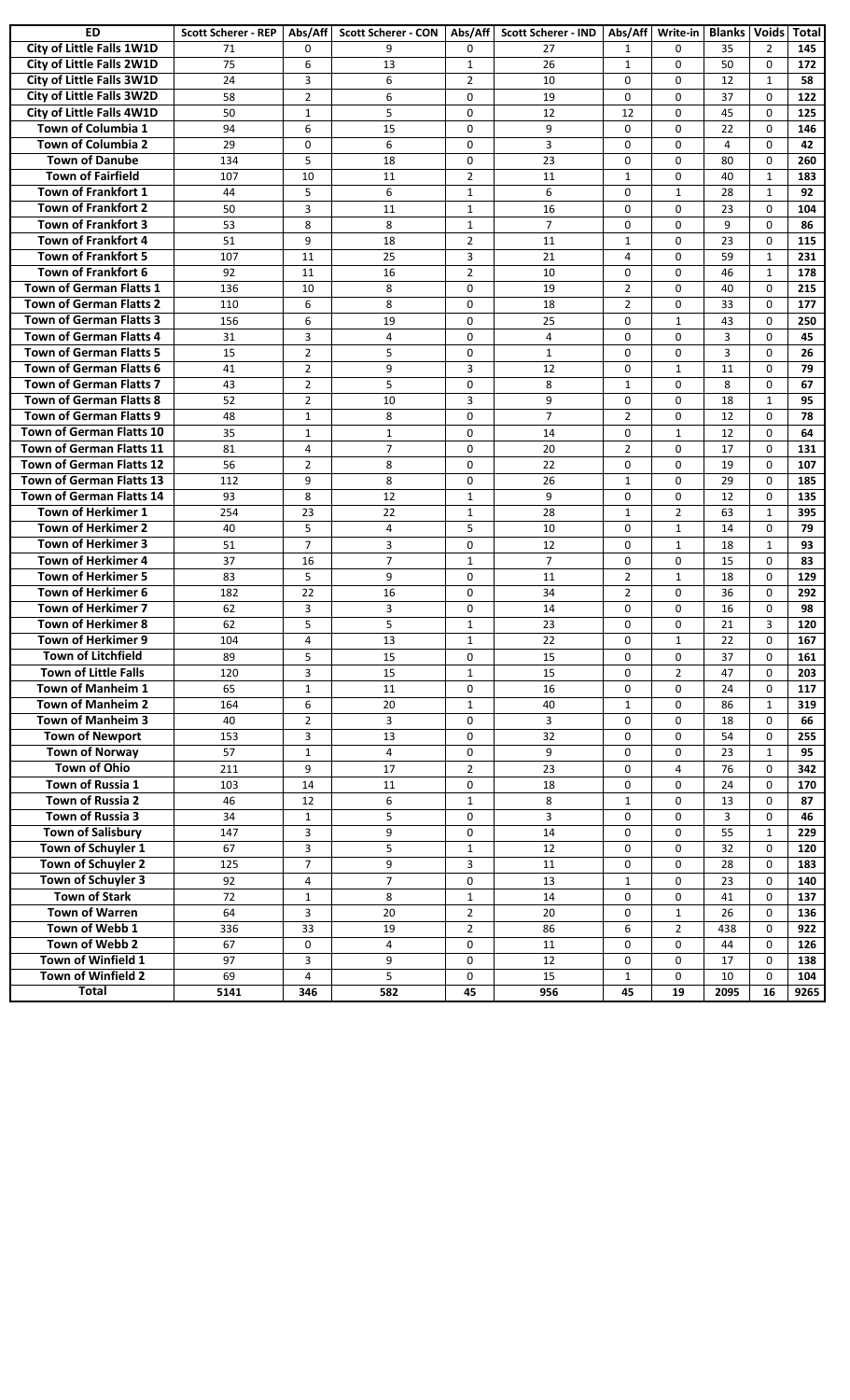| ED                              | <b>Scott Scherer - REP</b> | Abs/Aff          | <b>Scott Scherer - CON</b> | Abs/Aff        | <b>Scott Scherer - IND</b> | Abs/Aff        | Write-in       | <b>Blanks   Voids   Total</b> |              |      |
|---------------------------------|----------------------------|------------------|----------------------------|----------------|----------------------------|----------------|----------------|-------------------------------|--------------|------|
| City of Little Falls 1W1D       | 71                         | $\mathbf{0}$     | 9                          | $\Omega$       | 27                         | $\mathbf{1}$   | $\Omega$       | 35                            | 2            | 145  |
| City of Little Falls 2W1D       | 75                         | 6                | 13                         | $\mathbf{1}$   | 26                         | $\mathbf{1}$   | $\Omega$       | 50                            | $\Omega$     | 172  |
| City of Little Falls 3W1D       | 24                         | 3                | 6                          | $\overline{2}$ | 10                         | $\Omega$       | $\Omega$       | 12                            | $\mathbf{1}$ | 58   |
| City of Little Falls 3W2D       | 58                         | $\overline{2}$   | 6                          | 0              | 19                         | $\mathbf 0$    | $\Omega$       | 37                            | $\mathbf{0}$ | 122  |
| City of Little Falls 4W1D       | 50                         | $\mathbf{1}$     | 5                          | $\mathbf 0$    | 12                         | 12             | $\Omega$       | 45                            | $\mathbf{0}$ | 125  |
| Town of Columbia 1              | 94                         | 6                | 15                         | $\Omega$       | 9                          | $\Omega$       | $\Omega$       | 22                            | $\Omega$     | 146  |
| Town of Columbia 2              | 29                         | $\mathbf 0$      | 6                          | $\mathbf 0$    | 3                          | $\mathbf 0$    | $\Omega$       | $\overline{4}$                | $\Omega$     | 42   |
| <b>Town of Danube</b>           | 134                        | 5                | 18                         | $\mathbf 0$    | 23                         | 0              | $\Omega$       | 80                            | $\Omega$     | 260  |
| <b>Town of Fairfield</b>        | 107                        | 10               | 11                         | $\overline{2}$ | 11                         | $\mathbf{1}$   | $\Omega$       | 40                            | $\mathbf{1}$ | 183  |
| Town of Frankfort 1             | 44                         | 5                | 6                          | $\mathbf{1}$   | 6                          | $\mathbf 0$    | $\mathbf{1}$   | 28                            | $\mathbf{1}$ | 92   |
| <b>Town of Frankfort 2</b>      | 50                         | $\overline{3}$   | 11                         | $\mathbf{1}$   | 16                         | 0              | $\Omega$       | 23                            | $\mathbf{0}$ | 104  |
| <b>Town of Frankfort 3</b>      | 53                         | 8                | 8                          | $\mathbf{1}$   | $\overline{7}$             | 0              | $\Omega$       | 9                             | $\Omega$     | 86   |
| <b>Town of Frankfort 4</b>      | 51                         | 9                | 18                         | $\overline{2}$ | 11                         | $\mathbf{1}$   | $\Omega$       | 23                            | $\Omega$     | 115  |
| <b>Town of Frankfort 5</b>      | 107                        | 11               | 25                         | 3              | 21                         | 4              | $\Omega$       | 59                            | $\mathbf{1}$ | 231  |
| Town of Frankfort 6             | 92                         | 11               | 16                         | $\overline{2}$ | 10                         | 0              | $\Omega$       | 46                            | $\mathbf{1}$ | 178  |
| <b>Town of German Flatts 1</b>  | 136                        | 10               | 8                          | $\mathbf 0$    | 19                         | $\overline{2}$ | $\Omega$       | 40                            | $\mathbf{0}$ | 215  |
| <b>Town of German Flatts 2</b>  | 110                        | 6                | 8                          | 0              | 18                         | $\overline{2}$ | $\Omega$       | 33                            | $\mathbf{0}$ | 177  |
| <b>Town of German Flatts 3</b>  | 156                        | 6                | 19                         | 0              | 25                         | $\mathbf 0$    | 1              | 43                            | $\mathbf{0}$ | 250  |
| <b>Town of German Flatts 4</b>  | 31                         | 3                | $\overline{4}$             | $\mathbf 0$    | $\overline{4}$             | $\mathbf 0$    | $\Omega$       | 3                             | $\mathbf{0}$ | 45   |
| <b>Town of German Flatts 5</b>  | 15                         | $\overline{2}$   | 5                          | 0              | $\mathbf{1}$               | $\Omega$       | $\Omega$       | 3                             | $\Omega$     | 26   |
| <b>Town of German Flatts 6</b>  | 41                         | $\overline{2}$   | 9                          | 3              | 12                         | $\mathbf 0$    | $\mathbf{1}$   | 11                            | $\mathbf{0}$ | 79   |
| <b>Town of German Flatts 7</b>  | 43                         | $\overline{2}$   | 5                          | $\mathbf 0$    | 8                          | $\mathbf{1}$   | $\Omega$       | 8                             | $\Omega$     | 67   |
| <b>Town of German Flatts 8</b>  | 52                         | $\overline{2}$   | 10                         | 3              | 9                          | 0              | $\Omega$       | 18                            | $\mathbf{1}$ | 95   |
| Town of German Flatts 9         | 48                         | $\mathbf{1}$     | 8                          | $\mathbf 0$    | $\overline{7}$             | $\overline{2}$ | $\Omega$       | 12                            | $\Omega$     | 78   |
| <b>Town of German Flatts 10</b> | 35                         | $\mathbf{1}$     | $\mathbf{1}$               | $\mathbf 0$    | 14                         | 0              | $\mathbf{1}$   | 12                            | $\Omega$     | 64   |
| <b>Town of German Flatts 11</b> | 81                         | $\overline{4}$   | $\overline{7}$             | 0              | 20                         | $\overline{2}$ | $\Omega$       | 17                            | $\Omega$     | 131  |
| <b>Town of German Flatts 12</b> | 56                         | $\overline{2}$   | 8                          | 0              | 22                         | 0              | $\Omega$       | 19                            | $\Omega$     | 107  |
| <b>Town of German Flatts 13</b> | 112                        | 9                | 8                          | $\mathbf 0$    | 26                         | $\mathbf{1}$   | $\Omega$       | 29                            | $\Omega$     | 185  |
| Town of German Flatts 14        | 93                         | 8                | 12                         | $\mathbf{1}$   | 9                          | 0              | $\Omega$       | 12                            | $\mathbf{0}$ | 135  |
| <b>Town of Herkimer 1</b>       | 254                        | 23               | 22                         | $\mathbf{1}$   | 28                         | $\mathbf{1}$   | $\overline{2}$ | 63                            | $\mathbf{1}$ | 395  |
| <b>Town of Herkimer 2</b>       | 40                         | 5                | $\overline{4}$             | 5              | 10                         | $\Omega$       | $\mathbf{1}$   | 14                            | $\Omega$     | 79   |
| <b>Town of Herkimer 3</b>       | 51                         | $\overline{7}$   | 3                          | $\mathbf 0$    | 12                         | $\mathbf 0$    | $\mathbf{1}$   | 18                            | $\mathbf{1}$ | 93   |
| <b>Town of Herkimer 4</b>       | 37                         | 16               | $\overline{7}$             | $\mathbf{1}$   | $\overline{7}$             | 0              | $\Omega$       | 15                            | $\Omega$     | 83   |
| <b>Town of Herkimer 5</b>       | 83                         | 5                | 9                          | $\mathbf 0$    | 11                         | $\overline{2}$ | $\mathbf{1}$   | 18                            | $\Omega$     | 129  |
| Town of Herkimer 6              | 182                        | 22               | 16                         | $\mathbf 0$    | 34                         | $\overline{2}$ | $\Omega$       | 36                            | $\mathbf 0$  | 292  |
| <b>Town of Herkimer 7</b>       | 62                         | 3                | 3                          | $\mathbf 0$    | 14                         | 0              | $\Omega$       | 16                            | $\Omega$     | 98   |
| <b>Town of Herkimer 8</b>       | 62                         | 5                | 5                          | $\mathbf{1}$   | 23                         | 0              | $\mathbf 0$    | 21                            | 3            | 120  |
| Town of Herkimer 9              | 104                        | $\overline{a}$   | 13                         | $\mathbf{1}$   | $\overline{22}$            | 0              | $\mathbf 1$    | $\overline{22}$               | $\pmb{0}$    | 167  |
| <b>Town of Litchfield</b>       | 89                         | 5                | 15                         | $\mathbf 0$    | 15                         | 0              | $\mathbf 0$    | 37                            | $\mathbf 0$  | 161  |
| <b>Town of Little Falls</b>     | 120                        | 3                | 15                         | $\mathbf{1}$   | 15                         | 0              | $\overline{2}$ | 47                            | $\Omega$     | 203  |
| Town of Manheim 1               | 65                         | $\mathbf{1}$     | 11                         | 0              | 16                         | 0              | $\mathbf 0$    | 24                            | $\mathbf 0$  | 117  |
| <b>Town of Manheim 2</b>        | 164                        | 6                | 20                         | $\mathbf{1}$   | 40                         | $\mathbf{1}$   | $\mathbf 0$    | 86                            | 1            | 319  |
| Town of Manheim 3               | 40                         | $\overline{2}$   | 3                          | 0              | 3                          | 0              | 0              | 18                            | 0            | 66   |
| <b>Town of Newport</b>          | 153                        | $\overline{3}$   | 13                         | 0              | 32                         | 0              | $\mathbf 0$    | 54                            | $\mathbf 0$  | 255  |
| <b>Town of Norway</b>           | 57                         | $\mathbf 1$      | $\overline{4}$             | 0              | 9                          | 0              | $\mathbf 0$    | 23                            | $\mathbf{1}$ | 95   |
| Town of Ohio                    | 211                        | 9                | 17                         | $\overline{2}$ | 23                         | 0              | $\overline{4}$ | 76                            | 0            | 342  |
| Town of Russia 1                | 103                        | 14               | 11                         | $\mathbf 0$    | 18                         | $\mathbf 0$    | $\mathbf 0$    | 24                            | $\mathbf 0$  | 170  |
| Town of Russia 2                | 46                         | 12               | 6                          | $\mathbf{1}$   | 8                          | $\mathbf{1}$   | $\mathbf 0$    | 13                            | 0            | 87   |
| Town of Russia 3                | 34                         | $\mathbf{1}$     | 5                          | $\mathbf 0$    | 3                          | $\mathbf 0$    | $\mathbf 0$    | $\overline{3}$                | $\Omega$     | 46   |
| <b>Town of Salisbury</b>        | 147                        | $\overline{3}$   | 9                          | $\mathbf 0$    | 14                         | 0              | $\mathbf 0$    | 55                            | $\mathbf{1}$ | 229  |
| Town of Schuyler 1              | 67                         | $\mathbf{3}$     | 5                          | $\mathbf{1}$   | 12                         | 0              | $\mathbf 0$    | 32                            | $\mathbf 0$  | 120  |
| Town of Schuyler 2              | 125                        | $\boldsymbol{7}$ | 9                          | 3              | 11                         | 0              | $\mathbf 0$    | 28                            | $\mathbf 0$  | 183  |
| Town of Schuyler 3              | 92                         | 4                | 7                          | 0              | 13                         | $\mathbf{1}$   | $\mathbf 0$    | 23                            | $\mathbf 0$  | 140  |
| <b>Town of Stark</b>            | 72                         | $\mathbf{1}$     | 8                          | $\mathbf{1}$   | 14                         | 0              | 0              | 41                            | 0            | 137  |
| <b>Town of Warren</b>           | 64                         | $\overline{3}$   | 20                         | $\overline{2}$ | 20                         | 0              | $\mathbf{1}$   | 26                            | 0            | 136  |
| Town of Webb 1                  | 336                        | 33               | 19                         | $\overline{2}$ | 86                         | 6              | $\overline{2}$ | 438                           | 0            | 922  |
| Town of Webb 2                  | 67                         | $\mathbf 0$      | 4                          | 0              | 11                         | 0              | $\mathbf 0$    | 44                            | 0            | 126  |
| Town of Winfield 1              | 97                         | $\overline{3}$   | 9                          | $\mathbf 0$    | 12                         | 0              | $\mathbf 0$    | 17                            | $\mathbf 0$  | 138  |
| Town of Winfield 2              | 69                         | $\overline{4}$   | 5                          | $\mathbf 0$    | 15                         | $\mathbf{1}$   | $\mathbf 0$    | 10                            | $\Omega$     | 104  |
| Total                           | 5141                       | 346              | 582                        | 45             | 956                        | 45             | 19             | 2095                          | 16           | 9265 |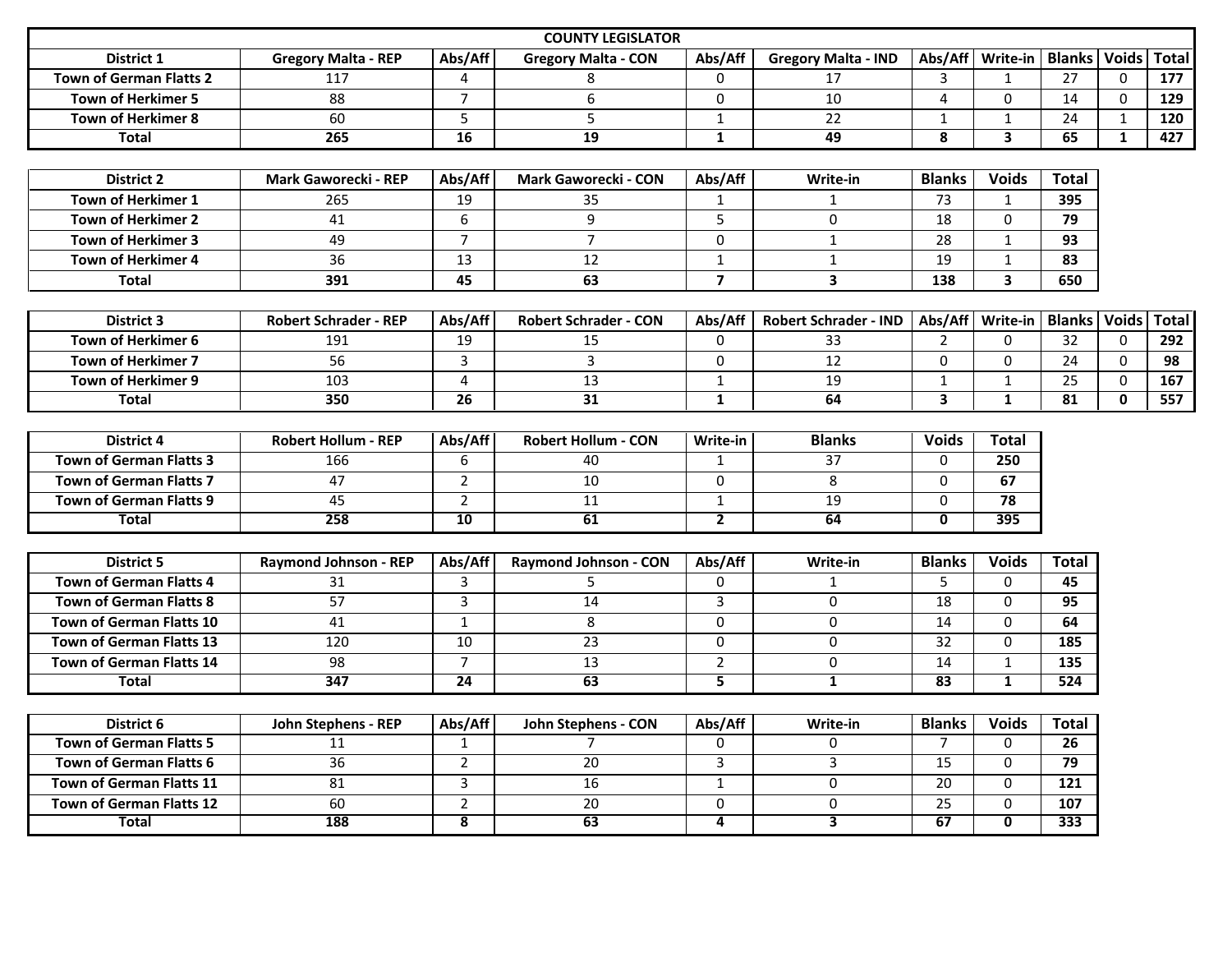|                                 |                              |                         | <b>COUNTY LEGISLATOR</b>     |                         |                              |                         |                         |               |              |              |
|---------------------------------|------------------------------|-------------------------|------------------------------|-------------------------|------------------------------|-------------------------|-------------------------|---------------|--------------|--------------|
| District 1                      | <b>Gregory Malta - REP</b>   | Abs/Aff                 | <b>Gregory Malta - CON</b>   | Abs/Aff                 | <b>Gregory Malta - IND</b>   | Abs/Aff                 | Write-in   Blanks       |               | <b>Voids</b> | <b>Total</b> |
| <b>Town of German Flatts 2</b>  | 117                          | 4                       | 8                            | $\mathbf 0$             | 17                           | 3                       | 1                       | 27            | $\Omega$     | 177          |
| <b>Town of Herkimer 5</b>       | 88                           | $\overline{7}$          | $\boldsymbol{6}$             | $\Omega$                | 10                           | $\overline{4}$          | $\mathbf{0}$            | 14            | $\Omega$     | 129          |
| <b>Town of Herkimer 8</b>       | 60                           | 5                       | 5                            | $\mathbf{1}$            | 22                           | $\mathbf{1}$            | $\mathbf{1}$            | 24            | $\mathbf{1}$ | 120          |
| <b>Total</b>                    | 265                          | 16                      | $\overline{19}$              | $\mathbf{1}$            | 49                           | 8                       | $\overline{\mathbf{3}}$ | 65            | $\mathbf{1}$ | 427          |
|                                 |                              |                         |                              |                         |                              |                         |                         |               |              |              |
| <b>District 2</b>               | <b>Mark Gaworecki - REP</b>  | Abs/Aff                 | <b>Mark Gaworecki - CON</b>  | Abs/Aff                 | Write-in                     | <b>Blanks</b>           | <b>Voids</b>            | <b>Total</b>  |              |              |
| Town of Herkimer 1              | 265                          | 19                      | 35                           | $\mathbf{1}$            | $\mathbf{1}$                 | 73                      | $\mathbf{1}$            | 395           |              |              |
| Town of Herkimer 2              | 41                           | 6                       | 9                            | 5                       | 0                            | 18                      | $\mathbf 0$             | 79            |              |              |
| <b>Town of Herkimer 3</b>       | 49                           | $\overline{7}$          | $\overline{7}$               | $\mathbf 0$             | $\mathbf{1}$                 | 28                      | 1                       | 93            |              |              |
| Town of Herkimer 4              | $\overline{36}$              | 13                      | 12                           | $\mathbf{1}$            | $\mathbf{1}$                 | 19                      | $\mathbf 1$             | 83            |              |              |
| <b>Total</b>                    | 391                          | 45                      | 63                           | $\overline{\mathbf{z}}$ | $\mathbf{3}$                 | 138                     | $\mathbf{3}$            | 650           |              |              |
|                                 |                              |                         |                              |                         |                              |                         |                         |               |              |              |
| <b>District 3</b>               | <b>Robert Schrader - REP</b> | Abs/Aff                 | <b>Robert Schrader - CON</b> | Abs/Aff                 | <b>Robert Schrader - IND</b> | Abs/Aff                 | Write-in                | <b>Blanks</b> | <b>Voids</b> | <b>Total</b> |
| Town of Herkimer 6              | 191                          | 19                      | 15                           | 0                       | 33                           | $\overline{2}$          | $\mathbf 0$             | 32            | $\mathbf 0$  | 292          |
| <b>Town of Herkimer 7</b>       | 56                           | 3                       | $\overline{3}$               | $\mathbf 0$             | 12                           | $\Omega$                | $\mathbf{0}$            | 24            | $\Omega$     | 98           |
| Town of Herkimer 9              | 103                          | $\overline{4}$          | 13                           | $\mathbf{1}$            | 19                           | $\mathbf{1}$            | 1                       | 25            | $\mathbf{0}$ | 167          |
| <b>Total</b>                    | 350                          | 26                      | 31                           | $\mathbf{1}$            | 64                           | $\overline{\mathbf{3}}$ | $\mathbf{1}$            | 81            | $\mathbf{0}$ | 557          |
|                                 |                              |                         |                              |                         |                              |                         |                         |               |              |              |
| <b>District 4</b>               | <b>Robert Hollum - REP</b>   | Abs/Aff                 | <b>Robert Hollum - CON</b>   | Write-in                | <b>Blanks</b>                | <b>Voids</b>            | <b>Total</b>            |               |              |              |
| <b>Town of German Flatts 3</b>  | 166                          | 6                       | 40                           | $\mathbf{1}$            | $\overline{37}$              | $\Omega$                | $\overline{250}$        |               |              |              |
| <b>Town of German Flatts 7</b>  | 47                           | $2^{\circ}$             | 10                           | $\mathbf 0$             | 8                            | $\Omega$                | 67                      |               |              |              |
| <b>Town of German Flatts 9</b>  | 45                           | $\overline{2}$          | 11                           | $\mathbf{1}$            | 19                           | 0                       | $\overline{78}$         |               |              |              |
| <b>Total</b>                    | 258                          | $\overline{10}$         | 61                           | $\overline{2}$          | 64                           | $\mathbf{0}$            | 395                     |               |              |              |
|                                 |                              |                         |                              |                         |                              |                         |                         |               |              |              |
| <b>District 5</b>               | Raymond Johnson - REP        | Abs/Aff                 | Raymond Johnson - CON        | Abs/Aff                 | Write-in                     | <b>Blanks</b>           | <b>Voids</b>            | <b>Total</b>  |              |              |
| <b>Town of German Flatts 4</b>  | 31                           | 3                       | 5                            | $\Omega$                | $\mathbf{1}$                 | 5                       | $\mathbf{0}$            | 45            |              |              |
| <b>Town of German Flatts 8</b>  | 57                           | 3                       | 14                           | 3                       | $\mathbf{0}$                 | 18                      | $\mathbf 0$             | 95            |              |              |
| <b>Town of German Flatts 10</b> | 41                           | $\mathbf{1}$            | 8                            | 0                       | 0                            | $\overline{14}$         | $\mathbf 0$             | 64            |              |              |
| <b>Town of German Flatts 13</b> | 120                          | 10                      | $\overline{23}$              | 0                       | 0                            | $\overline{32}$         | $\mathbf 0$             | 185           |              |              |
| <b>Town of German Flatts 14</b> | $\overline{98}$              | $\overline{7}$          | $\overline{13}$              | $\overline{2}$          | 0                            | 14                      | 1                       | 135           |              |              |
| <b>Total</b>                    | 347                          | $\overline{24}$         | 63                           | 5                       | $\overline{1}$               | $\overline{83}$         | $\mathbf{1}$            | 524           |              |              |
|                                 |                              |                         |                              |                         |                              |                         |                         |               |              |              |
| District 6                      | John Stephens - REP          | Abs/Aff                 | John Stephens - CON          | Abs/Aff                 | Write-in                     | <b>Blanks</b>           | <b>Voids</b>            | <b>Total</b>  |              |              |
| <b>Town of German Flatts 5</b>  | 11                           | $\mathbf{1}$            | 7                            | 0                       | 0                            | $\overline{7}$          | $\mathbf 0$             | 26            |              |              |
| <b>Town of German Flatts 6</b>  | $\overline{36}$              | $\overline{2}$          | $\overline{20}$              | $\overline{3}$          | 3                            | 15                      | $\mathbf 0$             | 79            |              |              |
| Town of German Flatts 11        | 81                           | 3                       | 16                           | $\mathbf{1}$            | $\Omega$                     | 20                      | $\mathbf{0}$            | 121           |              |              |
| <b>Town of German Flatts 12</b> | 60                           | $\overline{2}$          | 20                           | $\mathbf 0$             | 0                            | $\overline{25}$         | $\mathbf 0$             | 107           |              |              |
| <b>Total</b>                    | 188                          | $\overline{\mathbf{8}}$ | 63                           | $\overline{4}$          | $\overline{\mathbf{3}}$      | 67                      | $\mathbf{0}$            | 333           |              |              |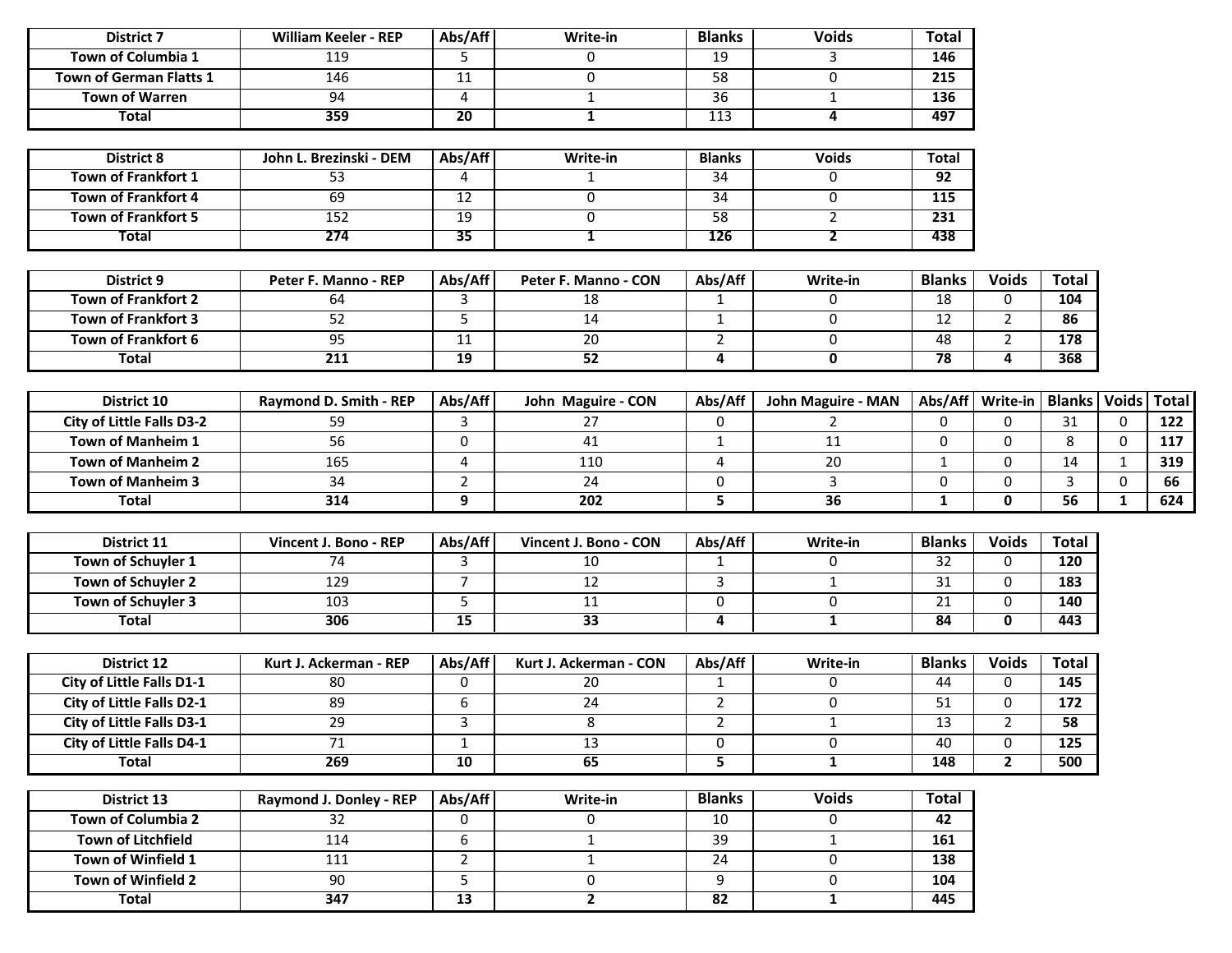| <b>District 7</b>                | <b>William Keeler - REP</b> | Abs/Aff         | Write-in               | <b>Blanks</b>           | <b>Voids</b>              | <b>Total</b>    |                                     |              |              |              |
|----------------------------------|-----------------------------|-----------------|------------------------|-------------------------|---------------------------|-----------------|-------------------------------------|--------------|--------------|--------------|
| Town of Columbia 1               | 119                         | 5               | $\mathbf 0$            | 19                      | 3                         | 146             |                                     |              |              |              |
| Town of German Flatts 1          | $\frac{146}{ }$             | $\overline{11}$ | $\pmb{0}$              | 58                      | 0                         | 215             |                                     |              |              |              |
| <b>Town of Warren</b>            | 94                          | $\overline{4}$  | $\mathbf{1}$           | $\overline{36}$         | $\mathbf{1}$              | 136             |                                     |              |              |              |
| <b>Total</b>                     | 359                         | 20              | $\mathbf{1}$           | 113                     | 4                         | 497             |                                     |              |              |              |
|                                  |                             |                 |                        |                         |                           |                 |                                     |              |              |              |
| <b>District 8</b>                | John L. Brezinski - DEM     | Abs/Aff         | Write-in               | <b>Blanks</b>           | <b>Voids</b>              | <b>Total</b>    |                                     |              |              |              |
| <b>Town of Frankfort 1</b>       | $\overline{53}$             | 4               | $\mathbf{1}$           | 34                      | 0                         | $\overline{92}$ |                                     |              |              |              |
| <b>Town of Frankfort 4</b>       | 69                          | 12              | $\mathbf 0$            | $\overline{34}$         | 0                         | 115             |                                     |              |              |              |
| <b>Town of Frankfort 5</b>       | 152                         | 19              | 0                      | 58                      | $\overline{2}$            | 231             |                                     |              |              |              |
| <b>Total</b>                     | 274                         | 35              | $\mathbf{1}$           | <b>126</b>              | $\overline{2}$            | 438             |                                     |              |              |              |
|                                  |                             |                 |                        |                         |                           |                 |                                     |              |              |              |
| <b>District 9</b>                | Peter F. Manno - REP        | Abs/Aff         | Peter F. Manno - CON   | Abs/Aff                 | Write-in                  | <b>Blanks</b>   | <b>Voids</b>                        | <b>Total</b> |              |              |
| <b>Town of Frankfort 2</b>       | 64                          | 3               | 18                     | $\mathbf{1}$            | 0                         | 18              | $\Omega$                            | 104          |              |              |
| <b>Town of Frankfort 3</b>       | 52                          | 5               | 14                     | $\mathbf{1}$            | $\mathbf 0$               | 12              | $\overline{2}$                      | 86           |              |              |
| <b>Town of Frankfort 6</b>       | 95                          | 11              | 20                     | $\overline{2}$          | 0                         | 48              | $\overline{2}$                      | 178          |              |              |
| <b>Total</b>                     | $\overline{211}$            | 19              | 52                     | $\overline{\mathbf{A}}$ | $\mathbf 0$               | 78              | 4                                   | 368          |              |              |
|                                  |                             |                 |                        |                         |                           |                 |                                     |              |              |              |
| District 10                      | Raymond D. Smith - REP      | Abs/Aff         | John Maguire - CON     | Abs/Aff                 | <b>John Maguire - MAN</b> |                 | Abs/Aff   Write-in   Blanks   Voids |              |              | <b>Total</b> |
| <b>City of Little Falls D3-2</b> | 59                          | 3               | 27                     | $\boldsymbol{0}$        | $\overline{2}$            | $\mathbf 0$     | $\Omega$                            | 31           | $\mathbf{0}$ | 122          |
| Town of Manheim 1                | 56                          | 0               | 41                     | $\mathbf{1}$            | 11                        | $\Omega$        | $\Omega$                            | 8            | $\Omega$     | 117          |
| <b>Town of Manheim 2</b>         | 165                         | 4               | 110                    | $\overline{4}$          | 20                        | $\mathbf{1}$    | $\mathbf{0}$                        | 14           | 1            | 319          |
| <b>Town of Manheim 3</b>         | 34                          | $\overline{2}$  | 24                     | $\boldsymbol{0}$        | 3                         | 0               | 0                                   | 3            | $\mathbf 0$  | 66           |
| <b>Total</b>                     | 314                         | 9               | 202                    | 5                       | $\overline{36}$           | $\mathbf{1}$    | 0                                   | 56           | $\mathbf{1}$ | 624          |
|                                  |                             |                 |                        |                         |                           |                 |                                     |              |              |              |
| District 11                      | Vincent J. Bono - REP       | Abs/Aff         | Vincent J. Bono - CON  | Abs/Aff                 | Write-in                  | <b>Blanks</b>   | <b>Voids</b>                        | <b>Total</b> |              |              |
| Town of Schuyler 1               | 74                          | 3               | 10                     | $\mathbf{1}$            | 0                         | $\overline{32}$ | $\mathbf{0}$                        | 120          |              |              |
| Town of Schuyler 2               | 129                         | $\overline{7}$  | $\overline{12}$        | $\overline{3}$          | $\mathbf{1}$              | 31              | 0                                   | 183          |              |              |
| Town of Schuyler 3               | 103                         | 5               | 11                     | $\mathbf 0$             | 0                         | 21              | 0                                   | 140          |              |              |
| <b>Total</b>                     | 306                         | 15              | 33                     | $\overline{\mathbf{4}}$ | $\mathbf{1}$              | 84              | 0                                   | 443          |              |              |
|                                  |                             |                 |                        |                         |                           |                 |                                     |              |              |              |
| District 12                      | Kurt J. Ackerman - REP      | Abs/Aff         | Kurt J. Ackerman - CON | Abs/Aff                 | Write-in                  | <b>Blanks</b>   | <b>Voids</b>                        | <b>Total</b> |              |              |
| <b>City of Little Falls D1-1</b> | 80                          | 0               | 20                     | $\mathbf{1}$            | 0                         | 44              | $\Omega$                            | 145          |              |              |
| City of Little Falls D2-1        | 89                          | 6               | 24                     | $\overline{2}$          | 0                         | 51              | 0                                   | 172          |              |              |
| City of Little Falls D3-1        | 29                          | 3               | $\overline{8}$         | $\overline{2}$          | $\mathbf 1$               | 13              | $\overline{a}$                      | 58           |              |              |
| <b>City of Little Falls D4-1</b> | 71                          | $\mathbf{1}$    | 13                     | $\mathbf 0$             | 0                         | 40              | $\mathbf{0}$                        | 125          |              |              |
| <b>Total</b>                     | 269                         | 10              | 65                     | $\overline{\mathbf{5}}$ | $\mathbf{1}$              | 148             | $\mathbf{2}$                        | 500          |              |              |
|                                  |                             |                 |                        |                         |                           |                 |                                     |              |              |              |
| District 13                      | Raymond J. Donley - REP     | Abs/Aff         | Write-in               | <b>Blanks</b>           | <b>Voids</b>              | <b>Total</b>    |                                     |              |              |              |
| Town of Columbia 2               | 32                          | 0               | 0                      | 10                      | $\mathbf 0$               | 42              |                                     |              |              |              |
| Town of Litchfield               | 114                         | 6               | $\mathbf{1}$           | 39                      | $\mathbf{1}$              | 161             |                                     |              |              |              |
| Town of Winfield 1               | 111                         | $\overline{2}$  | $\mathbf{1}$           | 24                      | $\mathbf{0}$              | 138             |                                     |              |              |              |
| Town of Winfield 2               | 90                          | 5               | $\mathbf 0$            | 9                       | $\mathbf 0$               | 104             |                                     |              |              |              |
| <b>Total</b>                     | 347                         | 13              | $\mathbf{2}$           | 82                      | $\mathbf{1}$              | 445             |                                     |              |              |              |
|                                  |                             |                 |                        |                         |                           |                 |                                     |              |              |              |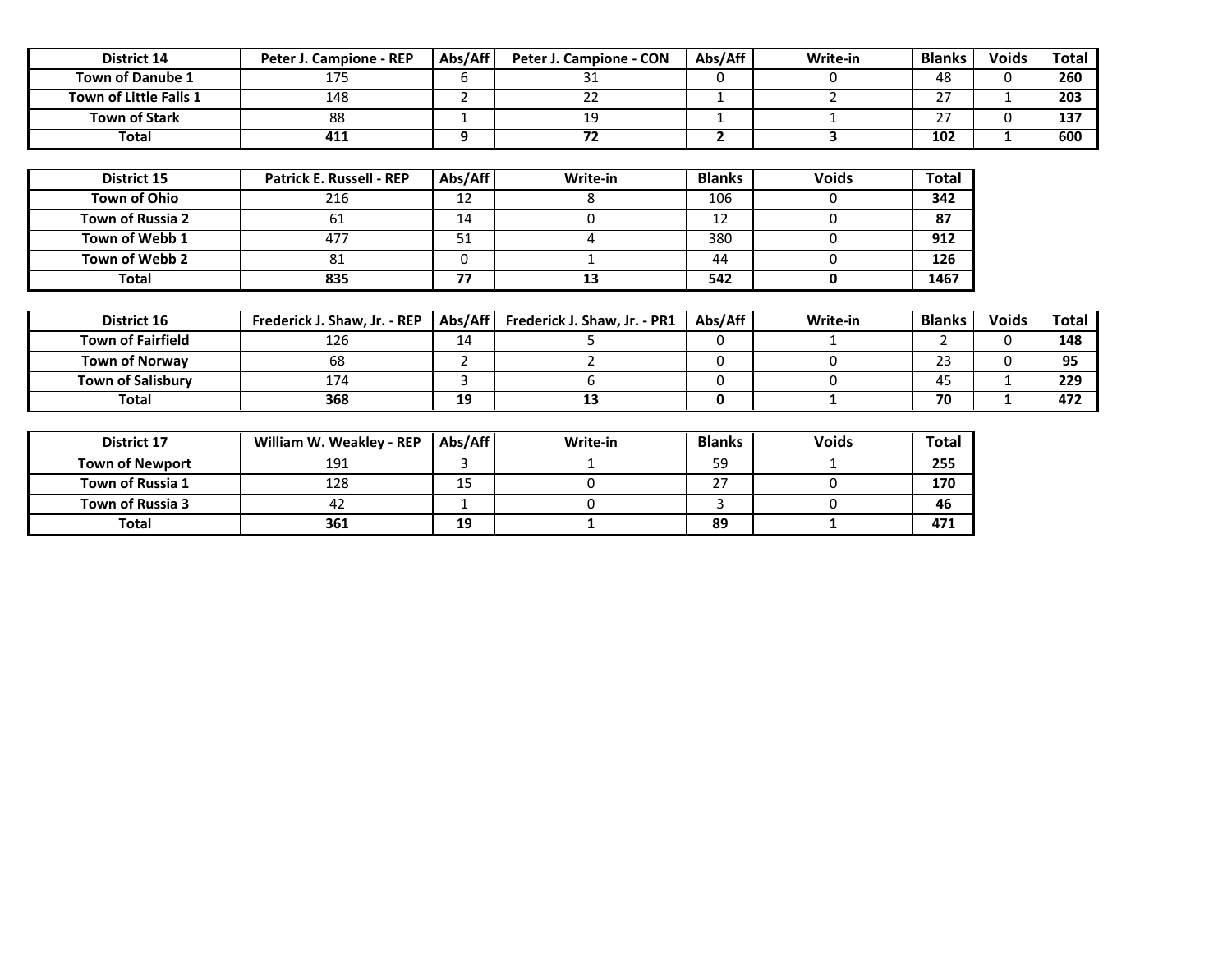| District 14              | Peter J. Campione - REP      | Abs/Aff        | Peter J. Campione - CON      | Abs/Aff        | Write-in       | <b>Blanks</b>  | <b>Voids</b> | <b>Total</b> |
|--------------------------|------------------------------|----------------|------------------------------|----------------|----------------|----------------|--------------|--------------|
| <b>Town of Danube 1</b>  | 175                          | 6              | 31                           | $\mathbf 0$    | 0              | 48             | 0            | 260          |
| Town of Little Falls 1   | 148                          | $\overline{2}$ | 22                           | $\mathbf{1}$   | $\overline{2}$ | 27             | $\mathbf{1}$ | 203          |
| <b>Town of Stark</b>     | 88                           | $\mathbf{1}$   | 19                           | $\mathbf{1}$   |                | 27             | $\mathbf 0$  | 137          |
| Total                    | 411                          | 9              | 72                           | $\overline{2}$ | 3              | 102            | 1            | 600          |
|                          |                              |                |                              |                |                |                |              |              |
| District 15              | Patrick E. Russell - REP     | Abs/Aff        | Write-in                     | <b>Blanks</b>  | <b>Voids</b>   | <b>Total</b>   |              |              |
| Town of Ohio             | 216                          | 12             | 8                            | 106            | 0              | 342            |              |              |
| Town of Russia 2         | 61                           | 14             | 0                            | 12             | 0              | 87             |              |              |
| Town of Webb 1           | 477                          | 51             | 4                            | 380            | 0              | 912            |              |              |
| Town of Webb 2           | 81                           | 0              | $\mathbf{1}$                 | 44             | 0              | 126            |              |              |
|                          |                              |                |                              |                |                | 1467           |              |              |
| Total                    | 835                          | 77             | 13                           | 542            | 0              |                |              |              |
|                          |                              |                |                              |                |                |                |              |              |
| District 16              | Frederick J. Shaw, Jr. - REP | Abs/Aff        | Frederick J. Shaw, Jr. - PR1 | Abs/Aff        | Write-in       | <b>Blanks</b>  | <b>Voids</b> | <b>Total</b> |
| <b>Town of Fairfield</b> | 126                          | 14             | 5                            | $\mathbf 0$    |                | $\mathfrak{p}$ | $\mathbf{0}$ | 148          |
| <b>Town of Norway</b>    | 68                           | $\overline{2}$ | $\overline{2}$               | $\mathbf 0$    | 0              | 23             | $\mathbf{0}$ | 95           |
| <b>Town of Salisbury</b> | 174                          | 3              | 6                            | 0              | 0              | 45             | $\mathbf{1}$ | 229          |
| Total                    | 368                          | 19             | 13                           | 0              | 1              | 70             | 1            | 472          |
|                          |                              |                |                              |                |                |                |              |              |
| District 17              | William W. Weakley - REP     | Abs/Aff        | Write-in                     | <b>Blanks</b>  | <b>Voids</b>   | <b>Total</b>   |              |              |
| <b>Town of Newport</b>   | 191                          | 3              | 1                            | 59             |                | 255            |              |              |
| Town of Russia 1         | 128                          | 15             | 0                            | 27             | 0              | 170            |              |              |
| Town of Russia 3         | 42                           | 1              | $\pmb{0}$                    | 3              | 0              | 46             |              |              |
| Total                    | 361                          | 19             | 1                            | 89             | 1              | 471            |              |              |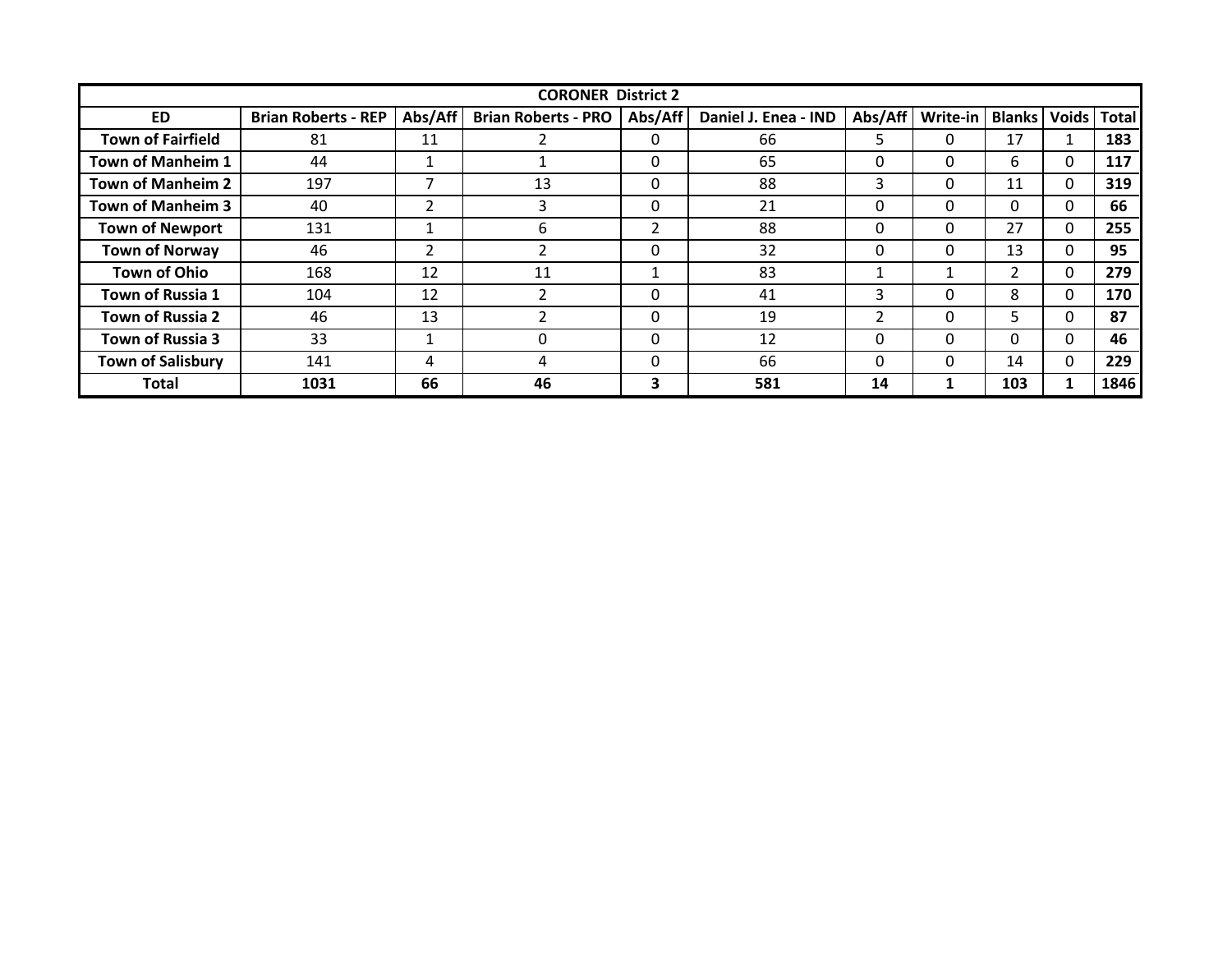|                          |                            |         | <b>CORONER District 2</b>  |                |                      |         |          |                |          |               |
|--------------------------|----------------------------|---------|----------------------------|----------------|----------------------|---------|----------|----------------|----------|---------------|
| <b>ED</b>                | <b>Brian Roberts - REP</b> | Abs/Aff | <b>Brian Roberts - PRO</b> | Abs/Aff        | Daniel J. Enea - IND | Abs/Aff | Write-in | <b>Blanks</b>  |          | Voids   Total |
| <b>Town of Fairfield</b> | 81                         | 11      |                            | 0              | 66                   | 5       | 0        | 17             |          | 183           |
| <b>Town of Manheim 1</b> | 44                         |         |                            | 0              | 65                   | 0       | $\Omega$ | 6              | 0        | 117           |
| <b>Town of Manheim 2</b> | 197                        | 7       | 13                         | $\Omega$       | 88                   | 3       | $\Omega$ | 11             | $\Omega$ | 319           |
| Town of Manheim 3        | 40                         | 2       | 3                          | 0              | 21                   | 0       | 0        | 0              | 0        | 66            |
| <b>Town of Newport</b>   | 131                        |         | h                          | $\overline{2}$ | 88                   | 0       | 0        | 27             | $\Omega$ | 255           |
| <b>Town of Norway</b>    | 46                         | 2       |                            | 0              | 32                   | 0       | $\Omega$ | 13             | 0        | 95            |
| <b>Town of Ohio</b>      | 168                        | 12      | 11                         |                | 83                   |         |          | $\overline{2}$ | 0        | 279           |
| Town of Russia 1         | 104                        | 12      |                            | 0              | 41                   | 3       | 0        | 8              | 0        | 170           |
| <b>Town of Russia 2</b>  | 46                         | 13      |                            | 0              | 19                   | 2       | $\Omega$ | 5              | $\Omega$ | 87            |
| Town of Russia 3         | 33                         |         |                            | $\Omega$       | 12                   | 0       | $\Omega$ | 0              | 0        | 46            |
| <b>Town of Salisbury</b> | 141                        | 4       | 4                          | 0              | 66                   | 0       | $\Omega$ | 14             | 0        | 229           |
| <b>Total</b>             | 1031                       | 66      | 46                         | 3              | 581                  | 14      |          | 103            | 1        | 1846          |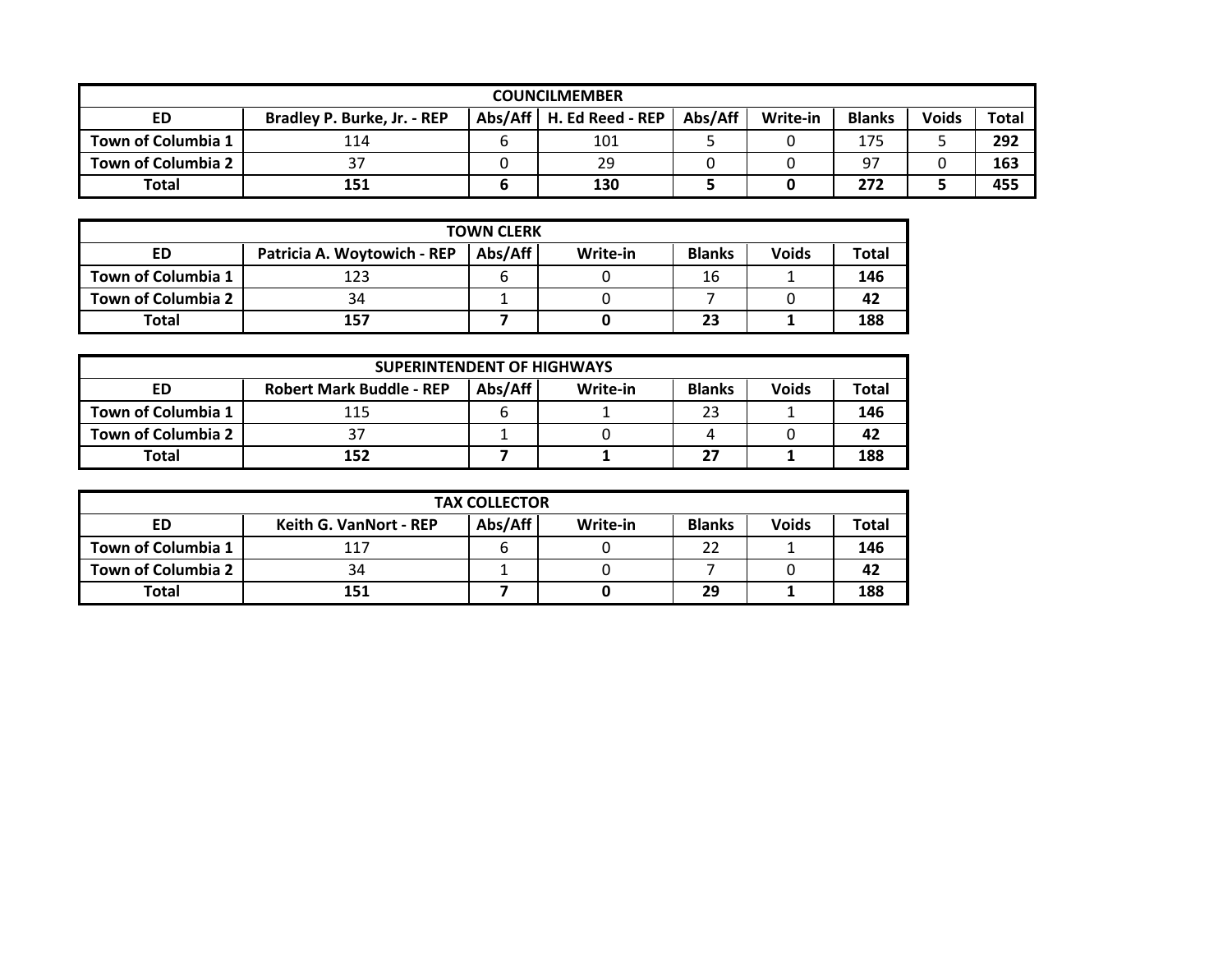|                           |                             |   | <b>COUNCILMEMBER</b>       |         |          |               |              |              |
|---------------------------|-----------------------------|---|----------------------------|---------|----------|---------------|--------------|--------------|
| ED                        | Bradley P. Burke, Jr. - REP |   | Abs/Aff   H. Ed Reed - REP | Abs/Aff | Write-in | <b>Blanks</b> | <b>Voids</b> | <b>Total</b> |
| Town of Columbia 1        | 114                         | b | 101                        |         |          | 175           |              | 292          |
| <b>Town of Columbia 2</b> |                             |   | 29                         |         |          | 97            |              | 163          |
| <b>Total</b>              | 151                         | ь | 130                        |         |          | 272           |              | 455          |

|                           |                             | <b>TOWN CLERK</b> |          |               |              |       |
|---------------------------|-----------------------------|-------------------|----------|---------------|--------------|-------|
| ED                        | Patricia A. Woytowich - REP | Abs/Aff           | Write-in | <b>Blanks</b> | <b>Voids</b> | Total |
| Town of Columbia 1        | 123                         |                   |          | 16            |              | 146   |
| <b>Town of Columbia 2</b> | 34                          |                   |          |               |              | 42    |
| <b>Total</b>              | 157                         |                   |          | 23            |              | 188   |

|                           | <b>SUPERINTENDENT OF HIGHWAYS</b> |         |          |               |              |       |  |  |  |  |
|---------------------------|-----------------------------------|---------|----------|---------------|--------------|-------|--|--|--|--|
| ED                        | <b>Robert Mark Buddle - REP</b>   | Abs/Aff | Write-in | <b>Blanks</b> | <b>Voids</b> | Total |  |  |  |  |
| Town of Columbia 1        | 115                               | b       |          | 23            |              | 146   |  |  |  |  |
| <b>Town of Columbia 2</b> |                                   |         |          |               |              | 42    |  |  |  |  |
| <b>Total</b>              | 152                               |         |          | "             |              | 188   |  |  |  |  |

|                    | <b>TAX COLLECTOR</b>          |         |          |               |              |       |  |  |  |  |
|--------------------|-------------------------------|---------|----------|---------------|--------------|-------|--|--|--|--|
| ED                 | <b>Keith G. VanNort - REP</b> | Abs/Aff | Write-in | <b>Blanks</b> | <b>Voids</b> | Total |  |  |  |  |
| Town of Columbia 1 | 117                           | b       |          | 22            |              | 146   |  |  |  |  |
| Town of Columbia 2 | 34                            |         |          |               |              | 42    |  |  |  |  |
| Total              | 151                           |         |          | 29            |              | 188   |  |  |  |  |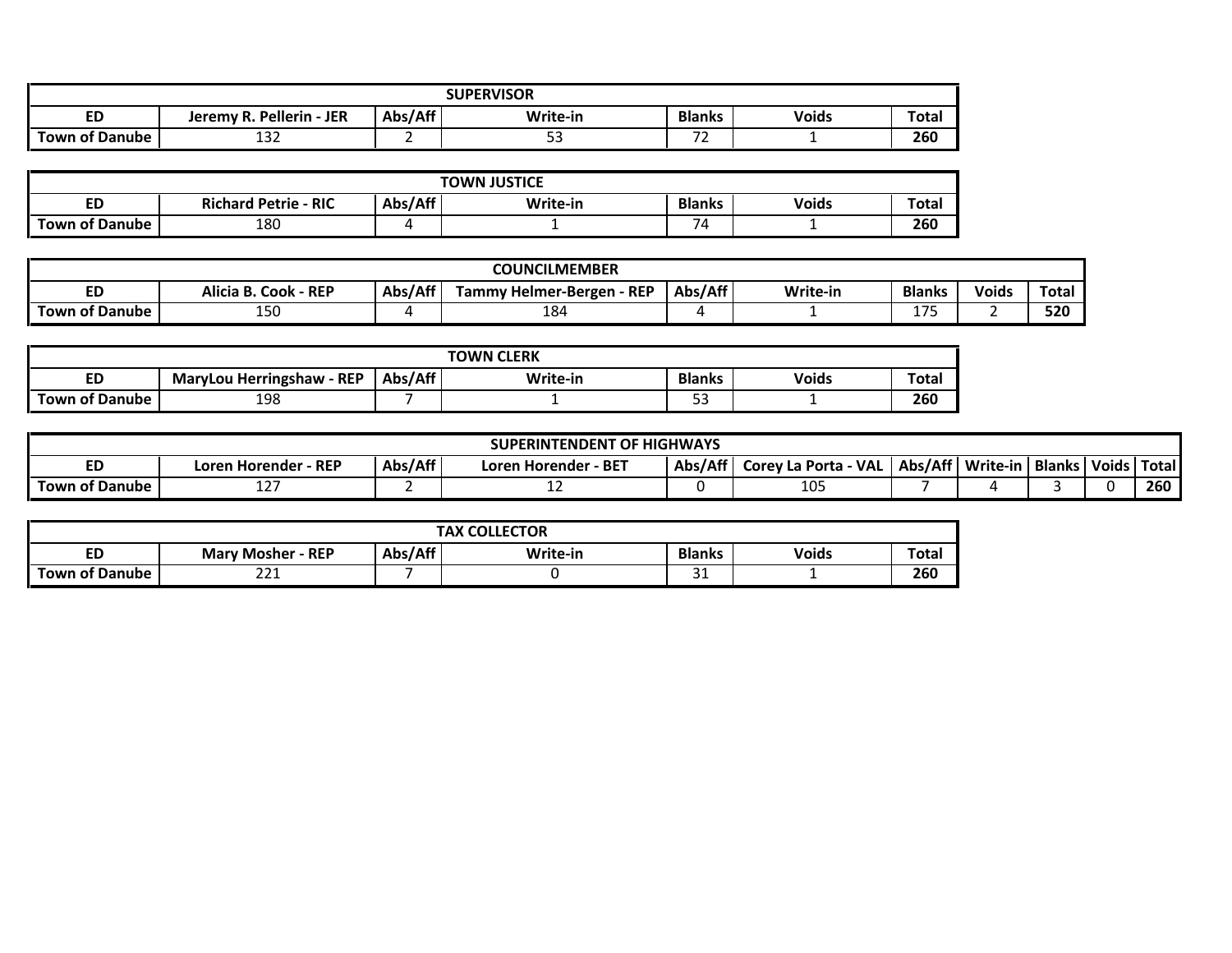|                       | <b>SUPERVISOR</b>             |                      |          |               |              |              |  |  |  |  |  |
|-----------------------|-------------------------------|----------------------|----------|---------------|--------------|--------------|--|--|--|--|--|
| ED                    | . Pellerin - JER<br>Jeremy R. | Abs/Aff <sup>1</sup> | Write-in | <b>Blanks</b> | <b>Voids</b> | <b>Total</b> |  |  |  |  |  |
| <b>Town of Danube</b> | $\sim$<br>ᆦᇰᄼ                 |                      | --       | <u>.</u>      |              | 260          |  |  |  |  |  |

|                       | <b>TOWN JUSTICE</b>         |         |          |               |              |              |  |  |  |  |  |
|-----------------------|-----------------------------|---------|----------|---------------|--------------|--------------|--|--|--|--|--|
| ED                    | <b>Richard Petrie - RIC</b> | Abs/Aff | Write-in | <b>Blanks</b> | <b>Voids</b> | <b>Total</b> |  |  |  |  |  |
| <b>Town of Danube</b> | 180                         |         |          | 771           |              | 260          |  |  |  |  |  |

|                       |                                             |         | <b>COUNCILMEMBER</b>                     |         |          |                                   |              |       |
|-----------------------|---------------------------------------------|---------|------------------------------------------|---------|----------|-----------------------------------|--------------|-------|
| ΕD                    | $\cdot$ - REP<br><b>Alicia B.</b><br>. Cook | Abs/Aff | $\lambda$ - REP<br>Tammy Helmer-Bergen · | Abs/Aff | Write-in | <b>Blanks</b>                     | <b>Voids</b> | Total |
| <b>Town of Danube</b> | ncı                                         |         | 184                                      |         |          | $\overline{\phantom{a}}$<br>- - - |              | 520   |

|                       |                                     |         | <b>TOWN CLERK</b> |               |              |              |
|-----------------------|-------------------------------------|---------|-------------------|---------------|--------------|--------------|
| ED                    | $\sim$ - REP<br>MaryLou Herringshaw | Abs/Aff | Write-in          | <b>Blanks</b> | <b>Voids</b> | <b>Total</b> |
| <b>Town of Danube</b> | 198                                 |         |                   | - -<br>--     |              | 260          |

| <b>TOF HIGHWAYS</b><br><b>SUPERINTENDENT</b> |                         |                         |         |                      |         |          |        |               |  |     |
|----------------------------------------------|-------------------------|-------------------------|---------|----------------------|---------|----------|--------|---------------|--|-----|
| ED                                           | - REP<br>Loren Horender | - BET<br>Loren Horender | Abs/Aff | Corey La Porta - VAL | Abs/Aff | Write-in | Blanks | Voids   Total |  |     |
| <b>Town of Danube</b>                        | --                      |                         | --      |                      | 105     |          |        |               |  | 260 |

|                     |                           |                      | <b>TAX COLLECTOR</b> |               |              |              |
|---------------------|---------------------------|----------------------|----------------------|---------------|--------------|--------------|
| ED                  | $=$ REP<br>Marv<br>Mosher | Abs/Aff <sup>1</sup> | Write-in             | <b>Blanks</b> | <b>Voids</b> | <b>Total</b> |
| Town J<br>of Danube | $\sim$<br><u>__ _</u>     |                      |                      | ັ             |              | 260          |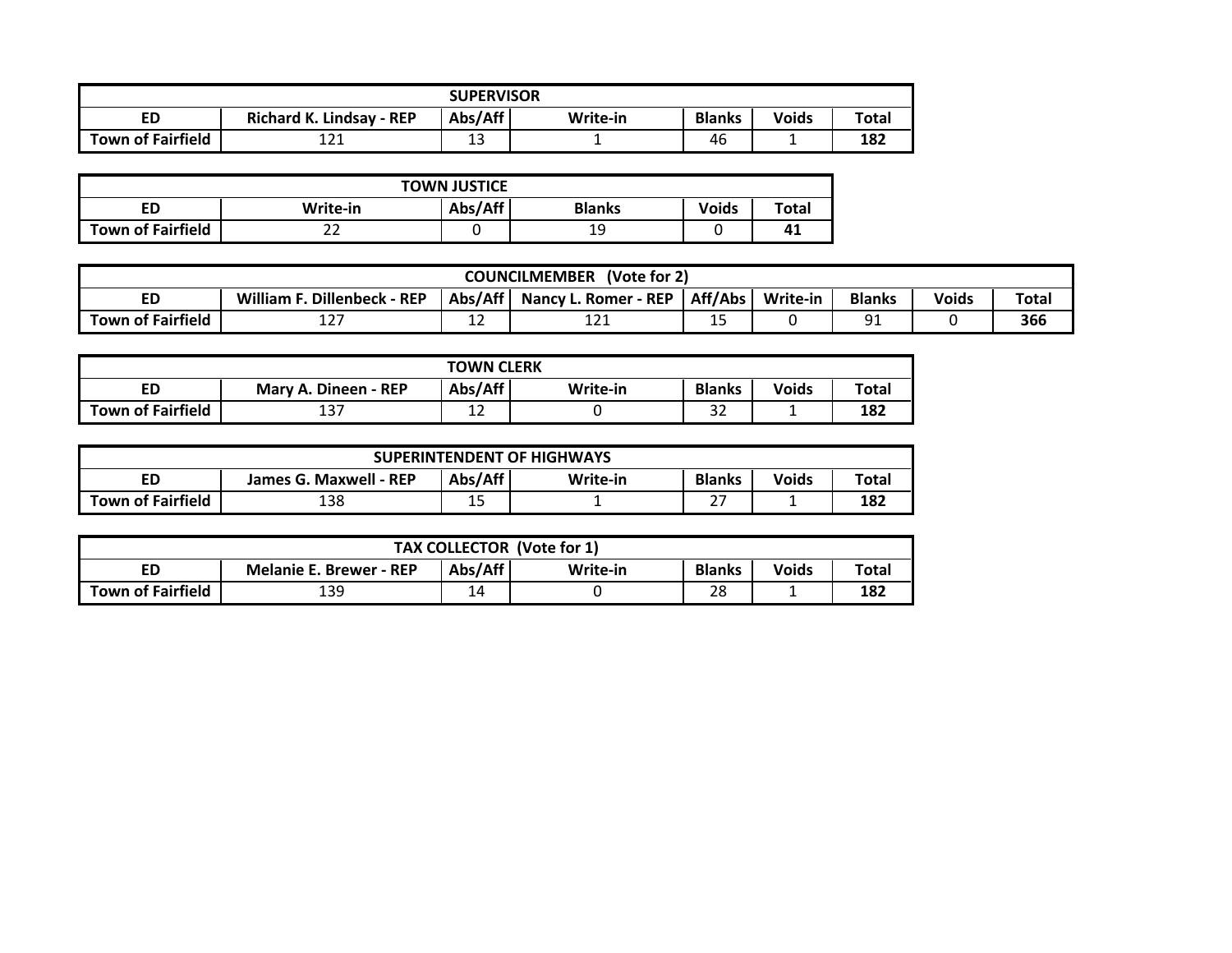| <b>SUPERVISOR</b>        |                                 |              |          |               |              |       |  |  |  |  |
|--------------------------|---------------------------------|--------------|----------|---------------|--------------|-------|--|--|--|--|
| ED                       | <b>Richard K. Lindsay - REP</b> | Abs/Aff      | Write-in | <b>Blanks</b> | <b>Voids</b> | Total |  |  |  |  |
| <b>Town of Fairfield</b> | 1つ1<br><b>____</b>              | $\sim$<br>τp |          | 46            |              | 182   |  |  |  |  |

| <b>TOWN JUSTICE</b>      |                                                               |  |    |  |    |  |  |  |  |  |
|--------------------------|---------------------------------------------------------------|--|----|--|----|--|--|--|--|--|
| ED                       | Abs/Aff<br><b>Voids</b><br>Write-in<br><b>Blanks</b><br>Total |  |    |  |    |  |  |  |  |  |
| <b>Town of Fairfield</b> | ے                                                             |  | 19 |  | 41 |  |  |  |  |  |

| <b>COUNCILMEMBER</b><br>(Vote for 2) |                                      |                                                                                                           |            |    |  |          |  |     |  |  |
|--------------------------------------|--------------------------------------|-----------------------------------------------------------------------------------------------------------|------------|----|--|----------|--|-----|--|--|
| cu                                   | . Dillenbeck - REP<br><b>William</b> | Aff/Abs  <br>Abs/Aff<br><b>Blanks</b><br>Total<br><b>Nancy L. Romer - REP</b><br>Write-in<br><b>Voids</b> |            |    |  |          |  |     |  |  |
| <b>Town of Fairfield</b>             | ר י<br><b>IL</b> .                   | --                                                                                                        | າ –<br>--- | -- |  | ٩î<br>ᇰᆂ |  | 366 |  |  |

| <b>TOWN CLERK</b>        |                      |         |          |                      |              |              |  |  |  |  |
|--------------------------|----------------------|---------|----------|----------------------|--------------|--------------|--|--|--|--|
| ED                       | Mary A. Dineen - REP | Abs/Aff | Write-in | <b>Blanks</b>        | <b>Voids</b> | <b>Total</b> |  |  |  |  |
| <b>Town of Fairfield</b> | ר כו<br>157          | ᅩ       |          | $\sim$ $\sim$<br>ے ت |              | 182          |  |  |  |  |

| <b>SUPERINTENDENT OF HIGHWAYS</b> |                                                                                         |            |  |                        |  |     |  |  |  |  |
|-----------------------------------|-----------------------------------------------------------------------------------------|------------|--|------------------------|--|-----|--|--|--|--|
| ED                                | Abs/Aff<br>Total<br><b>Blanks</b><br><b>Voids</b><br>James G. Maxwell - REP<br>Write-in |            |  |                        |  |     |  |  |  |  |
| <b>Town of Fairfield</b>          | 138                                                                                     | 1 F<br>ر 1 |  | $\sim$ $-$<br><u>.</u> |  | 182 |  |  |  |  |

| TAX COLLECTOR (Vote for 1) |                                                                                                 |    |  |    |  |     |  |  |  |  |
|----------------------------|-------------------------------------------------------------------------------------------------|----|--|----|--|-----|--|--|--|--|
| ED                         | Abs/Aff<br><b>Voids</b><br><b>Blanks</b><br>Total<br>Write-in<br><b>Melanie E. Brewer - REP</b> |    |  |    |  |     |  |  |  |  |
| <b>Town of Fairfield</b>   | 139                                                                                             | 14 |  | 28 |  | 182 |  |  |  |  |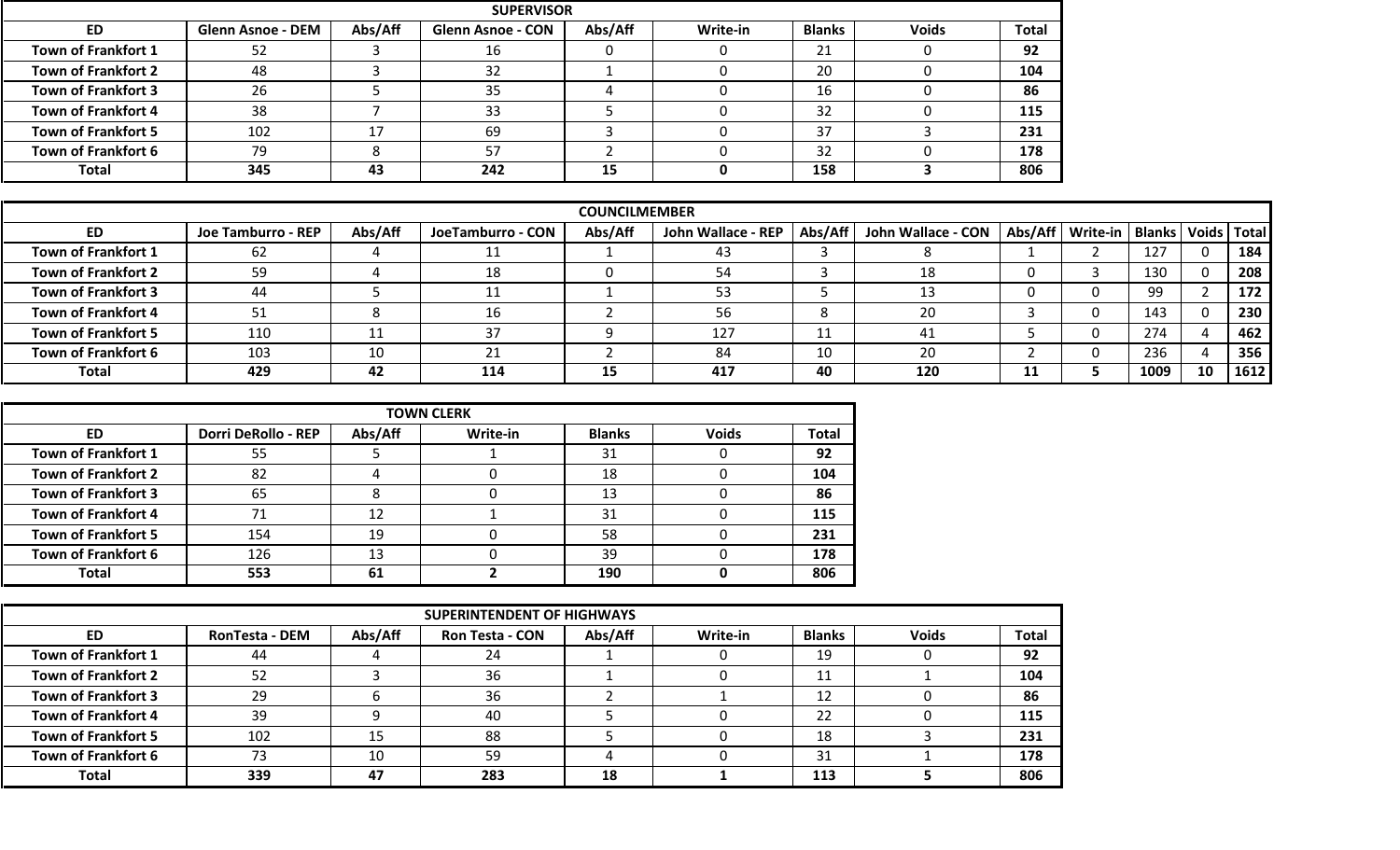|                            |                          |         | <b>SUPERVISOR</b>        |         |          |               |              |              |
|----------------------------|--------------------------|---------|--------------------------|---------|----------|---------------|--------------|--------------|
| <b>ED</b>                  | <b>Glenn Asnoe - DEM</b> | Abs/Aff | <b>Glenn Asnoe - CON</b> | Abs/Aff | Write-in | <b>Blanks</b> | <b>Voids</b> | <b>Total</b> |
| <b>Town of Frankfort 1</b> | 52                       |         | 16                       |         |          | ำ 1<br>ᅀᄔ     |              | 92           |
| <b>Town of Frankfort 2</b> | 48                       |         | 32                       |         |          | 20            |              | 104          |
| <b>Town of Frankfort 3</b> | 26                       |         | 35                       |         |          | 16            |              | 86           |
| <b>Town of Frankfort 4</b> | 38                       |         | 33                       |         |          | 32            |              | 115          |
| <b>Town of Frankfort 5</b> | 102                      | $\sim$  | 69                       |         |          | 37            |              | 231          |
| <b>Town of Frankfort 6</b> | 79                       |         | 57                       |         |          | 32            |              | 178          |
| <b>Total</b>               | 345                      | 43      | 242                      | 15      |          | 158           |              | 806          |

|                            | <b>COUNCILMEMBER</b> |         |                   |         |                    |         |                                                                  |    |  |      |          |      |  |  |
|----------------------------|----------------------|---------|-------------------|---------|--------------------|---------|------------------------------------------------------------------|----|--|------|----------|------|--|--|
| ED                         | Joe Tamburro - REP   | Abs/Aff | JoeTamburro - CON | Abs/Aff | John Wallace - REP | Abs/Aff | John Wallace - CON   Abs/Aff   Write-in   Blanks   Voids   Total |    |  |      |          |      |  |  |
| Town of Frankfort 1        | 62                   |         |                   |         | -43                |         |                                                                  |    |  | 127  | $\Omega$ | 184  |  |  |
| <b>Town of Frankfort 2</b> | 59                   |         | 18                |         | 54                 |         | 18                                                               |    |  | 130  |          | 208  |  |  |
| <b>Town of Frankfort 3</b> | 44                   |         |                   |         | 53                 |         | 12                                                               |    |  | 99   |          | 172  |  |  |
| <b>Town of Frankfort 4</b> | 51                   |         |                   |         | 56                 |         | 20                                                               |    |  | 143  |          | 230  |  |  |
| <b>Town of Frankfort 5</b> | 110                  |         | 37                |         | 127                | 11<br>ᆠ | 4.                                                               |    |  | 274  |          | 462  |  |  |
| <b>Town of Frankfort 6</b> | 103                  |         |                   |         | 84                 | 10      | 20                                                               |    |  | 236  |          | 356  |  |  |
| <b>Total</b>               | 429                  | 42      | 114               | 15      | 417                | 40      | 120                                                              | 11 |  | 1009 | 10       | 1612 |  |  |

|                            |                            |         | <b>TOWN CLERK</b> |               |              |              |
|----------------------------|----------------------------|---------|-------------------|---------------|--------------|--------------|
| ED.                        | <b>Dorri DeRollo - REP</b> | Abs/Aff | Write-in          | <b>Blanks</b> | <b>Voids</b> | <b>Total</b> |
| Town of Frankfort 1        | 55                         |         |                   | 31            |              | 92           |
| <b>Town of Frankfort 2</b> | 82                         |         |                   | 18            |              | 104          |
| <b>Town of Frankfort 3</b> | 65                         |         |                   | 13            |              | 86           |
| <b>Town of Frankfort 4</b> |                            | 12      |                   | 31            |              | 115          |
| <b>Town of Frankfort 5</b> | 154                        | 19      |                   | 58            |              | 231          |
| <b>Town of Frankfort 6</b> | 126                        | 13      |                   | 39            |              | 178          |
| <b>Total</b>               | 553                        | -61     |                   | 190           |              | 806          |

|                            |                       |         | <b>SUPERINTENDENT OF HIGHWAYS</b> |         |          |               |              |              |
|----------------------------|-----------------------|---------|-----------------------------------|---------|----------|---------------|--------------|--------------|
| <b>ED</b>                  | <b>RonTesta - DEM</b> | Abs/Aff | <b>Ron Testa - CON</b>            | Abs/Aff | Write-in | <b>Blanks</b> | <b>Voids</b> | <b>Total</b> |
| Town of Frankfort 1        | 44                    |         | 24                                |         |          | 19            |              | 92           |
| <b>Town of Frankfort 2</b> | 52                    |         | 36                                |         |          | 11            |              | 104          |
| <b>Town of Frankfort 3</b> | 29                    |         | 36                                |         |          | 12            |              | 86           |
| <b>Town of Frankfort 4</b> | 39                    |         | 40                                |         |          | 22            |              | 115          |
| <b>Town of Frankfort 5</b> | 102                   | 15      | 88                                |         |          | 18            |              | 231          |
| <b>Town of Frankfort 6</b> |                       | 10      | 59                                |         |          | 31            |              | 178          |
| <b>Total</b>               | 339                   | 47      | 283                               | 18      |          | 113           |              | 806          |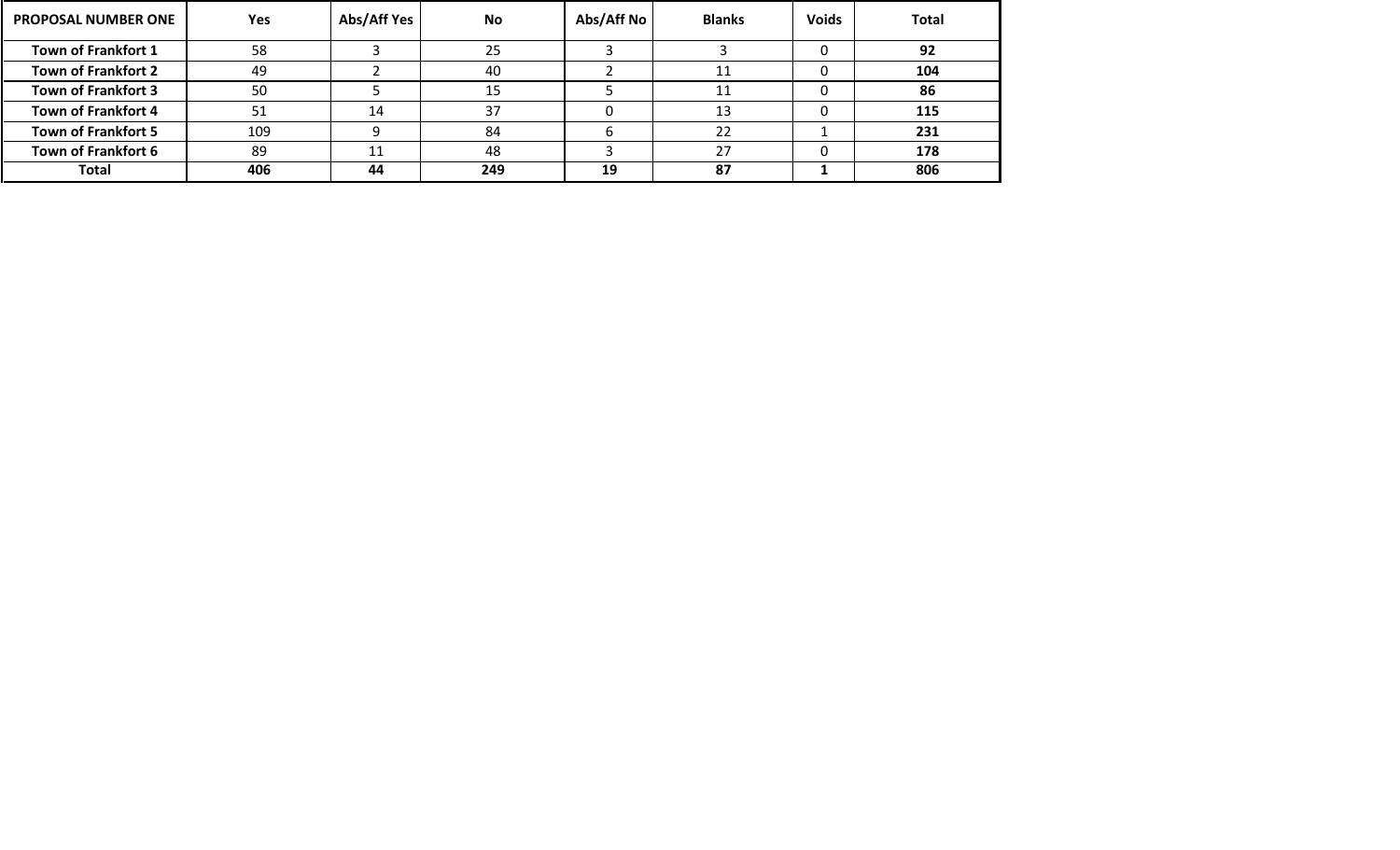| <b>PROPOSAL NUMBER ONE</b> | <b>Yes</b> | Abs/Aff Yes | No  | Abs/Aff No | <b>Blanks</b> | <b>Voids</b> | <b>Total</b> |
|----------------------------|------------|-------------|-----|------------|---------------|--------------|--------------|
| <b>Town of Frankfort 1</b> | 58         |             | 25  |            |               |              | 92           |
| <b>Town of Frankfort 2</b> | 49         |             | 40  |            |               |              | 104          |
| <b>Town of Frankfort 3</b> | 50         |             |     |            | 11            |              | 86           |
| <b>Town of Frankfort 4</b> | 51         | 14          | 37  |            | 13            |              | 115          |
| <b>Town of Frankfort 5</b> | 109        |             | 84  |            | 22            |              | 231          |
| <b>Town of Frankfort 6</b> | 89         | 11          | 48  |            | דר            |              | 178          |
| Total                      | 406        | 44          | 249 | 19         | 87            |              | 806          |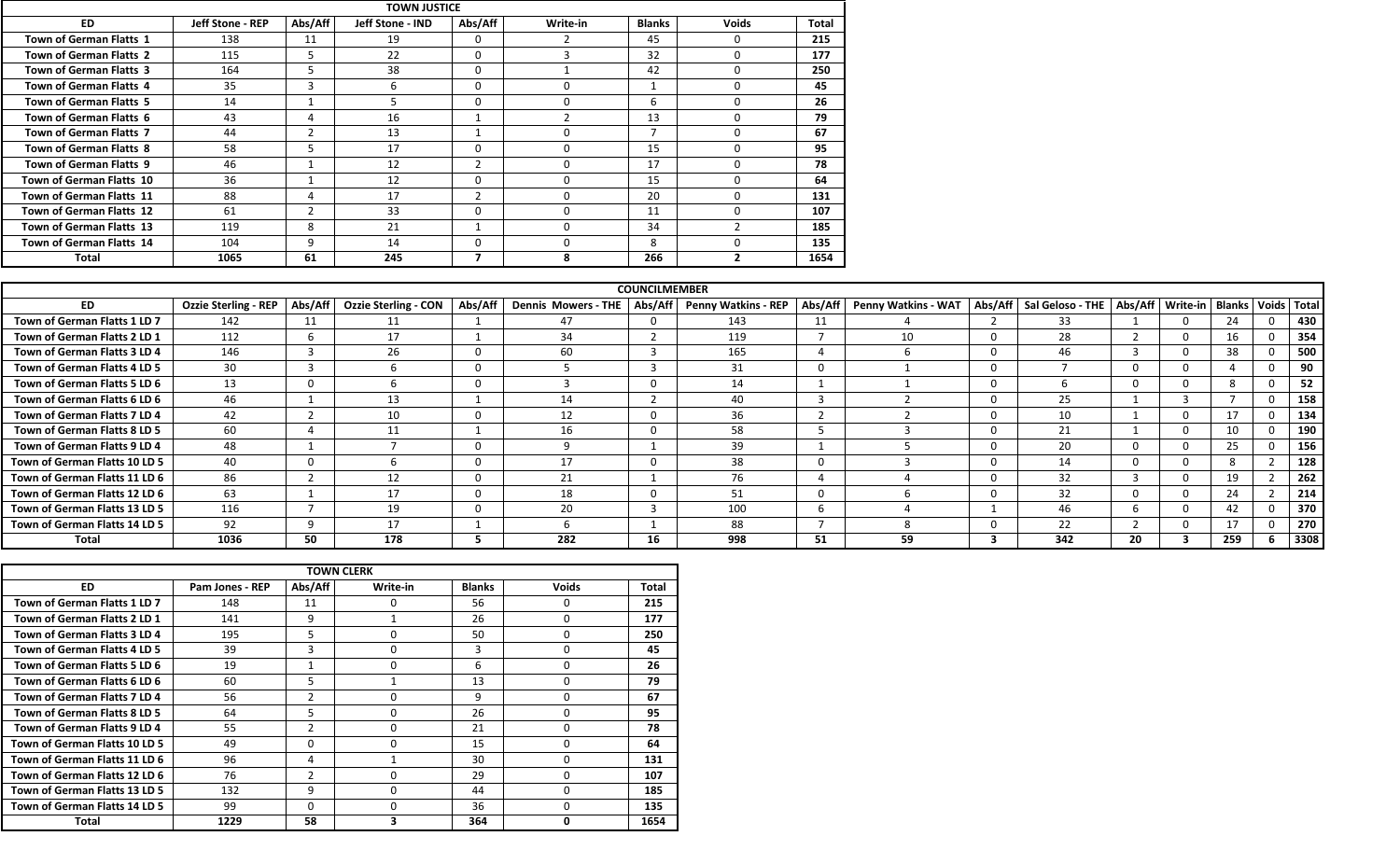|                                 |                         |               | <b>TOWN JUSTICE</b> |          |          |               |              |              |
|---------------------------------|-------------------------|---------------|---------------------|----------|----------|---------------|--------------|--------------|
| <b>ED</b>                       | <b>Jeff Stone - REP</b> | Abs/Aff       | Jeff Stone - IND    | Abs/Aff  | Write-in | <b>Blanks</b> | <b>Voids</b> | <b>Total</b> |
| Town of German Flatts 1         | 138                     | 11            | 19                  | $\Omega$ |          | 45            | $\Omega$     | 215          |
| Town of German Flatts 2         | 115                     |               | 22                  | 0        |          | 32            | $\Omega$     | 177          |
| <b>Town of German Flatts 3</b>  | 164                     | C.            | 38                  | 0        |          | 42            | $\Omega$     | 250          |
| Town of German Flatts 4         | 35                      | $\sim$<br>-5  | h                   | $\Omega$ |          |               | $\Omega$     | 45           |
| Town of German Flatts 5         | 14                      |               |                     | $\Omega$ |          | 6             | $\Omega$     | 26           |
| Town of German Flatts 6         | 43                      | 4             | 16                  |          | ຳ        | 13            | $\Omega$     | 79           |
| Town of German Flatts 7         | 44                      |               | 13                  |          |          |               | $\mathbf 0$  | 67           |
| Town of German Flatts 8         | 58                      | $\mathcal{D}$ | 17                  | 0        | $\Omega$ | 15            | $\Omega$     | 95           |
| Town of German Flatts 9         | 46                      |               | 12                  |          | $\Omega$ | 17            | $\Omega$     | 78           |
| <b>Town of German Flatts 10</b> | 36                      |               | 12                  | 0        | $\Omega$ | 15            | $\Omega$     | 64           |
| Town of German Flatts 11        | 88                      | 4             | 17                  |          | $\Omega$ | 20            | $\Omega$     | 131          |
| Town of German Flatts 12        | 61                      |               | 33                  | $\Omega$ | $\Omega$ | 11            | $\Omega$     | 107          |
| Town of German Flatts 13        | 119                     | 8             | 21                  |          | $\Omega$ | 34            | 2            | 185          |
| Town of German Flatts 14        | 104                     | 9             | 14                  | 0        | $\Omega$ | 8             | $\Omega$     | 135          |
| Total                           | 1065                    | 61            | 245                 |          | я        | 266           | 2            | 1654         |

|                               |                             |         |                             |         |                            | <b>COUNCILMEMBER</b> |                            |         |                     |                                      |          |                                   |     |          |
|-------------------------------|-----------------------------|---------|-----------------------------|---------|----------------------------|----------------------|----------------------------|---------|---------------------|--------------------------------------|----------|-----------------------------------|-----|----------|
| <b>ED</b>                     | <b>Ozzie Sterling - REP</b> | Abs/Aff | <b>Ozzie Sterling - CON</b> | Abs/Aff | <b>Dennis Mowers - THE</b> | Abs/Aff              | <b>Penny Watkins - REP</b> | Abs/Aff | Penny Watkins - WAT | Abs/Aff   Sal Geloso - THE   Abs/Aff |          | Write-in   Blanks   Voids   Total |     |          |
| Town of German Flatts 1 LD 7  | 142                         |         |                             |         | 47                         |                      | 143                        | 11      |                     | 33                                   |          |                                   |     | 430      |
| Town of German Flatts 2 LD 1  | 112                         |         | 17                          |         | 34                         |                      | 119                        |         | 10                  | 28                                   |          |                                   | 16  | 354      |
| Town of German Flatts 3 LD 4  | 146                         |         | 26                          |         | 60                         |                      | 165                        |         |                     | 46                                   | -5       |                                   | 38  | 500      |
| Town of German Flatts 4 LD 5  | 30                          |         |                             |         |                            |                      | 31                         |         |                     |                                      | $\Omega$ |                                   |     | $\Omega$ |
| Town of German Flatts 5 LD 6  | 13                          |         |                             |         |                            |                      | 14                         |         |                     |                                      | $\Omega$ |                                   |     | 52       |
| Town of German Flatts 6 LD 6  | 46                          |         | 13                          |         |                            |                      | 40                         |         |                     | 25                                   |          |                                   |     | 158      |
| Town of German Flatts 7 LD 4  | 42                          |         | 10                          |         |                            |                      | 36                         |         |                     | 10                                   |          |                                   | 17  | 134      |
| Town of German Flatts 8 LD 5  | 60                          |         |                             |         |                            |                      | 58                         |         |                     | 21                                   |          |                                   | 10  | 190      |
| Town of German Flatts 9 LD 4  | 48                          |         |                             |         |                            |                      | 39                         |         |                     | 20                                   | $\Omega$ |                                   | 25  | 156      |
| Town of German Flatts 10 LD 5 | 40                          |         |                             |         |                            |                      | 38                         |         |                     | 14                                   | $\Omega$ |                                   |     | 128      |
| Town of German Flatts 11 LD 6 | 86                          |         | 12                          |         | 21                         |                      | 76                         |         |                     | 32                                   | 3        |                                   | 19  | 262      |
| Town of German Flatts 12 LD 6 | 63                          |         |                             |         |                            |                      | 51                         |         |                     | 32                                   | 0        |                                   | 24  | 214      |
| Town of German Flatts 13 LD 5 | 116                         |         | 19                          |         | 20                         |                      | 100                        |         |                     | 46                                   | h        |                                   | 42  | 370      |
| Town of German Flatts 14 LD 5 | 92                          |         | 17                          |         |                            |                      | 88                         |         |                     | 22                                   |          |                                   | 17  | 270      |
| <b>Total</b>                  | 1036                        | 50      | 178                         |         | 282                        |                      | 998                        | 51      | 59                  | 342                                  | 20       |                                   | 259 | 3308     |

|                               |                 |                | <b>TOWN CLERK</b> |               |              |       |
|-------------------------------|-----------------|----------------|-------------------|---------------|--------------|-------|
| <b>ED</b>                     | Pam Jones - REP | Abs/Aff        | Write-in          | <b>Blanks</b> | <b>Voids</b> | Total |
| Town of German Flatts 1 LD 7  | 148             | 11             | 0                 | 56            | 0            | 215   |
| Town of German Flatts 2 LD 1  | 141             | 9              |                   | 26            | $\Omega$     | 177   |
| Town of German Flatts 3 LD 4  | 195             | 5              | 0                 | 50            | $\Omega$     | 250   |
| Town of German Flatts 4 LD 5  | 39              | 3              | $\Omega$          | 3             | 0            | 45    |
| Town of German Flatts 5 LD 6  | 19              |                | 0                 | 6             | $\Omega$     | 26    |
| Town of German Flatts 6 LD 6  | 60              | 5              |                   | 13            | $\Omega$     | 79    |
| Town of German Flatts 7 LD 4  | 56              | $\overline{2}$ | 0                 | 9             | 0            | 67    |
| Town of German Flatts 8 LD 5  | 64              | 5              | 0                 | 26            | $\Omega$     | 95    |
| Town of German Flatts 9 LD 4  | 55              | $\overline{2}$ | 0                 | 21            | 0            | 78    |
| Town of German Flatts 10 LD 5 | 49              | $\Omega$       | 0                 | 15            | $\Omega$     | 64    |
| Town of German Flatts 11 LD 6 | 96              | 4              |                   | 30            | $\Omega$     | 131   |
| Town of German Flatts 12 LD 6 | 76              | $\overline{2}$ | 0                 | 29            | 0            | 107   |
| Town of German Flatts 13 LD 5 | 132             | 9              | 0                 | 44            | $\Omega$     | 185   |
| Town of German Flatts 14 LD 5 | 99              | $\Omega$       | O                 | 36            | $\Omega$     | 135   |
| Total                         | 1229            | 58             | 3                 | 364           | 0            | 1654  |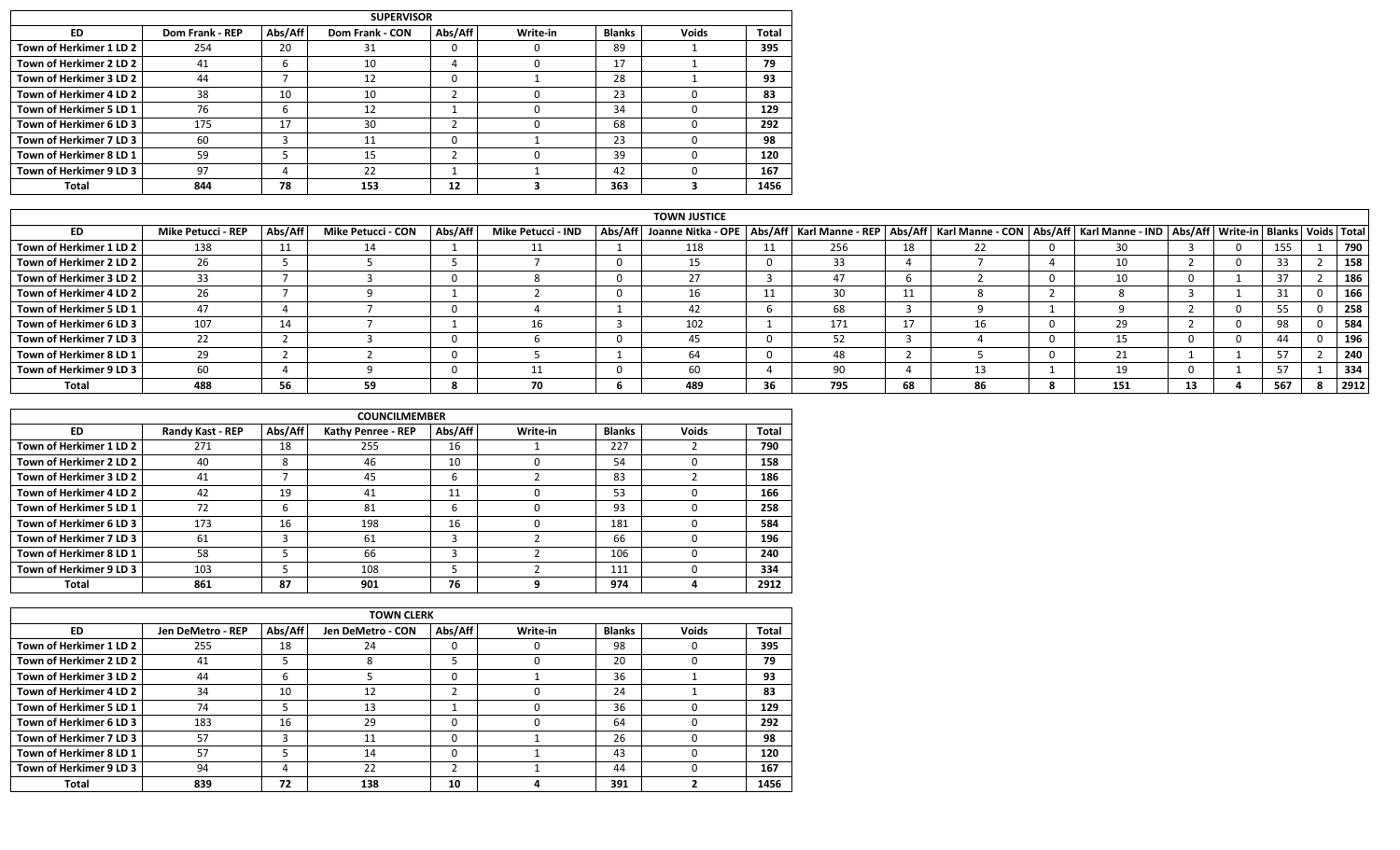|                         |                 |         | <b>SUPERVISOR</b> |         |          |               |              |              |
|-------------------------|-----------------|---------|-------------------|---------|----------|---------------|--------------|--------------|
| ED                      | Dom Frank - REP | Abs/Aff | Dom Frank - CON   | Abs/Aff | Write-in | <b>Blanks</b> | <b>Voids</b> | <b>Total</b> |
| Town of Herkimer 1 LD 2 | 254             | 20      | 31                | υ       |          | 89            |              | 395          |
| Town of Herkimer 2 LD 2 | 41              | h       | 10                |         |          | 17            |              | 79           |
| Town of Herkimer 3 LD 2 | 44              |         | 12                |         |          | 28            |              | 93           |
| Town of Herkimer 4 LD 2 | 38              | 10      | 10                |         |          | 23            |              | 83           |
| Town of Herkimer 5 LD 1 | 76              | h       | 12                |         |          | 34            |              | 129          |
| Town of Herkimer 6 LD 3 | 175             | 17      | 30                |         |          | 68            |              | 292          |
| Town of Herkimer 7 LD 3 | 60              |         | 11                |         |          | 23            |              | 98           |
| Town of Herkimer 8 LD 1 | 59              |         | 15                |         |          | 39            |              | 120          |
| Town of Herkimer 9 LD 3 | 97              | 4       | 22                |         |          | 42            |              | 167          |
| Total                   | 844             | 78      | 153               | 12      |          | 363           |              | 1456         |

|                         |                    |         |                           |         |                    | <b>TOWN JUSTICE</b>                                                                                                                                               |    |     |    |     |     |    |     |      |
|-------------------------|--------------------|---------|---------------------------|---------|--------------------|-------------------------------------------------------------------------------------------------------------------------------------------------------------------|----|-----|----|-----|-----|----|-----|------|
| ED.                     | Mike Petucci - REP | Abs/Aff | <b>Mike Petucci - CON</b> | Abs/Aff | Mike Petucci - IND | Abs/Aff   Joanne Nitka - OPE   Abs/Aff   Karl Manne - REP   Abs/Aff   Karl Manne - CON   Abs/Aff   Karl Manne - IND   Abs/Aff   Write-in   Blanks   Voids   Total |    |     |    |     |     |    |     |      |
| Town of Herkimer 1 LD 2 | 138                | 11      |                           |         |                    | 118                                                                                                                                                               |    | 256 | 18 | 22. | 30  |    | 155 | 790  |
| Town of Herkimer 2 LD 2 | 26                 |         |                           |         |                    |                                                                                                                                                                   |    | 33  |    |     | 10  |    | 33  | 158  |
| Town of Herkimer 3 LD 2 | 33                 |         |                           |         |                    |                                                                                                                                                                   |    | 47  |    |     | 10  |    | 37  | 186  |
| Town of Herkimer 4 LD 2 | 26                 |         |                           |         |                    | ΤD                                                                                                                                                                |    | 30  |    |     |     |    | 51. | 166  |
| Town of Herkimer 5 LD 1 | 47                 |         |                           |         |                    | 42                                                                                                                                                                |    | 68  |    |     |     |    | 55  | 258  |
| Town of Herkimer 6 LD 3 | 107                |         |                           |         |                    | 102                                                                                                                                                               |    | 171 |    | 1b. | 29  |    | 98  | 584  |
| Town of Herkimer 7 LD 3 | 22                 |         |                           |         |                    |                                                                                                                                                                   |    |     |    |     |     |    | 44  | 196  |
| Town of Herkimer 8 LD 1 | 29                 |         |                           |         |                    |                                                                                                                                                                   |    | 48  |    |     |     |    | 57  | 240  |
| Town of Herkimer 9 LD 3 | 60                 |         |                           |         |                    | 60                                                                                                                                                                |    | 90  |    | 13. |     |    | 57  | 334  |
| Total                   | 488                |         | 59                        |         | 70                 | 489                                                                                                                                                               | 36 | 795 | 68 | 86  | 151 | 13 | 567 | 2912 |

|                         |                  |         | <b>COUNCILMEMBER</b>      |         |          |               |              |       |
|-------------------------|------------------|---------|---------------------------|---------|----------|---------------|--------------|-------|
| <b>ED</b>               | Randy Kast - REP | Abs/Aff | <b>Kathy Penree - REP</b> | Abs/Aff | Write-in | <b>Blanks</b> | <b>Voids</b> | Total |
| Town of Herkimer 1 LD 2 | 271              | 18      | 255                       | 16      |          | 227           |              | 790   |
| Town of Herkimer 2 LD 2 | 40               | 8       | 46                        | 10      |          | 54            |              | 158   |
| Town of Herkimer 3 LD 2 | 41               |         | 45                        | h       |          | 83            |              | 186   |
| Town of Herkimer 4 LD 2 | 42               | 19      | 41                        | 11      |          | 53            |              | 166   |
| Town of Herkimer 5 LD 1 | 72               | b       | 81                        | h       |          | 93            |              | 258   |
| Town of Herkimer 6 LD 3 | 173              | 16      | 198                       | 16      |          | 181           |              | 584   |
| Town of Herkimer 7 LD 3 | 61               |         | 61                        |         |          | 66            |              | 196   |
| Town of Herkimer 8 LD 1 | 58               |         | 66                        |         |          | 106           |              | 240   |
| Town of Herkimer 9 LD 3 | 103              |         | 108                       |         |          | 111           |              | 334   |
| Total                   | 861              | 87      | 901                       | 76      |          | 974           |              | 2912  |

|                         |                   |         | <b>TOWN CLERK</b> |         |          |               |              |       |
|-------------------------|-------------------|---------|-------------------|---------|----------|---------------|--------------|-------|
| <b>ED</b>               | Jen DeMetro - REP | Abs/Aff | Jen DeMetro - CON | Abs/Aff | Write-in | <b>Blanks</b> | <b>Voids</b> | Total |
| Town of Herkimer 1 LD 2 | 255               | 18      | 24                | 0       |          | 98            |              | 395   |
| Town of Herkimer 2 LD 2 | 41                |         |                   |         |          | 20            |              | 79    |
| Town of Herkimer 3 LD 2 | 44                |         |                   | 0       |          | 36            |              | 93    |
| Town of Herkimer 4 LD 2 | 34                | 10      | 12                |         |          | 24            |              | 83    |
| Town of Herkimer 5 LD 1 | 74                |         | 13                |         |          | 36            |              | 129   |
| Town of Herkimer 6 LD 3 | 183               | 16      | 29                | 0       |          | 64            |              | 292   |
| Town of Herkimer 7 LD 3 | 57                |         | 11                | 0       |          | 26            |              | 98    |
| Town of Herkimer 8 LD 1 | 57                |         | 14                | 0       |          | 43            |              | 120   |
| Town of Herkimer 9 LD 3 | 94                | 4       | 22                |         |          | 44            |              | 167   |
| <b>Total</b>            | 839               | 72      | 138               | 10      |          | 391           |              | 1456  |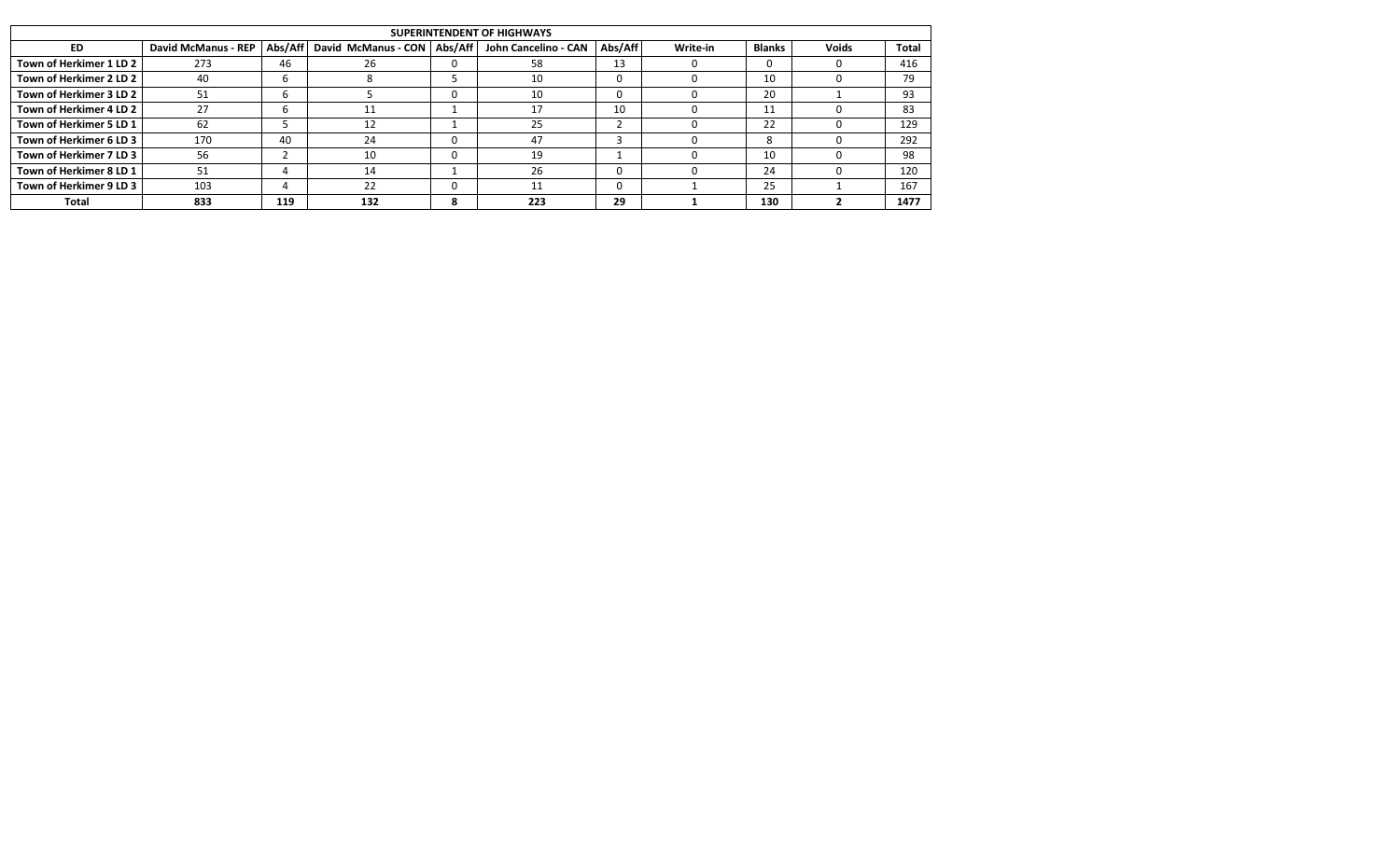|                         |                            |     |                                         |   | SUPERINTENDENT OF HIGHWAYS |         |          |               |       |       |
|-------------------------|----------------------------|-----|-----------------------------------------|---|----------------------------|---------|----------|---------------|-------|-------|
| ED.                     | <b>David McManus - REP</b> |     | Abs/Aff   David McManus - CON   Abs/Aff |   | John Cancelino - CAN       | Abs/Aff | Write-in | <b>Blanks</b> | Voids | Total |
| Town of Herkimer 1 LD 2 | 273                        | 46  | 26                                      | 0 | 58                         | 13      |          |               |       | 416   |
| Town of Herkimer 2 LD 2 | 40                         |     |                                         |   | 10                         | 0       |          | 10            |       | 79    |
| Town of Herkimer 3 LD 2 | 51                         |     |                                         | v | 10                         |         |          | 20            |       | 93    |
| Town of Herkimer 4 LD 2 | 27                         |     | 11                                      |   | 17                         | 10      |          | 11            |       | 83    |
| Town of Herkimer 5 LD 1 | 62                         |     | 12                                      |   | 25                         |         |          | 22            |       | 129   |
| Town of Herkimer 6 LD 3 | 170                        | 40  | 24                                      | v | 47                         |         |          |               |       | 292   |
| Town of Herkimer 7 LD 3 | 56                         |     | 10                                      | υ | 19                         |         |          | 10            |       | 98    |
| Town of Herkimer 8 LD 1 | 51                         |     | 14                                      |   | 26                         |         |          | 24            |       | 120   |
| Town of Herkimer 9 LD 3 | 103                        |     | 22                                      | v |                            |         |          | 25            |       | 167   |
| Total                   | 833                        | 119 | 132                                     | 8 | 223                        | 29      |          | 130           |       | 1477  |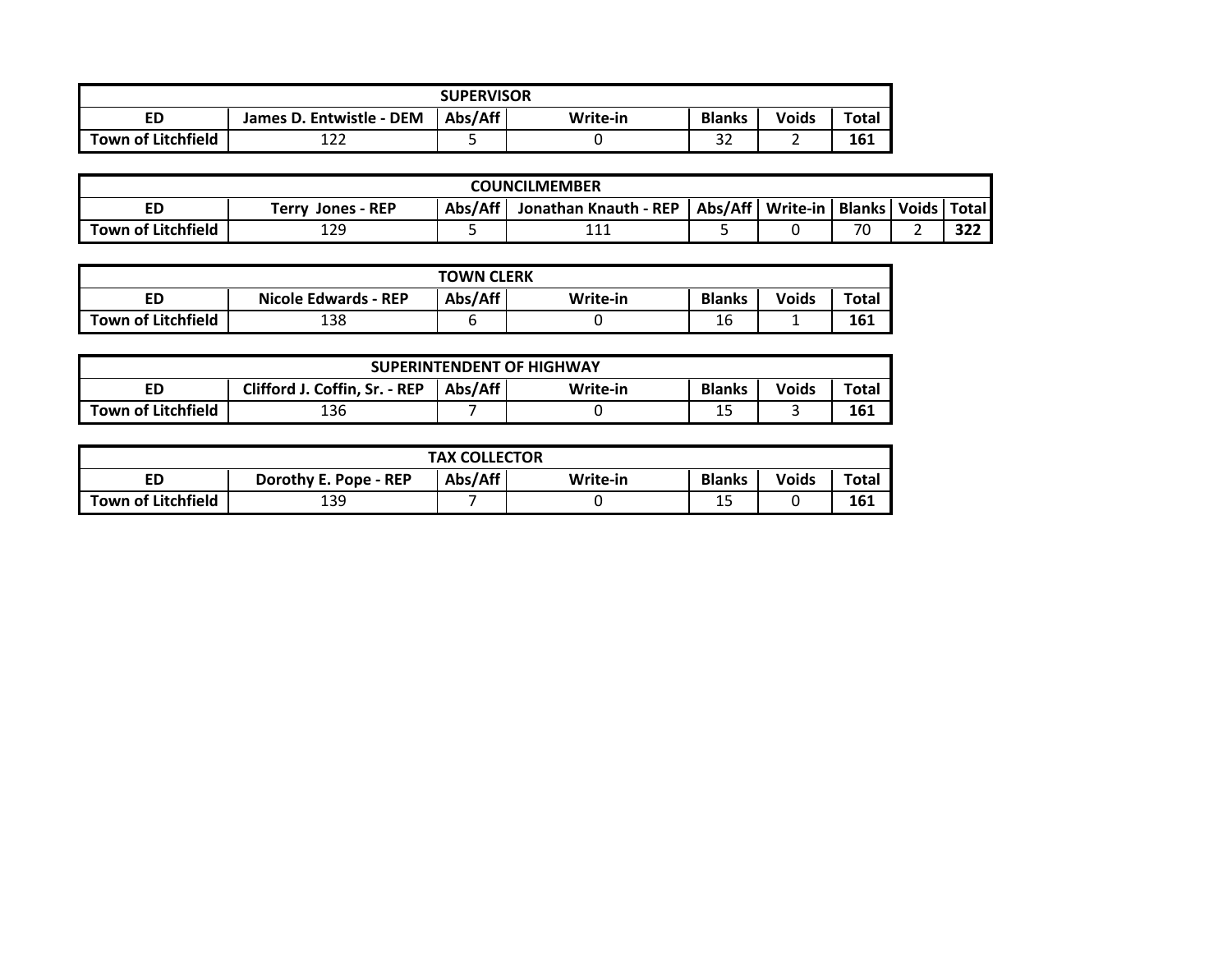|                           |                          | <b>SUPERVISOR</b> |          |               |              |              |
|---------------------------|--------------------------|-------------------|----------|---------------|--------------|--------------|
| ED                        | James D. Entwistle - DEM | Abs/Aff           | Write-in | <b>Blanks</b> | <b>Voids</b> | <b>Total</b> |
| <b>Town of Litchfield</b> | $\sim$<br>ᅩᄼᄼ            |                   |          | $\sim$<br>ےد  |              | 161          |

| <b>COUNCILMEMBER</b>      |                                                                                                           |  |               |  |  |    |  |               |  |  |  |
|---------------------------|-----------------------------------------------------------------------------------------------------------|--|---------------|--|--|----|--|---------------|--|--|--|
| ED                        | Abs/Aff   Write-in   Blanks   Voids   Total  <br>Abs/Aff<br>Jonathan Knauth - REP<br>Jones - REP<br>Terrv |  |               |  |  |    |  |               |  |  |  |
| <b>Town of Litchfield</b> | 129                                                                                                       |  | $\sim$<br>ᆂᆂᆂ |  |  | 70 |  | $\sim$<br>JLL |  |  |  |

|                           |                             | <b>TOWN CLERK</b> |          |               |              |       |
|---------------------------|-----------------------------|-------------------|----------|---------------|--------------|-------|
| ED                        | <b>Nicole Edwards - REP</b> | Abs/Aff           | Write-in | <b>Blanks</b> | <b>Voids</b> | Total |
| <b>Town of Litchfield</b> | 138                         |                   |          | $\sim$<br>ŦС  | -            | 161   |

|                           |                               |         | <b>SUPERINTENDENT OF HIGHWAY</b> |               |              |       |  |  |  |  |  |
|---------------------------|-------------------------------|---------|----------------------------------|---------------|--------------|-------|--|--|--|--|--|
| ED                        | Clifford J. Coffin, Sr. - REP | Abs/Aff | Write-in                         | <b>Blanks</b> | <b>Voids</b> | Total |  |  |  |  |  |
| <b>Town of Litchfield</b> | 161<br>136<br>--              |         |                                  |               |              |       |  |  |  |  |  |

|                           |                       | <b>TAX COLLECTOR</b> |          |               |              |       |
|---------------------------|-----------------------|----------------------|----------|---------------|--------------|-------|
| ED                        | Dorothy E. Pope - REP | Abs/Aff              | Write-in | <b>Blanks</b> | <b>Voids</b> | Total |
| <b>Town of Litchfield</b> | 139                   |                      |          | . .<br>--     |              | 161   |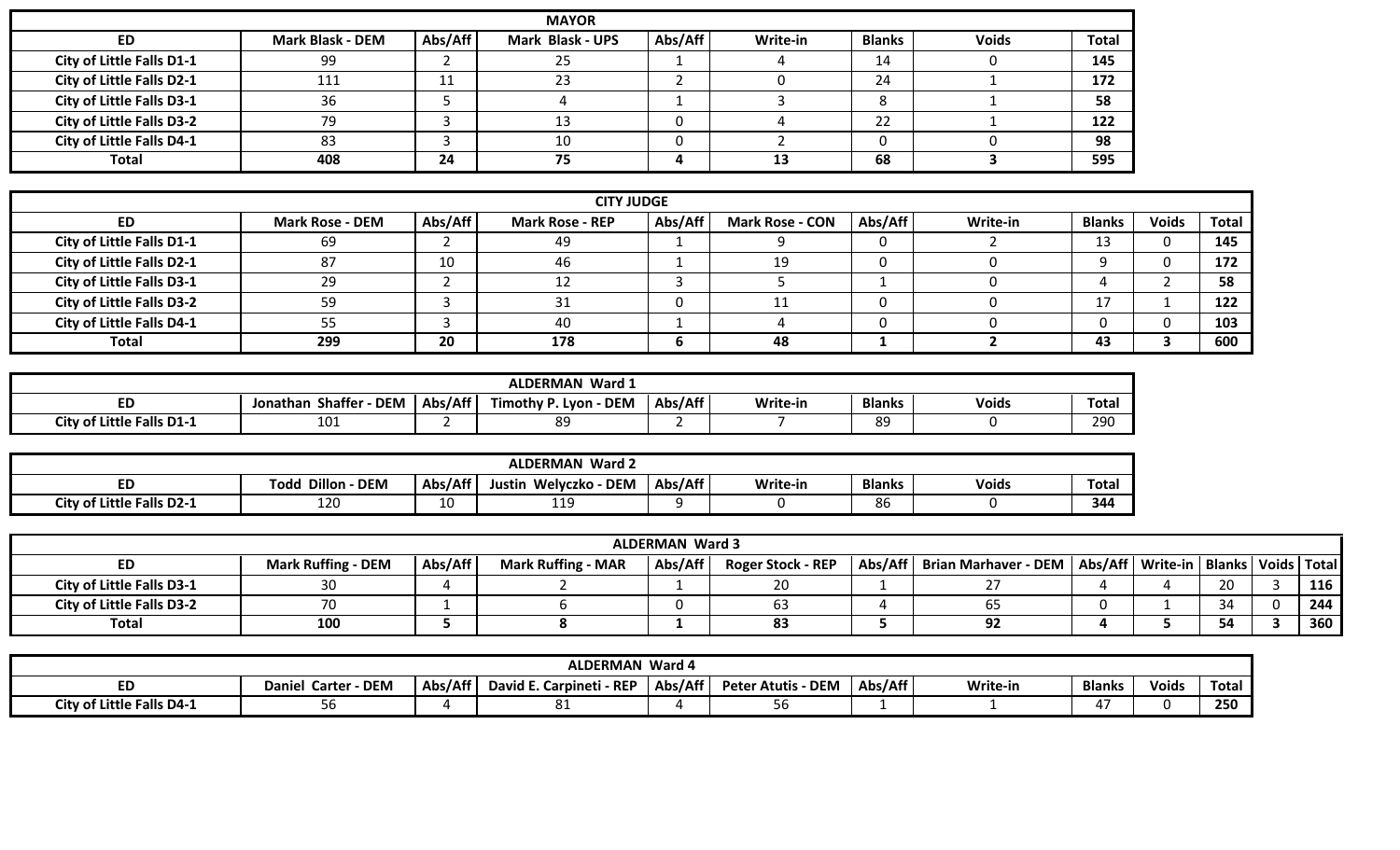|                                  |                         |         | <b>MAYOR</b>            |         |          |               |              |              |
|----------------------------------|-------------------------|---------|-------------------------|---------|----------|---------------|--------------|--------------|
| ED                               | <b>Mark Blask - DEM</b> | Abs/Aff | <b>Mark Blask - UPS</b> | Abs/Aff | Write-in | <b>Blanks</b> | <b>Voids</b> | <b>Total</b> |
| City of Little Falls D1-1        | 99                      |         | 25                      |         |          | 14            |              | 145          |
| <b>City of Little Falls D2-1</b> | 111                     | ᆠ       | 23                      |         |          | 24            |              | 172          |
| <b>City of Little Falls D3-1</b> | 36                      |         |                         |         |          |               |              | 58           |
| <b>City of Little Falls D3-2</b> | 79                      |         | 13                      |         |          | 22            |              | 122          |
| City of Little Falls D4-1        | 83                      |         | 10                      |         |          |               |              | 98           |
| <b>Total</b>                     | 408                     | 24      | 75                      |         | 13       | 68            |              | 595          |

|                                  |                        |         | <b>CITY JUDGE</b>      |         |                        |         |                 |            |              |       |
|----------------------------------|------------------------|---------|------------------------|---------|------------------------|---------|-----------------|------------|--------------|-------|
| <b>ED</b>                        | <b>Mark Rose - DEM</b> | Abs/Aff | <b>Mark Rose - REP</b> | Abs/Aff | <b>Mark Rose - CON</b> | Abs/Aff | <b>Write-in</b> | Blanks     | <b>Voids</b> | Total |
| City of Little Falls D1-1        | 69                     |         | 49                     |         |                        |         |                 | --         |              | 145   |
| City of Little Falls D2-1        | 87                     | 10      | 46                     |         | 1 Q                    |         |                 |            |              | 172   |
| <b>City of Little Falls D3-1</b> | 29                     |         |                        |         |                        |         |                 |            |              | 58    |
| <b>City of Little Falls D3-2</b> | г∩                     |         |                        | 0       |                        |         |                 | <b>. .</b> |              | 122   |
| City of Little Falls D4-1        |                        |         | 40                     |         |                        |         |                 |            |              | 103   |
| <b>Total</b>                     | 299                    | 20      | 178                    | Ð       | 48                     |         |                 | 43         |              | 600   |

|                                  |                                        |         | <b>ALDERMAN Ward 1</b>          |         |          |               |              |              |
|----------------------------------|----------------------------------------|---------|---------------------------------|---------|----------|---------------|--------------|--------------|
| <b>ED</b>                        | <b>DEM</b><br><b>Shaffer</b><br>nathan | Abs/Aff | Timothy P. Lyon -<br><b>DEM</b> | Abs/Aff | Write-in | <b>Blanks</b> | <b>Voids</b> | <b>Total</b> |
| <b>City of Little Falls D1-1</b> | 101                                    |         | 89                              |         |          | 89            |              | 290          |

|                                  | <b>ALDERMAN Ward 2</b> |         |                                  |         |          |               |              |              |  |  |
|----------------------------------|------------------------|---------|----------------------------------|---------|----------|---------------|--------------|--------------|--|--|
| cυ                               | Todd Dillon -<br>- DEM | Abs/Aff | <b>DEM</b><br>Welyczko<br>Justin | Abs/Aff | Write-in | <b>Blanks</b> | <b>Voids</b> | <b>Total</b> |  |  |
| <b>City of Little Falls D2-1</b> | 120                    | 10      | 1 C<br>---                       |         |          | 86            |              | 344          |  |  |

|                                  |                           |         |                           | <b>ALDERMAN Ward 3</b> |                          |                                                                              |  |    |     |
|----------------------------------|---------------------------|---------|---------------------------|------------------------|--------------------------|------------------------------------------------------------------------------|--|----|-----|
| ED                               | <b>Mark Ruffing - DEM</b> | Abs/Aff | <b>Mark Ruffing - MAR</b> | Abs/Aff                | <b>Roger Stock - REP</b> | Abs/Aff   Brian Marhaver - DEM   Abs/Aff   Write-in   Blanks   Voids   Total |  |    |     |
| <b>City of Little Falls D3-1</b> |                           |         |                           |                        | ۷J                       |                                                                              |  | 20 | 116 |
| <b>City of Little Falls D3-2</b> |                           |         |                           |                        | כס                       |                                                                              |  |    | 244 |
| Total                            | 100                       |         |                           |                        | 83                       | 92                                                                           |  | 54 | 360 |

| <b>ALDERMAN Ward 4</b>    |                                         |         |                             |         |                                |         |          |               |       |       |
|---------------------------|-----------------------------------------|---------|-----------------------------|---------|--------------------------------|---------|----------|---------------|-------|-------|
| ED                        | <b>DEM</b><br>. Carter<br><b>Daniel</b> | Abs/Aff | David E. Carpineti<br>- REP | Abs/Aff | · DEM<br><b>Peter Atutis -</b> | Abs/Aff | Write-in | <b>Blanks</b> | Voids | Total |
| City of Little Falls D4-7 |                                         |         | ပ⊥                          |         | סכ                             |         |          |               |       | 250   |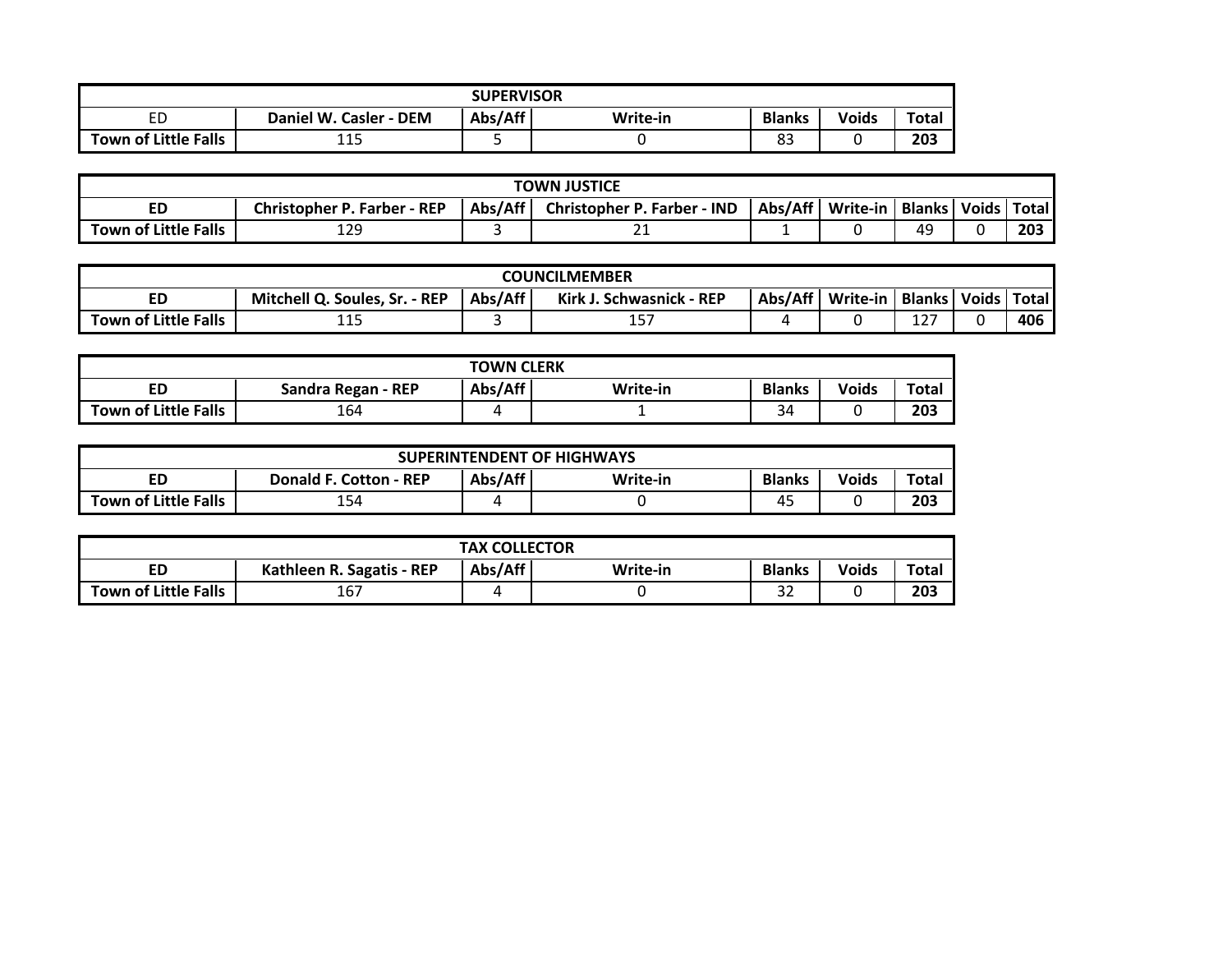| <b>SUPERVISOR</b>           |                              |                                                               |  |          |  |     |  |  |  |  |
|-----------------------------|------------------------------|---------------------------------------------------------------|--|----------|--|-----|--|--|--|--|
| ED                          | Daniel W.<br>Casler<br>- DEM | Abs/Aff<br><b>Blanks</b><br><b>Voids</b><br>Total<br>Write-in |  |          |  |     |  |  |  |  |
| <b>Town of Little Falls</b> | 115                          |                                                               |  | റി<br>دە |  | 203 |  |  |  |  |

| <b>TOWN JUSTICE</b>  |                                                                                                                                          |  |    |  |  |    |  |     |  |  |  |
|----------------------|------------------------------------------------------------------------------------------------------------------------------------------|--|----|--|--|----|--|-----|--|--|--|
| ED                   | Abs/Aff<br>Abs/Aff   Write-in<br><b>Christopher P. Farber - IND</b><br>  Blanks   Voids   Total   <br><b>Christopher P. Farber - REP</b> |  |    |  |  |    |  |     |  |  |  |
| Town of Little Falls | 129                                                                                                                                      |  | -- |  |  | 49 |  | 203 |  |  |  |

| <b>COUNCILMEMBER</b> |                                     |         |                                      |  |                    |                     |       |       |
|----------------------|-------------------------------------|---------|--------------------------------------|--|--------------------|---------------------|-------|-------|
| ED                   | Mitchell Q. Soules, Sr.<br>$.-$ REP | Abs/Aff | <b>Kirk</b><br>. - REP<br>Schwasnick |  | Abs/Aff   Write-in | <b>Blanks</b>       | Voids | Total |
| Town of Little Falls | <b>AF</b><br>ᅩᅩ                     |         | .<br>∸~                              |  |                    | $\sim$ $\sim$<br>ᅩᄼ |       | 406   |

| <b>TOWN CLERK</b>           |                    |         |          |               |              |       |  |
|-----------------------------|--------------------|---------|----------|---------------|--------------|-------|--|
| <b>ED</b>                   | Sandra Regan - REP | Abs/Aff | Write-in | <b>Blanks</b> | <b>Voids</b> | Total |  |
| <b>Town of Little Falls</b> | 164                |         |          | 34            |              | 203   |  |

| <b>SUPERINTENDENT OF HIGHWAYS</b> |                               |         |          |               |              |       |  |
|-----------------------------------|-------------------------------|---------|----------|---------------|--------------|-------|--|
| ED                                | <b>Donald F. Cotton - REP</b> | Abs/Aff | Write-in | <b>Blanks</b> | <b>Voids</b> | Total |  |
| <b>Town of Little Falls</b>       | 154                           |         |          | - -<br>4.     |              | 203   |  |

| <b>TAX COLLECTOR</b>        |                           |         |          |               |              |       |  |
|-----------------------------|---------------------------|---------|----------|---------------|--------------|-------|--|
| ED                          | Kathleen R. Sagatis - REP | Abs/Aff | Write-in | <b>Blanks</b> | <b>Voids</b> | Total |  |
| <b>Town of Little Falls</b> | $\sim$ $\sim$<br>⊥b       |         |          | $\sim$<br>ےر  |              | 203   |  |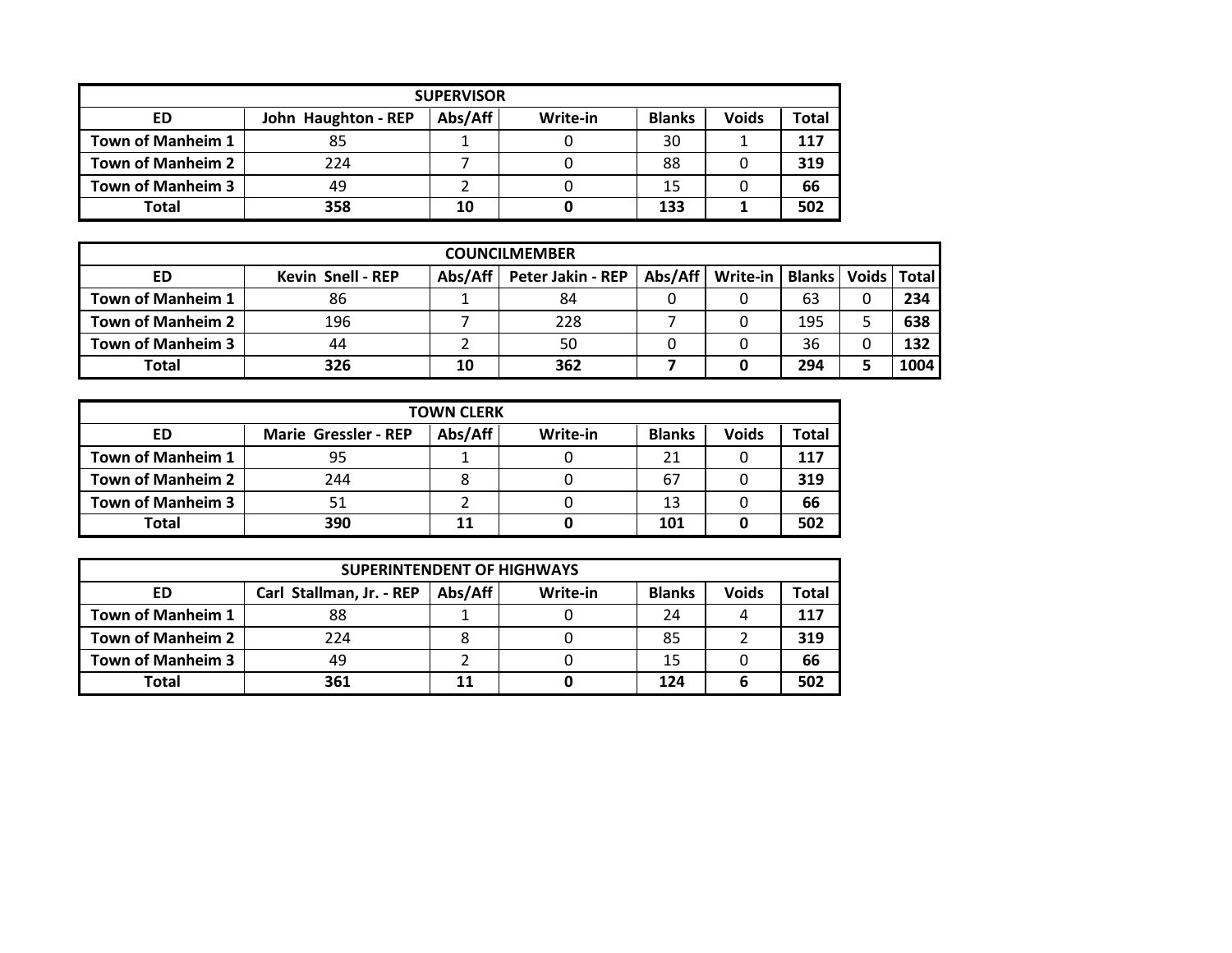|                          | <b>SUPERVISOR</b>   |         |          |               |              |       |  |  |  |
|--------------------------|---------------------|---------|----------|---------------|--------------|-------|--|--|--|
| ED                       | John Haughton - REP | Abs/Aff | Write-in | <b>Blanks</b> | <b>Voids</b> | Total |  |  |  |
| Town of Manheim 1        | 85                  |         |          | 30            |              | 117   |  |  |  |
| <b>Town of Manheim 2</b> | 224                 |         |          | 88            |              | 319   |  |  |  |
| <b>Town of Manheim 3</b> | 49                  |         |          | 15            |              | 66    |  |  |  |
| <b>Total</b>             | 358                 | 10      |          | 133           |              | 502   |  |  |  |

| <b>COUNCILMEMBER</b>     |                          |         |                   |         |          |                                 |   |      |  |
|--------------------------|--------------------------|---------|-------------------|---------|----------|---------------------------------|---|------|--|
| ED                       | <b>Kevin Snell - REP</b> | Abs/Aff | Peter Jakin - REP | Abs/Aff | Write-in | <b>Blanks   Voids   Total  </b> |   |      |  |
| Town of Manheim 1        | 86                       |         | 84                |         |          | 63                              | 0 | 234  |  |
| <b>Town of Manheim 2</b> | 196                      |         | 228               |         |          | 195                             |   | 638  |  |
| <b>Town of Manheim 3</b> | 44                       |         | 50                |         |          | 36                              | 0 | 132  |  |
| Total                    | 326                      | 10      | 362               |         |          | 294                             |   | 1004 |  |

|                          | <b>TOWN CLERK</b>           |         |          |               |              |       |  |  |
|--------------------------|-----------------------------|---------|----------|---------------|--------------|-------|--|--|
| ED                       | <b>Marie Gressler - REP</b> | Abs/Aff | Write-in | <b>Blanks</b> | <b>Voids</b> | Total |  |  |
| Town of Manheim 1        | 95                          |         |          | 21            |              | 117   |  |  |
| <b>Town of Manheim 2</b> | 244                         | 8       |          | 67            |              | 319   |  |  |
| <b>Town of Manheim 3</b> |                             |         |          | 13            |              | 66    |  |  |
| <b>Total</b>             | 390                         | 11      |          | 101           |              | 502   |  |  |

|                          | <b>SUPERINTENDENT OF HIGHWAYS</b> |         |          |               |              |       |  |  |  |
|--------------------------|-----------------------------------|---------|----------|---------------|--------------|-------|--|--|--|
| ED                       | Carl Stallman, Jr. - REP          | Abs/Aff | Write-in | <b>Blanks</b> | <b>Voids</b> | Total |  |  |  |
| <b>Town of Manheim 1</b> | 88                                |         |          | 24            |              | 117   |  |  |  |
| Town of Manheim 2        | 224                               |         |          | 85            |              | 319   |  |  |  |
| Town of Manheim 3        | 49                                |         |          | 15            |              | 66    |  |  |  |
| <b>Total</b>             | 361                               |         |          | 124           |              | 502   |  |  |  |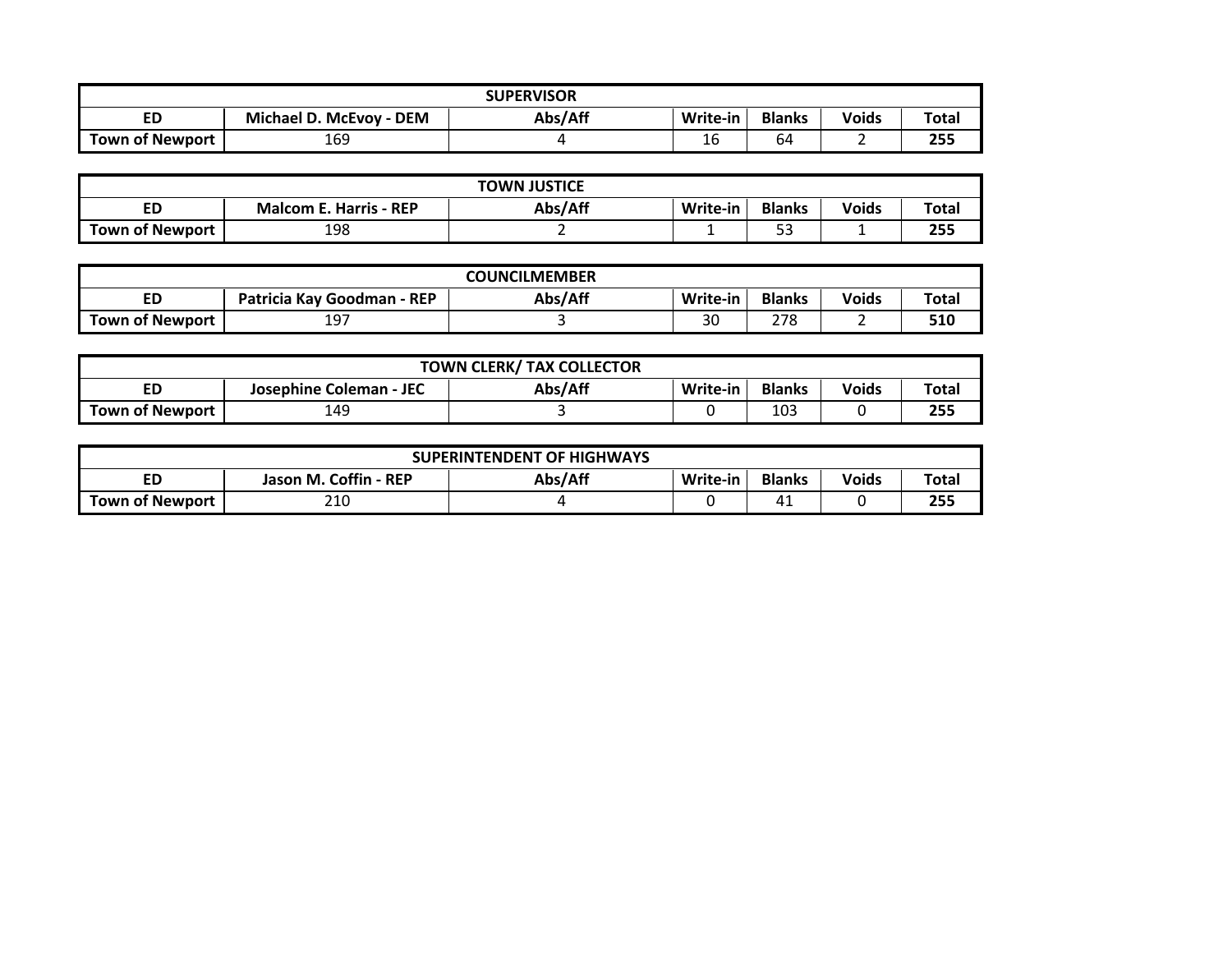| <b>SUPERVISOR</b>      |                         |         |          |               |              |       |  |
|------------------------|-------------------------|---------|----------|---------------|--------------|-------|--|
| ED                     | Michael D. McEvoy - DEM | Abs/Aff | Write-in | <b>Blanks</b> | <b>Voids</b> | Total |  |
| <b>Town of Newport</b> | 169                     |         | 16       | 64            |              | 255   |  |

|                 |                               | <b>TOWN JUSTICE</b> |          |               |              |              |
|-----------------|-------------------------------|---------------------|----------|---------------|--------------|--------------|
| ED              | <b>Malcom E. Harris - REP</b> | Abs/Aff             | Write-in | <b>Blanks</b> | <b>Voids</b> | <b>Total</b> |
| Town of Newport | 198                           |                     |          | r a<br>ر_ ر_  |              | 255          |

| <b>COUNCILMEMBER</b>   |                            |         |          |               |              |       |  |
|------------------------|----------------------------|---------|----------|---------------|--------------|-------|--|
|                        | Patricia Kay Goodman - REP | Abs/Aff | Write-in | <b>Blanks</b> | <b>Voids</b> | Total |  |
| <b>Town of Newport</b> | 197                        |         | 30       | 770<br>270    |              | 510   |  |

| <b>TOWN CLERK/ TAX COLLECTOR</b> |                         |         |          |               |              |              |  |  |
|----------------------------------|-------------------------|---------|----------|---------------|--------------|--------------|--|--|
|                                  | Josephine Coleman - JEC | Abs/Aff | Write-in | <b>Blanks</b> | <b>Voids</b> | <b>Total</b> |  |  |
| Town of Newport                  | 149                     |         |          | 103           |              | 255          |  |  |

|                        |                       | <b>SUPERINTENDENT OF HIGHWAYS</b> |          |               |              |              |
|------------------------|-----------------------|-----------------------------------|----------|---------------|--------------|--------------|
| ED                     | Jason M. Coffin - REP | Abs/Aff                           | Write-in | <b>Blanks</b> | <b>Voids</b> | <b>Total</b> |
| <b>Town of Newport</b> | 210                   |                                   |          | 4⊥            |              | 255          |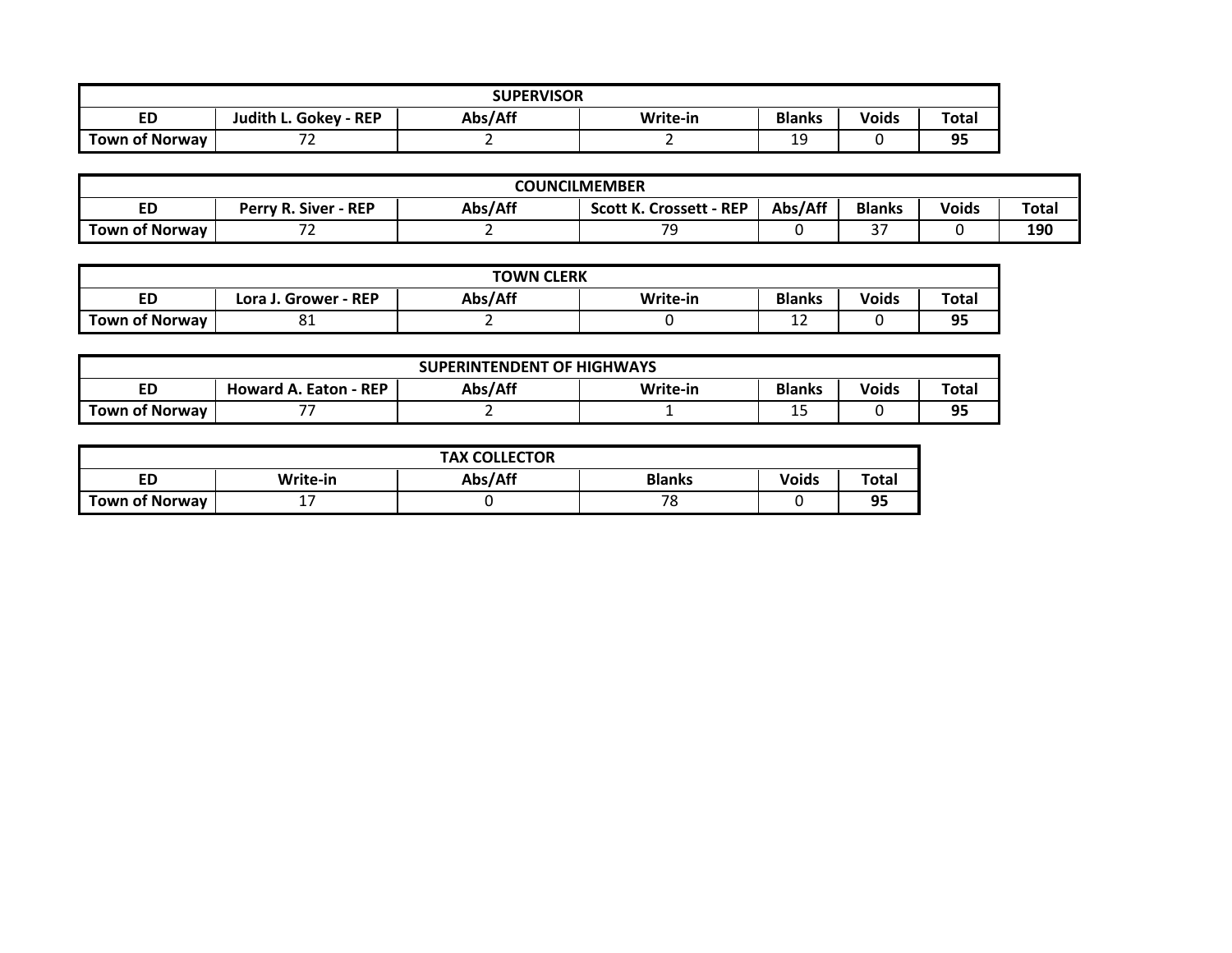| <b>SUPERVISOR</b>     |                                                                                               |  |  |          |  |          |  |  |
|-----------------------|-----------------------------------------------------------------------------------------------|--|--|----------|--|----------|--|--|
| ED                    | Abs/Aff<br><b>Voids</b><br><b>Blanks</b><br><b>Total</b><br>Judith L. Gokey - REP<br>Write-in |  |  |          |  |          |  |  |
| <b>Town of Norway</b> | --                                                                                            |  |  | 1 ດ<br>ᅩ |  | ۹Ę<br>-- |  |  |

|                |                             |         | <b>COUNCILMEMBER</b>           |         |                   |              |              |
|----------------|-----------------------------|---------|--------------------------------|---------|-------------------|--------------|--------------|
| ED             | <b>Perry R. Siver - REP</b> | Abs/Aff | <b>Scott K. Crossett - REP</b> | Abs/Aff | <b>Blanks</b>     | <b>Voids</b> | <b>Total</b> |
| Town of Norwav | --<br>-                     |         | 70                             |         | $\sim$ $-$<br>ر ر |              | 190          |

|                       |                      | <b>TOWN CLERK</b> |          |               |              |       |
|-----------------------|----------------------|-------------------|----------|---------------|--------------|-------|
| ED                    | Lora J. Grower - REP | Abs/Aff           | Write-in | <b>Blanks</b> | <b>Voids</b> | Total |
| <b>Town of Norway</b> | ັ                    |                   |          | <b></b>       |              | 95    |

|                       |                              | <b>SUPERINTENDENT OF HIGHWAYS</b> |          |               |              |       |
|-----------------------|------------------------------|-----------------------------------|----------|---------------|--------------|-------|
| ED                    | <b>Howard A. Eaton - REP</b> | Abs/Aff                           | Write-in | <b>Blanks</b> | <b>Voids</b> | Total |
| <b>Town of Norway</b> | --                           |                                   |          | --            |              | 95    |

|                       |          | <b>TAX COLLECTOR</b> |               |              |       |
|-----------------------|----------|----------------------|---------------|--------------|-------|
| ED                    | Write-in | Abs/Aff              | <b>Blanks</b> | <b>Voids</b> | Total |
| <b>Town of Norway</b> | - -      |                      | 70<br>ں ،     |              | 95    |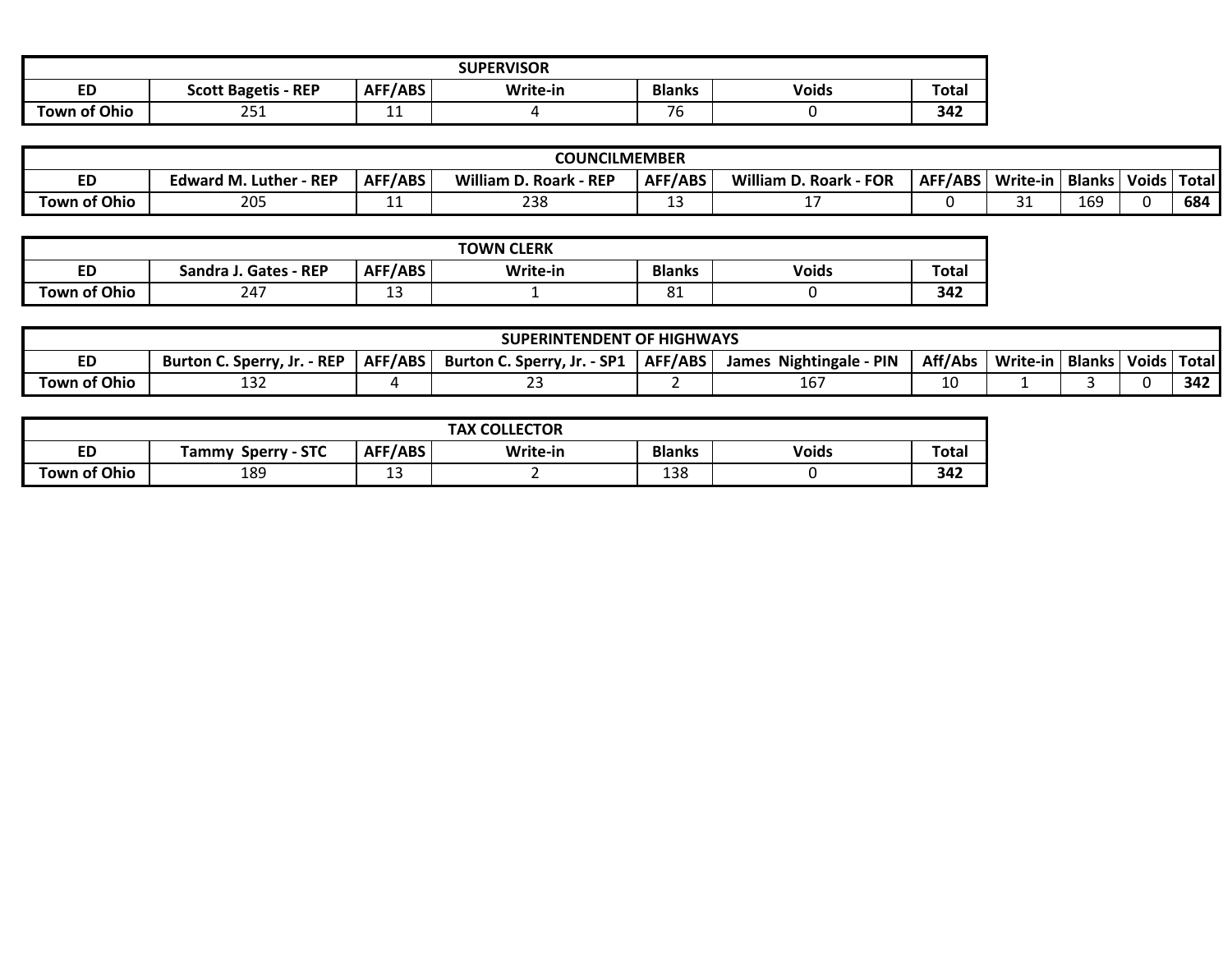| <b>SUPERVISOR</b>   |                                                                                                    |     |  |    |  |     |  |
|---------------------|----------------------------------------------------------------------------------------------------|-----|--|----|--|-----|--|
| ED                  | AFF/ABS<br><b>Voids</b><br><b>Total</b><br><b>Blanks</b><br>Write-in<br><b>Scott Bagetis - REP</b> |     |  |    |  |     |  |
| <b>Town of Ohio</b> | つらく<br>∠J⊥                                                                                         | . . |  | 76 |  | 342 |  |

|                     |                                  |                | <b>COUNCILMEMBER</b>                   |         |                           |         |          |               |              |        |
|---------------------|----------------------------------|----------------|----------------------------------------|---------|---------------------------|---------|----------|---------------|--------------|--------|
| ᄓ                   | - REP<br><b>Edward M. Luther</b> | <b>AFF/ABS</b> | <b>William D. Roark</b><br>$\cdot$ REP | AFF/ABS | William D. Roark<br>- FOR | AFF/ABS | Write-in | <b>Blanks</b> | <b>Voids</b> | 'Total |
| <b>Town of Ohio</b> | וחר<br>20J                       | --             | າລເ<br>238                             |         | --                        |         | ັ        | <b>169</b>    |              | 684    |

|                     |                       |         | <b>TOWN CLERK</b> |               |              |              |
|---------------------|-----------------------|---------|-------------------|---------------|--------------|--------------|
| ED                  | Sandra J. Gates - REP | AFF/ABS | Write-in          | <b>Blanks</b> | <b>Voids</b> | <b>Total</b> |
| <b>Town of Ohio</b> | 247                   | -<br>-- | -                 | O1<br>oц      |              | 342          |

|                     |                                  |         | <b>SUPERINTENDENT OF HIGHWAYS</b> |                |                                    |         |          |               |              |       |
|---------------------|----------------------------------|---------|-----------------------------------|----------------|------------------------------------|---------|----------|---------------|--------------|-------|
| ED                  | $-$ REP<br>Burton C. Sperry, Jr. | AFF/ABS | $-SP1$<br>Burton C. Sperry, Jr.   | <b>AFF/ABS</b> | PIN<br><b>Nightingale</b><br>James | Aff/Abs | Write-in | <b>Blanks</b> | <b>Voids</b> | Total |
| <b>Town of Ohio</b> | ⊥د⊥                              |         | __                                |                | TO.                                | 10      |          |               |              | 342   |

|                     |                              |             | <b>COLLECTOR</b><br><b>TAX</b> |               |              |              |
|---------------------|------------------------------|-------------|--------------------------------|---------------|--------------|--------------|
| <b>ED</b>           | <b>Sperry - STC</b><br>Tammy | AFF/ABS     | Write-in                       | <b>Blanks</b> | <b>Voids</b> | <b>Total</b> |
| <b>Town of Ohio</b> | 189                          | $\sim$<br>ᅩ |                                | 138           |              | 342          |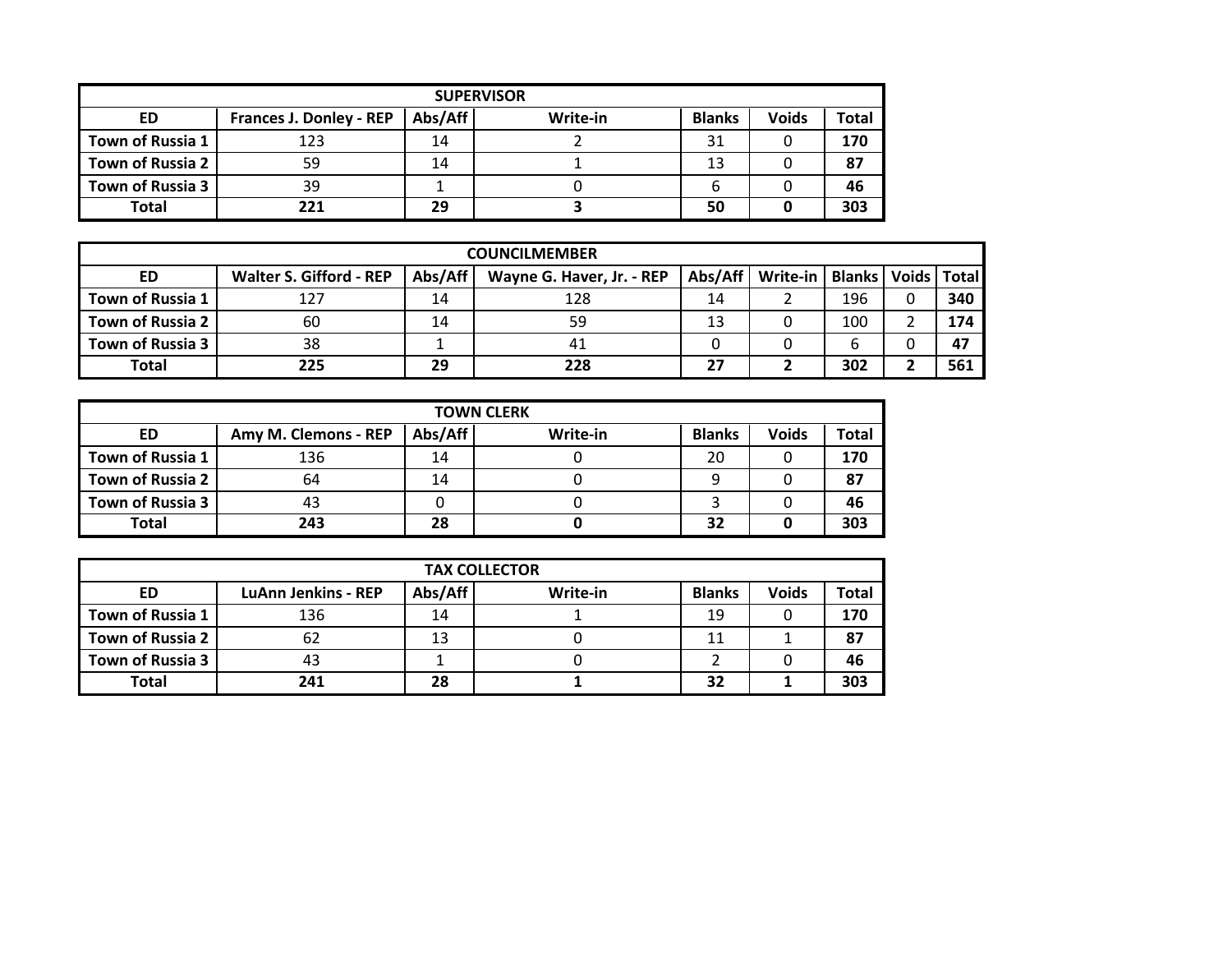|                  | <b>SUPERVISOR</b>              |         |          |               |              |       |  |  |  |  |
|------------------|--------------------------------|---------|----------|---------------|--------------|-------|--|--|--|--|
| ED               | <b>Frances J. Donley - REP</b> | Abs/Aff | Write-in | <b>Blanks</b> | <b>Voids</b> | Total |  |  |  |  |
| Town of Russia 1 | 123                            | 14      |          | 31            |              | 170   |  |  |  |  |
| Town of Russia 2 | 59                             | 14      |          | 13            |              | 87    |  |  |  |  |
| Town of Russia 3 | 39                             |         |          |               |              | 46    |  |  |  |  |
| <b>Total</b>     | フフ1                            | 29      |          | 50            |              | 303   |  |  |  |  |

|                  |                                |         | <b>COUNCILMEMBER</b>      |         |          |                                 |     |
|------------------|--------------------------------|---------|---------------------------|---------|----------|---------------------------------|-----|
| ED               | <b>Walter S. Gifford - REP</b> | Abs/Aff | Wayne G. Haver, Jr. - REP | Abs/Aff | Write-in | <b>Blanks   Voids   Total  </b> |     |
| Town of Russia 1 | 127                            | 14      | 128                       | 14      |          | 196                             | 340 |
| Town of Russia 2 | 60                             | 14      | 59                        | 13      |          | 100                             | 174 |
| Town of Russia 3 | 38                             |         | 41                        |         |          |                                 | 47  |
| Total            | 225                            | 29      | 228                       | 27      |          | 302                             | 561 |

|                  | <b>TOWN CLERK</b>    |         |          |               |              |       |
|------------------|----------------------|---------|----------|---------------|--------------|-------|
| ED               | Amy M. Clemons - REP | Abs/Aff | Write-in | <b>Blanks</b> | <b>Voids</b> | Total |
| Town of Russia 1 | 136                  | 14      |          | 20            |              | 170   |
| Town of Russia 2 | 64                   | 14      |          | 9             |              | 87    |
| Town of Russia 3 | 43                   |         |          |               |              | 46    |
| Total            | 243                  | 28      |          | 32            |              | 303   |

|                  | <b>TAX COLLECTOR</b>       |         |          |               |              |              |  |
|------------------|----------------------------|---------|----------|---------------|--------------|--------------|--|
| <b>ED</b>        | <b>LuAnn Jenkins - REP</b> | Abs/Aff | Write-in | <b>Blanks</b> | <b>Voids</b> | <b>Total</b> |  |
| Town of Russia 1 | 136                        | 14      |          | 19            |              | 170          |  |
| Town of Russia 2 | 62                         | 13      |          |               |              | 87           |  |
| Town of Russia 3 | 43                         |         |          |               |              | 46           |  |
| Total            | 241                        | 28      |          | 32            |              | 303          |  |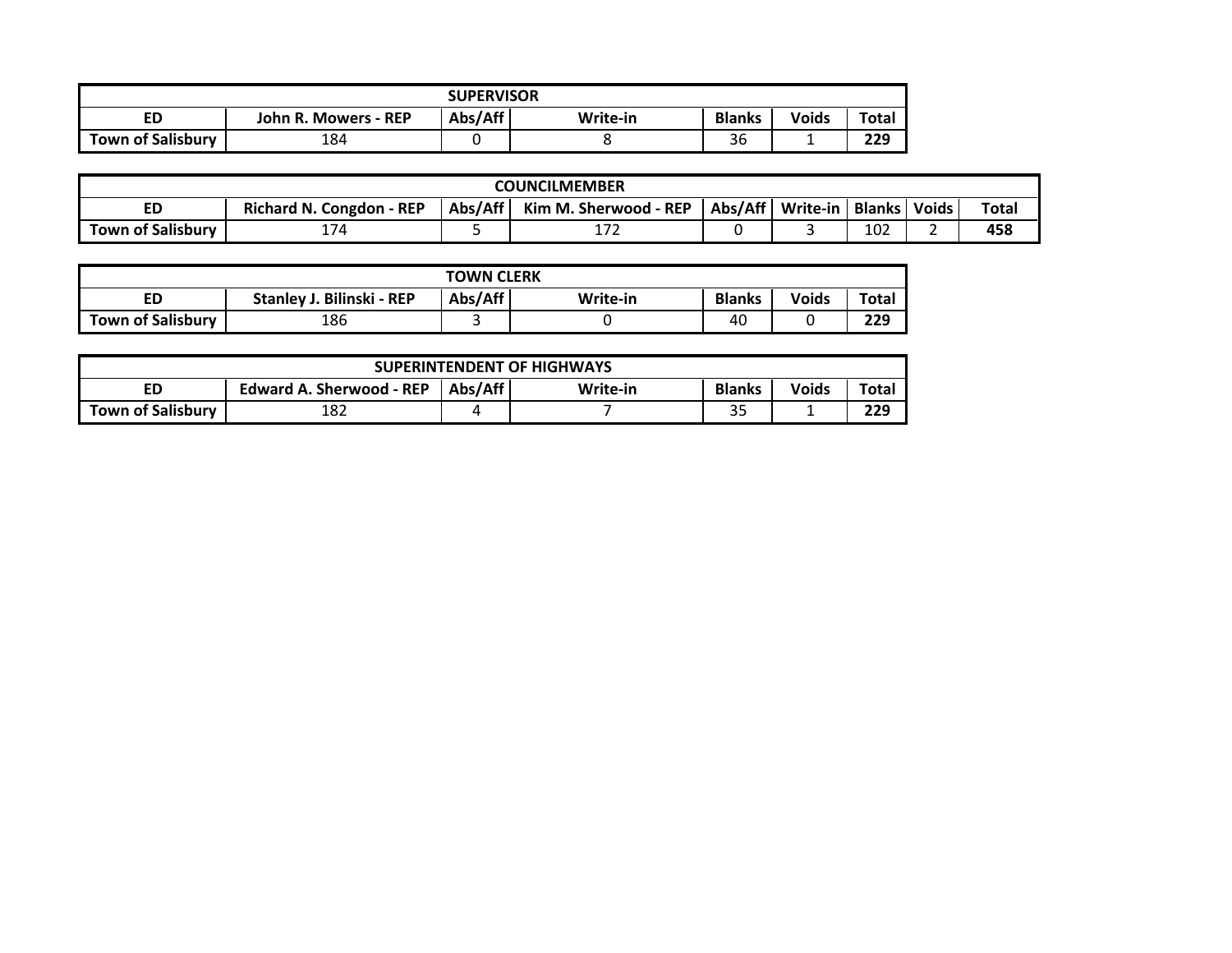|                          |                      | <b>SUPERVISOR</b> |          |               |              |              |
|--------------------------|----------------------|-------------------|----------|---------------|--------------|--------------|
| ED                       | John R. Mowers - REP | Abs/Aff           | Write-in | <b>Blanks</b> | <b>Voids</b> | <b>Total</b> |
| <b>Town of Salisbury</b> | 184                  |                   |          | $\sim$<br>36  |              | 229          |

|                          | <b>COUNCILMEMBER</b>                                                                                                                        |  |                  |  |  |     |  |     |
|--------------------------|---------------------------------------------------------------------------------------------------------------------------------------------|--|------------------|--|--|-----|--|-----|
| ED                       | Abs/Aff<br>Abs/Aff<br><b>Total</b><br><b>Blanks</b><br>Kim M. Sherwood - REP<br>Write-in<br><b>Voids</b><br><b>Richard N. Congdon - REP</b> |  |                  |  |  |     |  |     |
| <b>Town of Salisbury</b> | $\lambda = \lambda$                                                                                                                         |  | $1 - 1$<br>- 1 - |  |  | 102 |  | 458 |

|                                                                                                  |     | <b>TOWN CLERK</b> |  |    |  |     |  |  |
|--------------------------------------------------------------------------------------------------|-----|-------------------|--|----|--|-----|--|--|
| Abs/Aff<br><b>Blanks</b><br>Stanley J. Bilinski - REP<br><b>Voids</b><br>Total<br>Write-in<br>ED |     |                   |  |    |  |     |  |  |
| <b>Town of Salisbury</b>                                                                         | 186 |                   |  | 40 |  | 229 |  |  |

|                                                                                                        |     |  | <b>SUPERINTENDENT OF HIGHWAYS</b> |           |  |     |  |  |  |
|--------------------------------------------------------------------------------------------------------|-----|--|-----------------------------------|-----------|--|-----|--|--|--|
| Abs/Aff<br><b>Blanks</b><br><b>Voids</b><br>Total<br><b>Edward A. Sherwood - REP</b><br>Write-in<br>ED |     |  |                                   |           |  |     |  |  |  |
| <b>Town of Salisbury</b>                                                                               | 182 |  |                                   | ח ר<br>35 |  | 229 |  |  |  |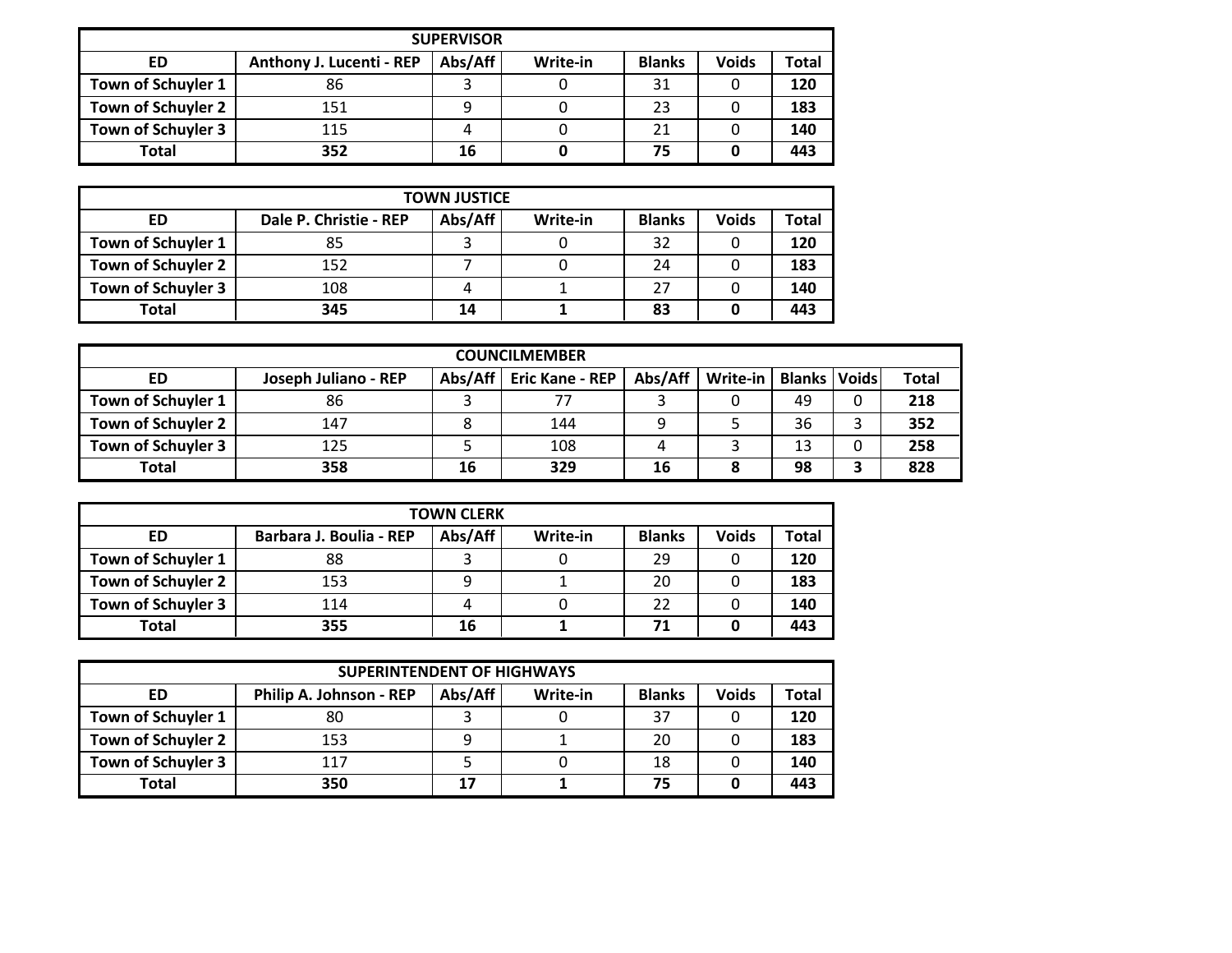|                    | <b>SUPERVISOR</b>        |         |          |               |              |              |  |  |
|--------------------|--------------------------|---------|----------|---------------|--------------|--------------|--|--|
| ED                 | Anthony J. Lucenti - REP | Abs/Aff | Write-in | <b>Blanks</b> | <b>Voids</b> | <b>Total</b> |  |  |
| Town of Schuyler 1 | 86                       |         |          | 31            | U            | 120          |  |  |
| Town of Schuyler 2 | 151                      |         |          | 23            |              | 183          |  |  |
| Town of Schuyler 3 | 115                      |         |          | 21            |              | 140          |  |  |
| <b>Total</b>       | 352                      | 16      |          | 75            |              | 443          |  |  |

|                    | <b>TOWN JUSTICE</b>    |         |          |               |              |              |  |  |
|--------------------|------------------------|---------|----------|---------------|--------------|--------------|--|--|
| <b>ED</b>          | Dale P. Christie - REP | Abs/Aff | Write-in | <b>Blanks</b> | <b>Voids</b> | <b>Total</b> |  |  |
| Town of Schuyler 1 | 85                     |         |          | 32            |              | 120          |  |  |
| Town of Schuyler 2 | 152                    |         |          | 24            |              | 183          |  |  |
| Town of Schuyler 3 | 108                    | 4       |          | 27            |              | 140          |  |  |
| <b>Total</b>       | 345                    | 14      |          | 83            |              | 443          |  |  |

|                    |                      |         | <b>COUNCILMEMBER</b>   |         |          |                         |              |
|--------------------|----------------------|---------|------------------------|---------|----------|-------------------------|--------------|
| ED                 | Joseph Juliano - REP | Abs/Aff | <b>Eric Kane - REP</b> | Abs/Aff | Write-in | <b>Blanks   Voids  </b> | <b>Total</b> |
| Town of Schuyler 1 | 86                   |         |                        |         |          | 49                      | 218          |
| Town of Schuyler 2 | 147                  |         | 144                    |         |          | 36                      | 352          |
| Town of Schuyler 3 | 125                  |         | 108                    |         |          | 13                      | 258          |
| <b>Total</b>       | 358                  | 16      | 329                    | 16      |          | 98                      | 828          |

| <b>TOWN CLERK</b>  |                         |         |          |               |              |       |  |  |
|--------------------|-------------------------|---------|----------|---------------|--------------|-------|--|--|
| ED                 | Barbara J. Boulia - REP | Abs/Aff | Write-in | <b>Blanks</b> | <b>Voids</b> | Total |  |  |
| Town of Schuyler 1 | 88                      |         |          | 29            |              | 120   |  |  |
| Town of Schuyler 2 | 153                     | Q       |          | 20            |              | 183   |  |  |
| Town of Schuyler 3 | 114                     |         |          | 22            |              | 140   |  |  |
| <b>Total</b>       | 355                     | 16      |          | 71            |              | 443   |  |  |

| <b>SUPERINTENDENT OF HIGHWAYS</b> |                         |         |          |               |              |       |  |  |
|-----------------------------------|-------------------------|---------|----------|---------------|--------------|-------|--|--|
| <b>ED</b>                         | Philip A. Johnson - REP | Abs/Aff | Write-in | <b>Blanks</b> | <b>Voids</b> | Total |  |  |
| Town of Schuyler 1                | 80                      |         |          | 37            |              | 120   |  |  |
| Town of Schuyler 2                | 153                     | a       |          | 20            |              | 183   |  |  |
| Town of Schuyler 3                | 117                     |         |          | 18            |              | 140   |  |  |
| Total                             | 350                     | 17      |          | 75            |              | 443   |  |  |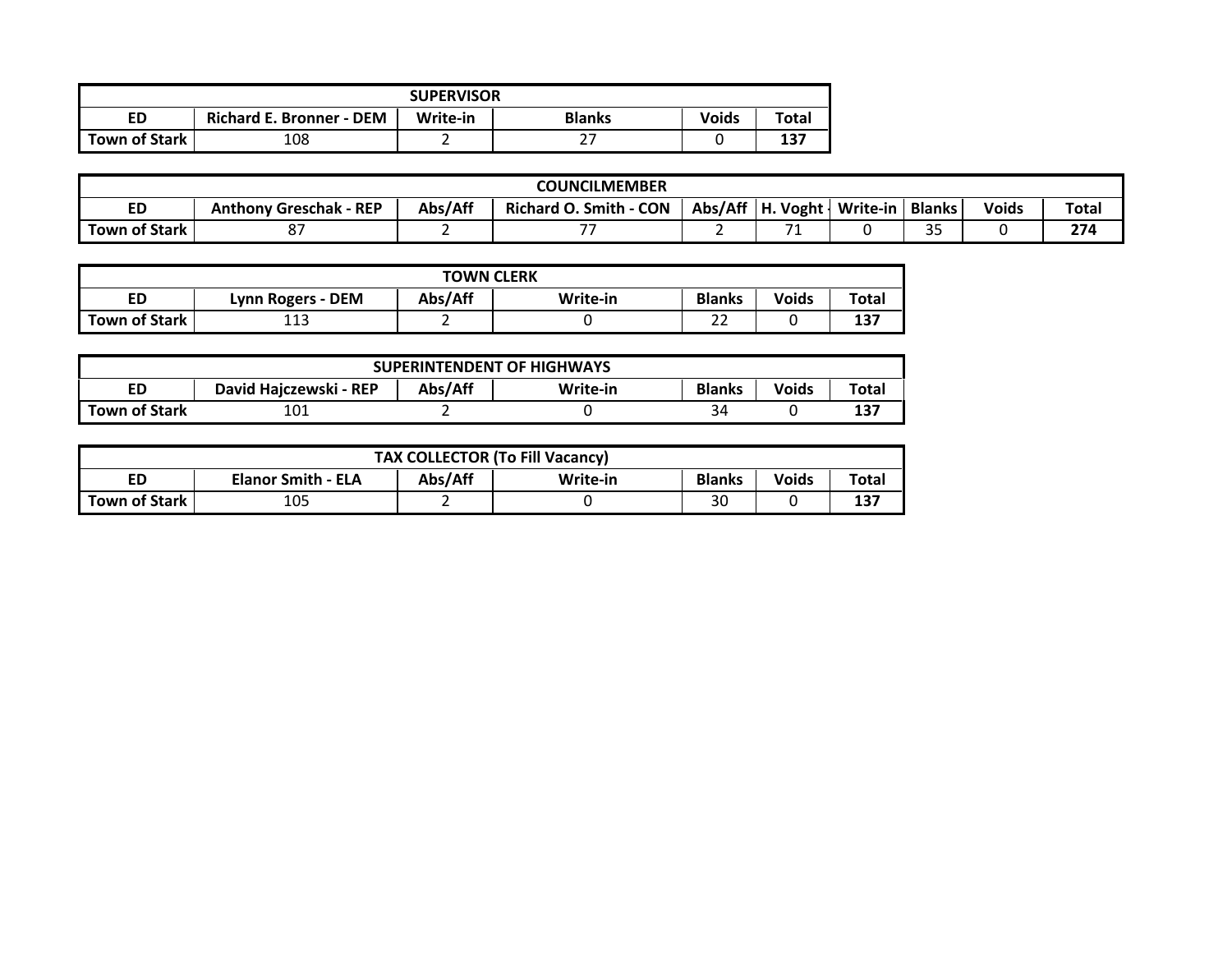|                      |                                 | <b>SUPERVISOR</b> |               |              |       |
|----------------------|---------------------------------|-------------------|---------------|--------------|-------|
| ED                   | <b>Richard E. Bronner - DEM</b> | Write-in          | <b>Blanks</b> | <b>Voids</b> | Total |
| <b>Town of Stark</b> | 108                             |                   |               |              | 137   |

|               |                               |         | <b>COUNCILMEMBER</b>          |                      |          |               |              |       |
|---------------|-------------------------------|---------|-------------------------------|----------------------|----------|---------------|--------------|-------|
| <b>ED</b>     | <b>Anthony Greschak - REP</b> | Abs/Aff | <b>Richard O. Smith - CON</b> | $Abs/Aff$   H. Voght | Write-in | <b>Blanks</b> | <b>Voids</b> | Total |
| Town of Stark |                               |         |                               |                      |          | $\sim$ $-$    |              | 274   |

|               |                   | <b>TOWN CLERK</b> |          |               |              |       |
|---------------|-------------------|-------------------|----------|---------------|--------------|-------|
| ED            | Lynn Rogers - DEM | Abs/Aff           | Write-in | <b>Blanks</b> | <b>Voids</b> | Total |
| Town of Stark | 11)<br>ᆂᆂᇦ        |                   |          | ~~<br>ے ے     |              | 137   |

|                      |                        |         | <b>SUPERINTENDENT OF HIGHWAYS</b> |               |       |       |
|----------------------|------------------------|---------|-----------------------------------|---------------|-------|-------|
| ED                   | David Hajczewski - REP | Abs/Aff | Write-in                          | <b>Blanks</b> | Voids | Total |
| <b>Town of Stark</b> | 101                    |         |                                   | 34            |       | 137   |

|               |                           |         | <b>TAX COLLECTOR (To Fill Vacancy)</b> |               |       |       |
|---------------|---------------------------|---------|----------------------------------------|---------------|-------|-------|
| ED            | <b>Elanor Smith - ELA</b> | Abs/Aff | Write-in                               | <b>Blanks</b> | Voids | Total |
| Town of Stark | 105                       |         |                                        | 30            |       | 137   |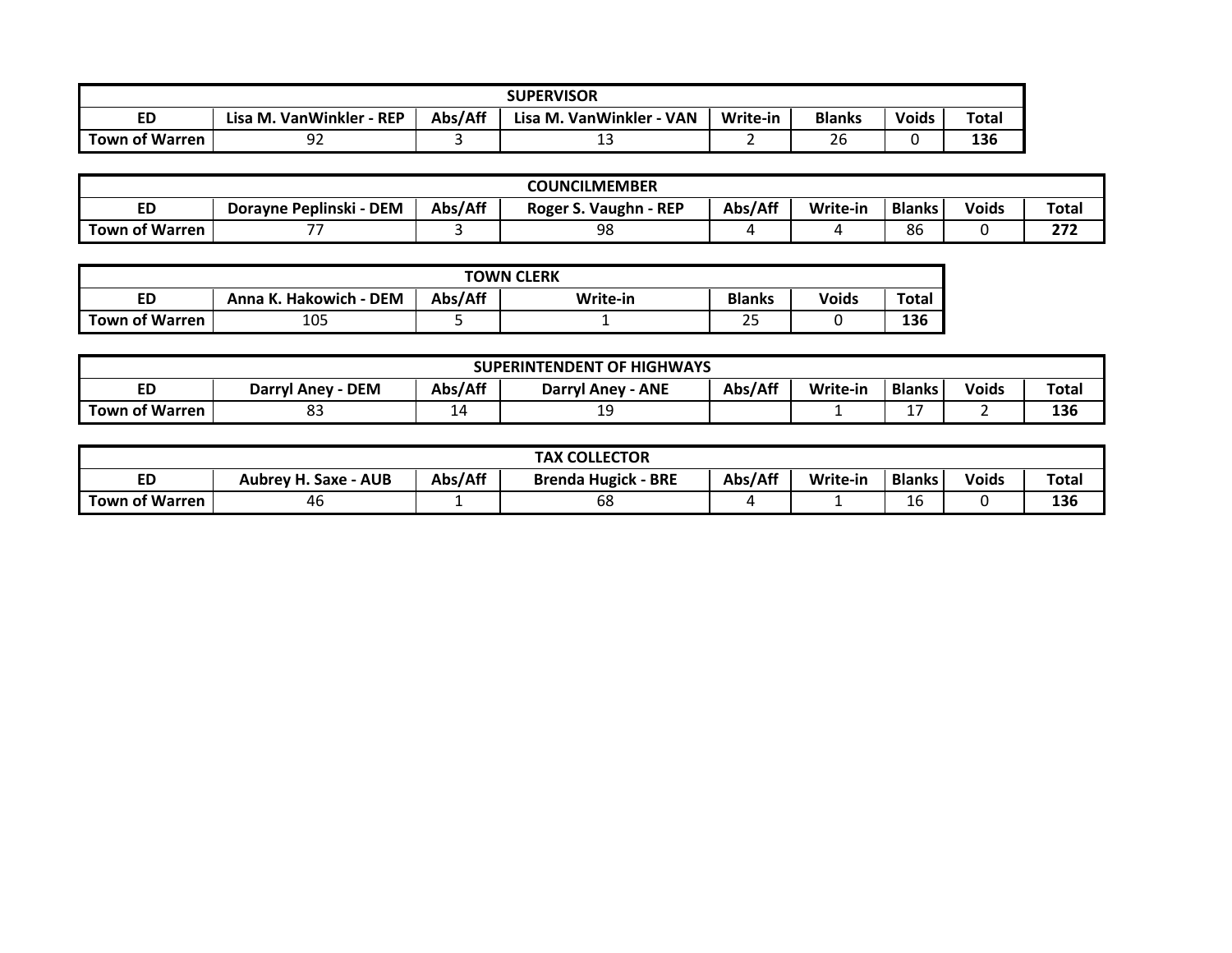|                       |                               |         | <b>SUPERVISOR</b>             |          |               |       |              |
|-----------------------|-------------------------------|---------|-------------------------------|----------|---------------|-------|--------------|
| <b>ED</b>             | Lisa M. VanWinkler -<br>- REP | Abs/Aff | Lisa M. VanWinkler -<br>· VAN | Write-in | <b>Blanks</b> | Voids | <b>Total</b> |
| <b>Town of Warren</b> | n.,<br>ч<br>--                |         | ᅩ                             |          | $\sim$<br>۷b  |       | 136          |

|                       |                         |         | <b>COUNCILMEMBER</b>       |         |          |               |              |             |
|-----------------------|-------------------------|---------|----------------------------|---------|----------|---------------|--------------|-------------|
| ED                    | Dorayne Peplinski - DEM | Abs/Aff | . Vaughn - REP<br>Roger S. | Abs/Aff | Write-in | <b>Blanks</b> | <b>Voids</b> | Total       |
| <b>Town of Warren</b> | $- -$                   |         | 98                         |         |          | 86            |              | っっっ<br>21 L |

|                       |                        |         | <b>TOWN CLERK</b> |                 |       |       |
|-----------------------|------------------------|---------|-------------------|-----------------|-------|-------|
| ED                    | Anna K. Hakowich - DEM | Abs/Aff | Write-in          | <b>Blanks</b>   | Voids | Total |
| <b>Town of Warren</b> | 105                    |         |                   | $\sim$ $-$<br>ت |       | 136   |

|                       |                      |                       | <b>SUPERINTENDENT OF HIGHWAYS</b> |         |          |               |              |       |
|-----------------------|----------------------|-----------------------|-----------------------------------|---------|----------|---------------|--------------|-------|
| ED                    | · DEM<br>Darryl Anev | Abs/Aff               | <b>ANE</b><br>Darryl Anev         | Abs/Aff | Write-in | <b>Blanks</b> | <b>Voids</b> | Total |
| <b>Town of Warren</b> | ~~<br>ပၪ             | ۵.<br><u>. на ста</u> | --                                |         |          | -<br>-        |              | 136   |

|                |                      |         | <b>TAX COLLECTOR</b>       |         |          |               |              |       |
|----------------|----------------------|---------|----------------------------|---------|----------|---------------|--------------|-------|
| <b>ED</b>      | Aubrey H. Saxe - AUB | Abs/Aff | <b>Brenda Hugick - BRE</b> | Abs/Aff | Write-in | <b>Blanks</b> | <b>Voids</b> | Total |
| Town of Warren | 46                   |         | 68                         |         |          | л<br>r<br>∸   |              | 136   |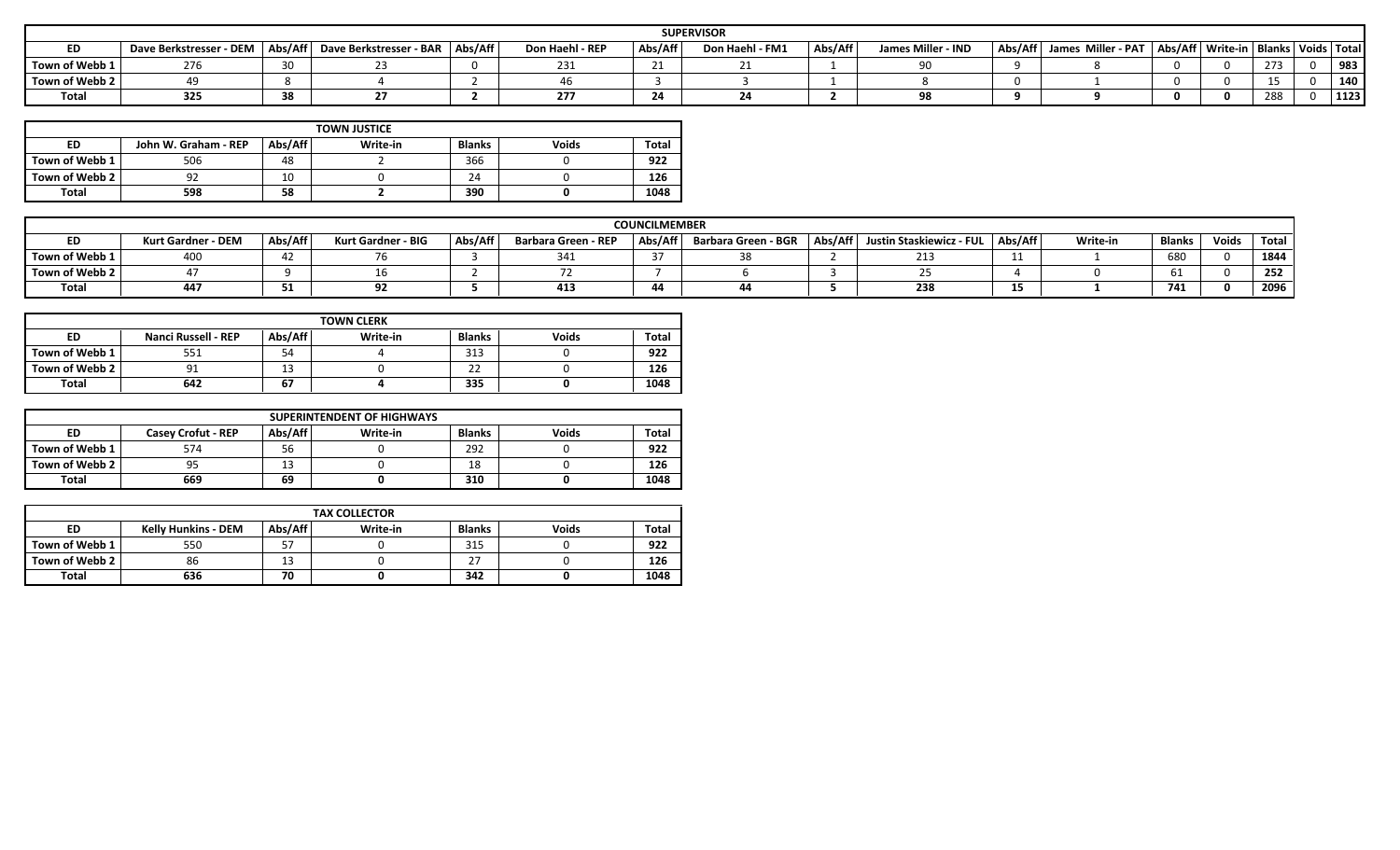|                |                         |          |                         |         |                 |                            | <b>SUPERVISOR</b> |         |                    |         |                    |                                             |     |      |
|----------------|-------------------------|----------|-------------------------|---------|-----------------|----------------------------|-------------------|---------|--------------------|---------|--------------------|---------------------------------------------|-----|------|
| ED             | Dave Berkstresser - DEM | Abs/Aff  | Dave Berkstresser - BAR | Abs/Aff | Don Haehl - REP | Abs/Aff                    | Don Haehl - FM1   | Abs/Aff | James Miller - IND | Abs/Aff | James Miller - PAT | Abs/Aff   Write-in   Blanks   Voids   Total |     |      |
| Town of Webb 1 | 770                     | $\Omega$ |                         |         | د ت ک           | $\mathbf{a}$<br><u>_ _</u> |                   |         | ΩC                 |         |                    |                                             | 273 | 983  |
| Town of Webb 2 |                         |          |                         |         |                 |                            |                   |         |                    |         |                    |                                             |     | 140  |
| Total          | 325                     | 38       |                         |         |                 | 24                         |                   |         | ΩC                 |         |                    |                                             | 288 | 1123 |

|                |                      |         | <b>TOWN JUSTICE</b> |               |              |       |
|----------------|----------------------|---------|---------------------|---------------|--------------|-------|
| ED             | John W. Graham - REP | Abs/Aff | Write-in            | <b>Blanks</b> | <b>Voids</b> | Total |
| Town of Webb 1 | 506                  | 48      |                     | 366           |              | 922   |
| Town of Webb 2 | 92                   | 10      |                     | 24            |              | 126   |
| <b>Total</b>   | 598                  | 58      |                     | 390           |              | 1048  |

|                | <b>COUNCILMEMBER</b>      |         |                    |         |                            |         |                     |         |                          |         |          |               |              |       |
|----------------|---------------------------|---------|--------------------|---------|----------------------------|---------|---------------------|---------|--------------------------|---------|----------|---------------|--------------|-------|
| <b>ED</b>      | <b>Kurt Gardner - DEM</b> | Abs/Aff | Kurt Gardner - BIG | Abs/Aff | <b>Barbara Green - REP</b> | Abs/Aff | Barbara Green - BGR | Abs/Aff | Justin Staskiewicz - FUL | Abs/Aff | Write-in | <b>Blanks</b> | <b>Voids</b> | Total |
| Town of Webb 1 |                           |         |                    |         | 341                        |         |                     |         | 213                      |         |          | 680           |              | 1844  |
| Town of Webb 2 |                           |         |                    |         |                            |         |                     |         |                          |         |          |               |              | 252   |
| Total          | 447                       | -       |                    |         | $\overline{A}$<br>413      |         |                     |         | 238                      |         |          | - - -<br>74J  |              | 2096  |

| <b>TOWN CLERK</b> |                            |          |          |                    |              |              |
|-------------------|----------------------------|----------|----------|--------------------|--------------|--------------|
| <b>ED</b>         | <b>Nanci Russell - REP</b> | Abs/Aff  | Write-in | <b>Blanks</b>      | <b>Voids</b> | <b>Total</b> |
| Town of Webb 1    | 551                        | 54       |          | 313                |              | 922          |
| Town of Webb 2    | 91                         | ໍາ<br>13 |          | $\mathbf{a}$<br>22 |              | 126          |
| Total             | 642                        | 67       |          | 335                |              | 1048         |

| <b>SUPERINTENDENT OF HIGHWAYS</b> |                           |         |          |               |              |       |
|-----------------------------------|---------------------------|---------|----------|---------------|--------------|-------|
| ED                                | <b>Casey Crofut - REP</b> | Abs/Aff | Write-in | <b>Blanks</b> | <b>Voids</b> | Total |
| Town of Webb 1                    | 574                       | 56      |          | 292           |              | 922   |
| Town of Webb 2                    | 95                        | 13      |          | 18            |              | 126   |
| Total                             | 669                       | 69      |          | 310           |              | 1048  |

| <b>TAX COLLECTOR</b> |                            |         |          |                    |              |       |
|----------------------|----------------------------|---------|----------|--------------------|--------------|-------|
| <b>ED</b>            | <b>Kelly Hunkins - DEM</b> | Abs/Aff | Write-in | Blanks             | <b>Voids</b> | Total |
| Town of Webb 1       | 550                        | 57      |          | 315                |              | 922   |
| Town of Webb 2       | 86                         | 13      |          | $\sim$<br><u>.</u> |              | 126   |
| <b>Total</b>         | 636                        | 70      |          | 342                |              | 1048  |
|                      |                            |         |          |                    |              |       |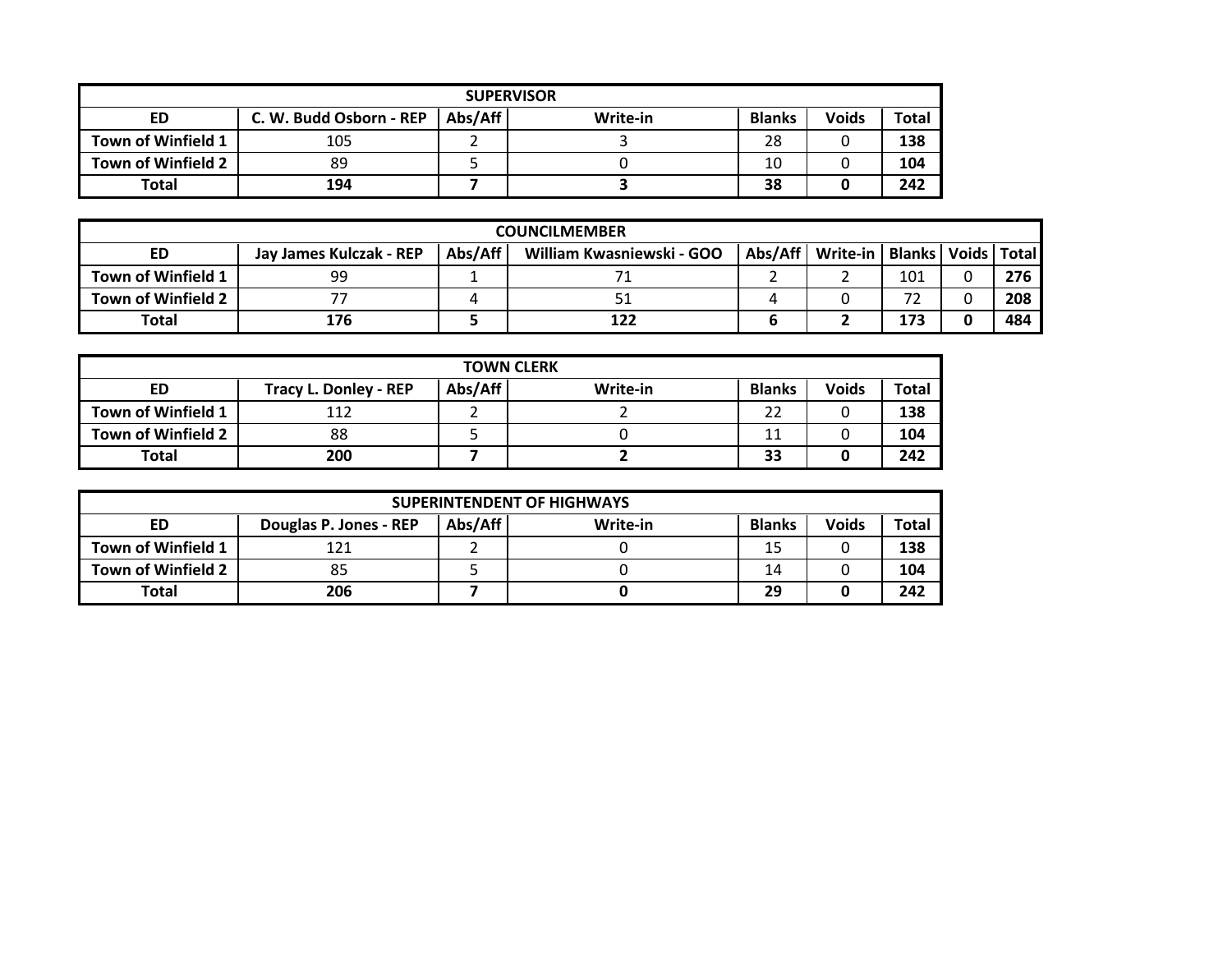| <b>SUPERVISOR</b>  |                         |         |          |               |              |       |  |
|--------------------|-------------------------|---------|----------|---------------|--------------|-------|--|
| ED                 | C. W. Budd Osborn - REP | Abs/Aff | Write-in | <b>Blanks</b> | <b>Voids</b> | Total |  |
| Town of Winfield 1 | 105                     |         |          | 28            |              | 138   |  |
| Town of Winfield 2 | 89                      |         |          | 10            |              | 104   |  |
| <b>Total</b>       | 194                     |         |          | 38            |              | 242   |  |

|                    | <b>COUNCILMEMBER</b>    |         |                           |         |                                   |     |  |     |  |  |
|--------------------|-------------------------|---------|---------------------------|---------|-----------------------------------|-----|--|-----|--|--|
| ED                 | Jay James Kulczak - REP | Abs/Aff | William Kwasniewski - GOO | Abs/Aff | Write-in   Blanks   Voids   Total |     |  |     |  |  |
| Town of Winfield 1 | 99                      |         |                           |         |                                   | 101 |  | 276 |  |  |
| Town of Winfield 2 |                         |         |                           |         |                                   | רד  |  | 208 |  |  |
| Total              | 176                     |         | 122                       |         |                                   | 173 |  | 484 |  |  |

| <b>TOWN CLERK</b>  |                              |         |          |               |              |       |  |
|--------------------|------------------------------|---------|----------|---------------|--------------|-------|--|
| ED                 | <b>Tracy L. Donley - REP</b> | Abs/Aff | Write-in | <b>Blanks</b> | <b>Voids</b> | Total |  |
| Town of Winfield 1 | 112                          |         |          | 22            |              | 138   |  |
| Town of Winfield 2 | 88                           |         |          | 11            |              | 104   |  |
| <b>Total</b>       | 200                          |         |          | 33            |              | 242   |  |

| <b>SUPERINTENDENT OF HIGHWAYS</b> |                        |         |          |               |              |              |  |
|-----------------------------------|------------------------|---------|----------|---------------|--------------|--------------|--|
| ED                                | Douglas P. Jones - REP | Abs/Aff | Write-in | <b>Blanks</b> | <b>Voids</b> | <b>Total</b> |  |
| Town of Winfield 1                | 121                    |         |          | 15            |              | 138          |  |
| Town of Winfield 2                | 85                     |         |          | 14            |              | 104          |  |
| Total                             | 206                    |         |          | 29            |              | 242          |  |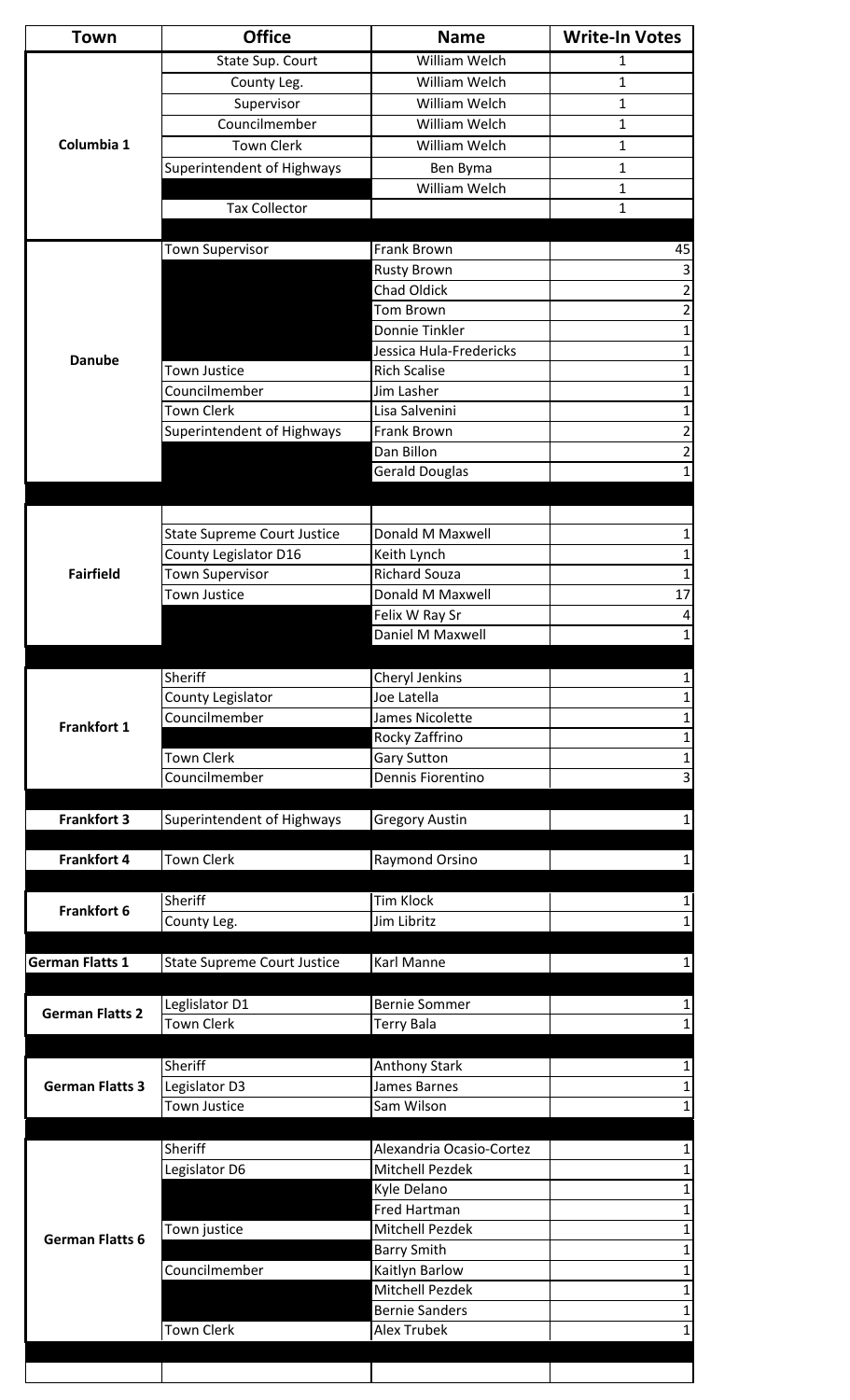|                                                                            | <b>Office</b>                                               | <b>Name</b>                                 | <b>Write-In Votes</b> |
|----------------------------------------------------------------------------|-------------------------------------------------------------|---------------------------------------------|-----------------------|
|                                                                            | State Sup. Court                                            | William Welch                               | 1                     |
|                                                                            | County Leg.                                                 | William Welch                               | 1                     |
|                                                                            | Supervisor                                                  | William Welch                               | $\mathbf 1$           |
|                                                                            | Councilmember                                               | <b>William Welch</b>                        | 1                     |
| Columbia 1                                                                 | <b>Town Clerk</b>                                           | William Welch                               | 1                     |
|                                                                            | Superintendent of Highways                                  | Ben Byma                                    | 1                     |
|                                                                            |                                                             | William Welch                               | 1                     |
|                                                                            | <b>Tax Collector</b>                                        |                                             | 1                     |
|                                                                            |                                                             |                                             |                       |
|                                                                            | <b>Town Supervisor</b>                                      | Frank Brown                                 | 45                    |
|                                                                            |                                                             | <b>Rusty Brown</b>                          | 3                     |
|                                                                            |                                                             | <b>Chad Oldick</b>                          | 2                     |
|                                                                            |                                                             | Tom Brown                                   | 2                     |
|                                                                            |                                                             | Donnie Tinkler                              | 1                     |
| <b>Danube</b>                                                              |                                                             | Jessica Hula-Fredericks                     | 1                     |
|                                                                            | Town Justice                                                | <b>Rich Scalise</b>                         | 1                     |
|                                                                            | Councilmember                                               | Jim Lasher                                  |                       |
|                                                                            | Town Clerk                                                  | Lisa Salvenini                              | 1                     |
|                                                                            | Superintendent of Highways                                  | Frank Brown                                 | 2                     |
|                                                                            |                                                             | Dan Billon                                  | 2                     |
|                                                                            |                                                             | <b>Gerald Douglas</b>                       |                       |
|                                                                            |                                                             |                                             |                       |
|                                                                            |                                                             | Donald M Maxwell                            |                       |
|                                                                            | <b>State Supreme Court Justice</b><br>County Legislator D16 | Keith Lynch                                 | 1<br>1                |
| <b>Fairfield</b>                                                           | Town Supervisor                                             | <b>Richard Souza</b>                        |                       |
|                                                                            | <b>Town Justice</b>                                         | Donald M Maxwell                            | 17                    |
|                                                                            |                                                             | Felix W Ray Sr                              | 4                     |
|                                                                            |                                                             | Daniel M Maxwell                            | 1                     |
|                                                                            |                                                             |                                             |                       |
|                                                                            | Sheriff                                                     | Cheryl Jenkins                              |                       |
|                                                                            | County Legislator                                           | Joe Latella                                 |                       |
|                                                                            | Councilmember                                               | James Nicolette                             |                       |
| Frankfort 1                                                                |                                                             | Rocky Zaffrino                              |                       |
|                                                                            | <b>Town Clerk</b>                                           | <b>Gary Sutton</b>                          |                       |
|                                                                            | Councilmember                                               | Dennis Fiorentino                           | 3                     |
|                                                                            |                                                             |                                             |                       |
|                                                                            |                                                             |                                             |                       |
| <b>Frankfort 3</b>                                                         | Superintendent of Highways                                  | <b>Gregory Austin</b>                       |                       |
|                                                                            |                                                             |                                             |                       |
| <b>Frankfort 4</b>                                                         | <b>Town Clerk</b>                                           | Raymond Orsino                              |                       |
|                                                                            |                                                             |                                             |                       |
| Frankfort 6                                                                | Sheriff                                                     | <b>Tim Klock</b>                            |                       |
|                                                                            | County Leg.                                                 | Jim Libritz                                 |                       |
|                                                                            |                                                             |                                             |                       |
|                                                                            | <b>State Supreme Court Justice</b>                          | Karl Manne                                  |                       |
|                                                                            |                                                             |                                             |                       |
|                                                                            | Leglislator D1                                              | <b>Bernie Sommer</b>                        |                       |
|                                                                            | <b>Town Clerk</b>                                           | <b>Terry Bala</b>                           |                       |
|                                                                            |                                                             |                                             |                       |
|                                                                            | Sheriff                                                     | <b>Anthony Stark</b>                        |                       |
|                                                                            | Legislator D3                                               | James Barnes                                |                       |
|                                                                            | <b>Town Justice</b>                                         | Sam Wilson                                  |                       |
|                                                                            |                                                             |                                             |                       |
|                                                                            | Sheriff                                                     | Alexandria Ocasio-Cortez                    |                       |
|                                                                            | Legislator D6                                               | <b>Mitchell Pezdek</b>                      |                       |
|                                                                            |                                                             | Kyle Delano                                 |                       |
|                                                                            |                                                             | Fred Hartman                                |                       |
|                                                                            | Town justice                                                | <b>Mitchell Pezdek</b>                      | 1                     |
| <b>German Flatts 6</b>                                                     |                                                             | <b>Barry Smith</b>                          |                       |
|                                                                            | Councilmember                                               | Kaitlyn Barlow                              |                       |
|                                                                            |                                                             | Mitchell Pezdek                             | $\mathbf 1$           |
| <b>German Flatts 1</b><br><b>German Flatts 2</b><br><b>German Flatts 3</b> | <b>Town Clerk</b>                                           | <b>Bernie Sanders</b><br><b>Alex Trubek</b> | $\mathbf 1$<br>1      |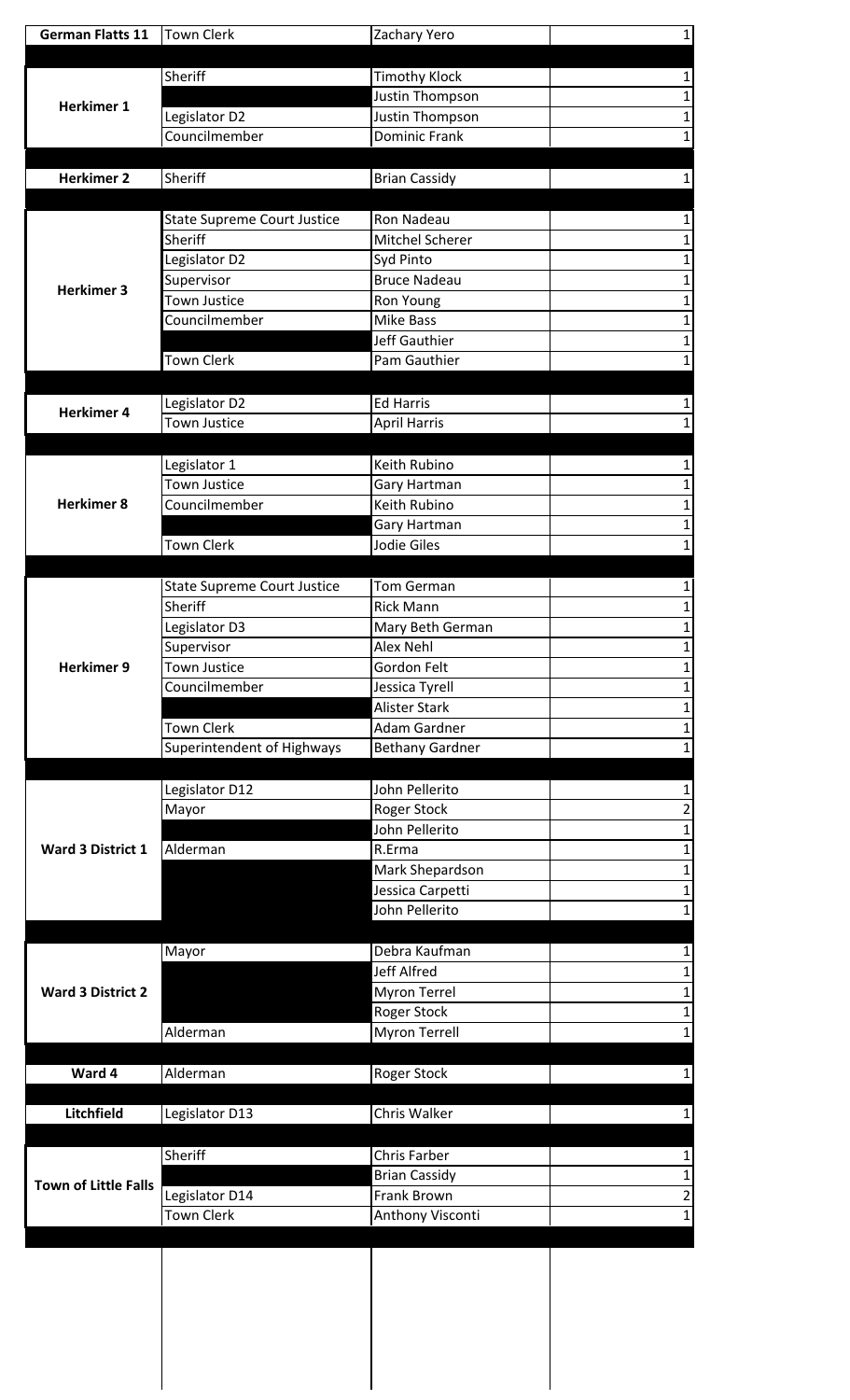| <b>German Flatts 11</b>     | <b>Town Clerk</b>                  | Zachary Yero                                | 1 |
|-----------------------------|------------------------------------|---------------------------------------------|---|
|                             |                                    |                                             |   |
|                             | Sheriff                            | <b>Timothy Klock</b>                        |   |
| <b>Herkimer 1</b>           |                                    | Justin Thompson                             |   |
|                             | Legislator D2                      | Justin Thompson                             |   |
|                             | Councilmember                      | Dominic Frank                               |   |
| <b>Herkimer 2</b>           | Sheriff                            | <b>Brian Cassidy</b>                        |   |
|                             |                                    |                                             |   |
|                             | <b>State Supreme Court Justice</b> | Ron Nadeau                                  |   |
|                             | Sheriff                            | <b>Mitchel Scherer</b>                      |   |
|                             | Legislator D2                      | Syd Pinto                                   |   |
|                             | Supervisor                         | <b>Bruce Nadeau</b>                         |   |
| <b>Herkimer 3</b>           | <b>Town Justice</b>                | Ron Young                                   |   |
|                             | Councilmember                      | Mike Bass                                   |   |
|                             |                                    | Jeff Gauthier                               |   |
|                             | <b>Town Clerk</b>                  | Pam Gauthier                                |   |
|                             |                                    |                                             |   |
| <b>Herkimer 4</b>           | Legislator D2                      | <b>Ed Harris</b>                            |   |
|                             | Town Justice                       | <b>April Harris</b>                         |   |
|                             | Legislator 1                       | Keith Rubino                                |   |
|                             | Town Justice                       | Gary Hartman                                |   |
| <b>Herkimer 8</b>           | Councilmember                      | Keith Rubino                                |   |
|                             |                                    | Gary Hartman                                |   |
|                             | <b>Town Clerk</b>                  | Jodie Giles                                 |   |
|                             |                                    |                                             |   |
|                             | <b>State Supreme Court Justice</b> | Tom German                                  |   |
| <b>Herkimer 9</b>           | Sheriff                            | <b>Rick Mann</b>                            |   |
|                             | Legislator D3                      | Mary Beth German                            | 1 |
|                             | Supervisor                         | Alex Nehl                                   |   |
|                             | <b>Town Justice</b>                | Gordon Felt                                 |   |
|                             | Councilmember                      | Jessica Tyrell                              |   |
|                             | Town Clerk                         | <b>Alister Stark</b><br><b>Adam Gardner</b> |   |
|                             | Superintendent of Highways         | <b>Bethany Gardner</b>                      |   |
|                             |                                    |                                             |   |
|                             | Legislator D12                     | John Pellerito                              |   |
|                             | Mayor                              | Roger Stock                                 | 2 |
|                             |                                    | John Pellerito                              | 1 |
| Ward 3 District 1           | Alderman                           | R.Erma                                      |   |
|                             |                                    | Mark Shepardson                             |   |
|                             |                                    | Jessica Carpetti                            |   |
|                             |                                    | John Pellerito                              |   |
|                             |                                    |                                             |   |
|                             | Mayor                              | Debra Kaufman                               |   |
| <b>Ward 3 District 2</b>    |                                    | <b>Jeff Alfred</b><br><b>Myron Terrel</b>   |   |
|                             |                                    | <b>Roger Stock</b>                          |   |
|                             | Alderman                           | Myron Terrell                               |   |
|                             |                                    |                                             |   |
| Ward 4                      | Alderman                           | Roger Stock                                 |   |
|                             |                                    |                                             |   |
| Litchfield                  | Legislator D13                     | Chris Walker                                |   |
|                             |                                    |                                             |   |
|                             | Sheriff                            | Chris Farber                                |   |
| <b>Town of Little Falls</b> |                                    | <b>Brian Cassidy</b>                        |   |
|                             | Legislator D14                     | Frank Brown                                 | 2 |
|                             | <b>Town Clerk</b>                  | Anthony Visconti                            |   |
|                             |                                    |                                             |   |
|                             |                                    |                                             |   |
|                             |                                    |                                             |   |
|                             |                                    |                                             |   |
|                             |                                    |                                             |   |
|                             |                                    |                                             |   |
|                             |                                    |                                             |   |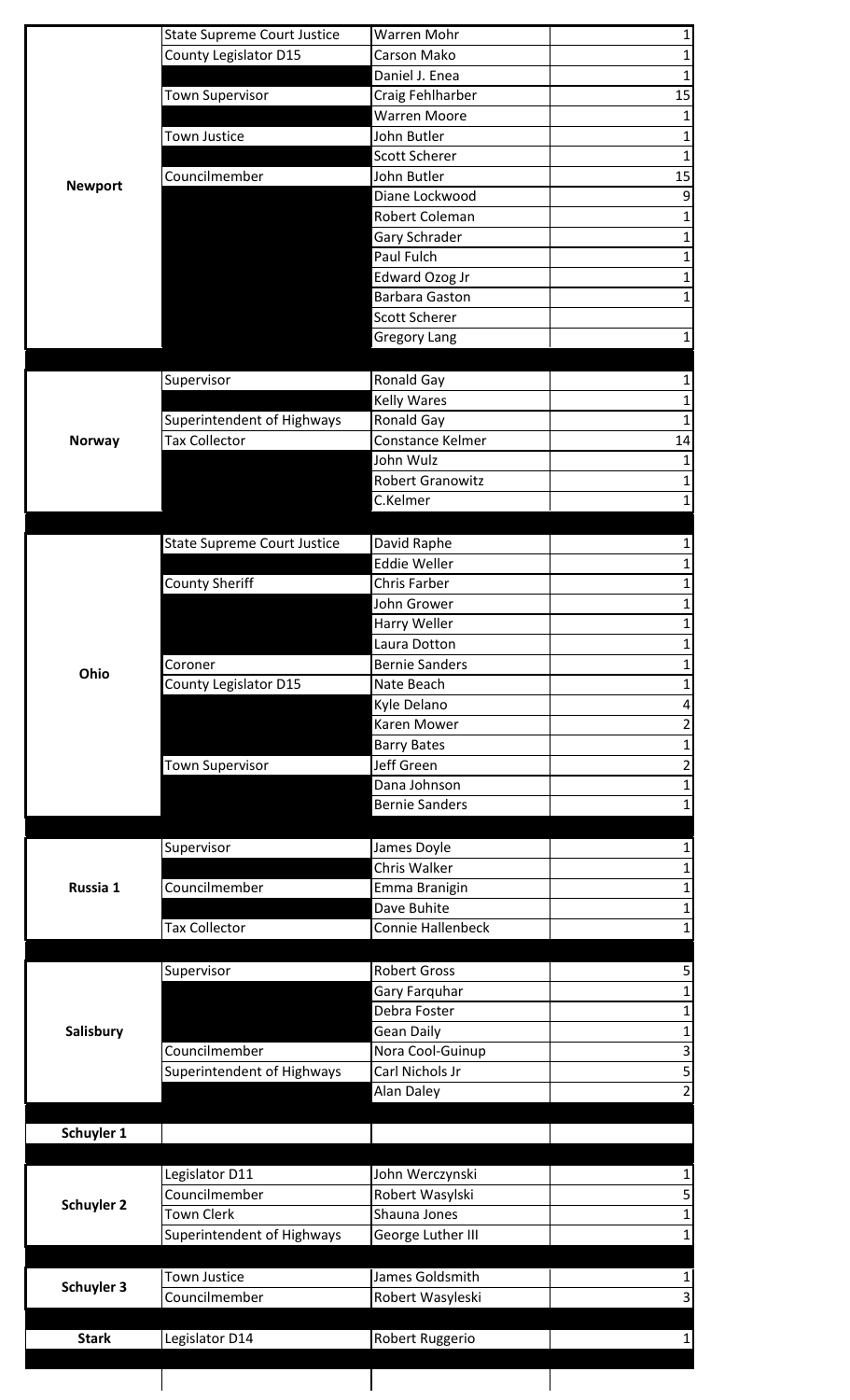|                                 | <b>State Supreme Court Justice</b> | Warren Mohr                             |    |
|---------------------------------|------------------------------------|-----------------------------------------|----|
|                                 | County Legislator D15              | Carson Mako                             |    |
|                                 |                                    | Daniel J. Enea                          | 1  |
|                                 | <b>Town Supervisor</b>             | Craig Fehlharber                        | 15 |
|                                 |                                    | <b>Warren Moore</b>                     | 1  |
|                                 | <b>Town Justice</b>                | John Butler                             |    |
|                                 |                                    | <b>Scott Scherer</b>                    | 1  |
| <b>Newport</b>                  | Councilmember                      | John Butler                             | 15 |
|                                 |                                    | Diane Lockwood                          | 9  |
|                                 |                                    | Robert Coleman                          | 1  |
|                                 |                                    | Gary Schrader                           | 1  |
|                                 |                                    | Paul Fulch                              | 1  |
|                                 |                                    | Edward Ozog Jr<br><b>Barbara Gaston</b> |    |
|                                 |                                    | <b>Scott Scherer</b>                    |    |
|                                 |                                    | <b>Gregory Lang</b>                     |    |
|                                 |                                    |                                         |    |
|                                 | Supervisor                         | Ronald Gay                              |    |
|                                 |                                    | <b>Kelly Wares</b>                      |    |
|                                 | Superintendent of Highways         | Ronald Gay                              |    |
| <b>Norway</b>                   | Tax Collector                      | Constance Kelmer                        | 14 |
|                                 |                                    | John Wulz                               |    |
|                                 |                                    | <b>Robert Granowitz</b>                 |    |
|                                 |                                    | C.Kelmer                                |    |
|                                 |                                    |                                         |    |
|                                 | <b>State Supreme Court Justice</b> | David Raphe                             |    |
|                                 |                                    | <b>Eddie Weller</b>                     |    |
|                                 | <b>County Sheriff</b>              | Chris Farber                            |    |
|                                 |                                    | John Grower                             |    |
|                                 |                                    | Harry Weller                            | 1  |
|                                 |                                    | Laura Dotton                            |    |
| Ohio                            | Coroner                            | <b>Bernie Sanders</b>                   |    |
|                                 | County Legislator D15              | Nate Beach                              |    |
|                                 |                                    | Kyle Delano                             |    |
|                                 |                                    | Karen Mower                             |    |
|                                 | <b>Town Supervisor</b>             | <b>Barry Bates</b><br>Jeff Green        | 2  |
|                                 |                                    | Dana Johnson                            |    |
|                                 |                                    | <b>Bernie Sanders</b>                   |    |
|                                 |                                    |                                         |    |
|                                 | Supervisor                         | James Doyle                             |    |
|                                 |                                    |                                         |    |
| Russia 1                        |                                    | Chris Walker                            |    |
|                                 | Councilmember                      | Emma Branigin                           |    |
|                                 |                                    | Dave Buhite                             |    |
|                                 | <b>Tax Collector</b>               | Connie Hallenbeck                       |    |
|                                 |                                    |                                         |    |
|                                 | Supervisor                         | <b>Robert Gross</b>                     |    |
|                                 |                                    | Gary Farquhar                           |    |
|                                 |                                    | Debra Foster                            |    |
| Salisbury                       |                                    | <b>Gean Daily</b>                       |    |
|                                 | Councilmember                      | Nora Cool-Guinup                        | 3  |
|                                 | Superintendent of Highways         | Carl Nichols Jr                         |    |
|                                 |                                    | Alan Daley                              |    |
|                                 |                                    |                                         |    |
|                                 |                                    |                                         |    |
|                                 |                                    |                                         |    |
|                                 | Legislator D11<br>Councilmember    | John Werczynski                         | 5  |
|                                 | Town Clerk                         | Robert Wasylski<br>Shauna Jones         |    |
|                                 | Superintendent of Highways         | George Luther III                       | 1  |
| Schuyler 1<br><b>Schuyler 2</b> |                                    |                                         |    |
|                                 | Town Justice                       | James Goldsmith                         | 1  |
| Schuyler 3                      | Councilmember                      | Robert Wasyleski                        | 3  |
|                                 | Legislator D14                     |                                         |    |